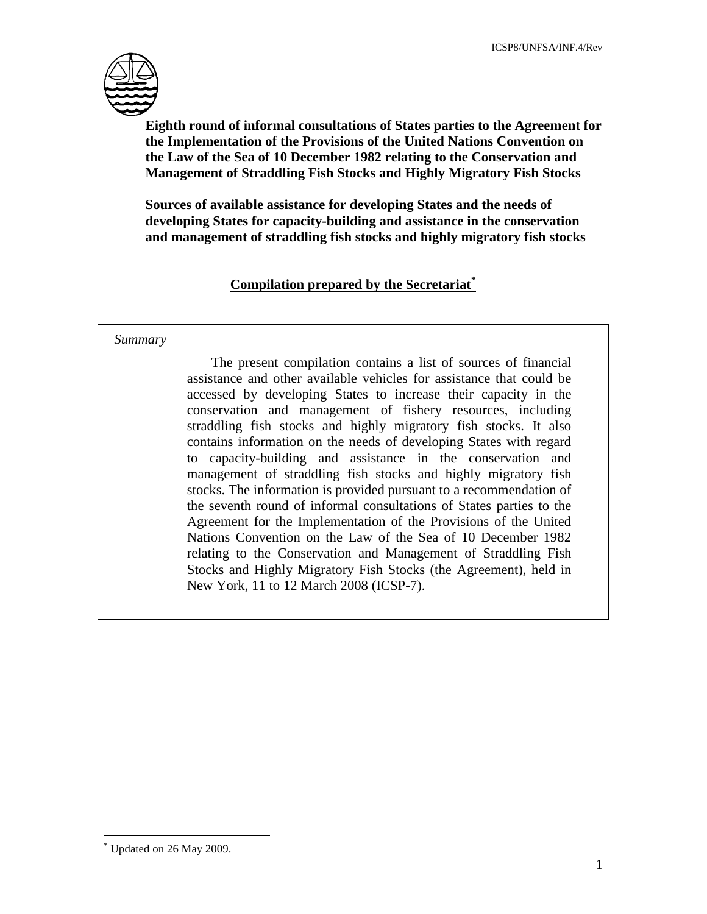

**Eighth round of informal consultations of States parties to the Agreement for the Implementation of the Provisions of the United Nations Convention on the Law of the Sea of 10 December 1982 relating to the Conservation and Management of Straddling Fish Stocks and Highly Migratory Fish Stocks** 

**Sources of available assistance for developing States and the needs of developing States for capacity-building and assistance in the conservation and management of straddling fish stocks and highly migratory fish stocks** 

# **Compilation prepared by the Secretariat\***

#### *Summary*

 The present compilation contains a list of sources of financial assistance and other available vehicles for assistance that could be accessed by developing States to increase their capacity in the conservation and management of fishery resources, including straddling fish stocks and highly migratory fish stocks. It also contains information on the needs of developing States with regard to capacity-building and assistance in the conservation and management of straddling fish stocks and highly migratory fish stocks. The information is provided pursuant to a recommendation of the seventh round of informal consultations of States parties to the Agreement for the Implementation of the Provisions of the United Nations Convention on the Law of the Sea of 10 December 1982 relating to the Conservation and Management of Straddling Fish Stocks and Highly Migratory Fish Stocks (the Agreement), held in New York, 11 to 12 March 2008 (ICSP-7).

<u>.</u>

<sup>\*</sup> Updated on 26 May 2009.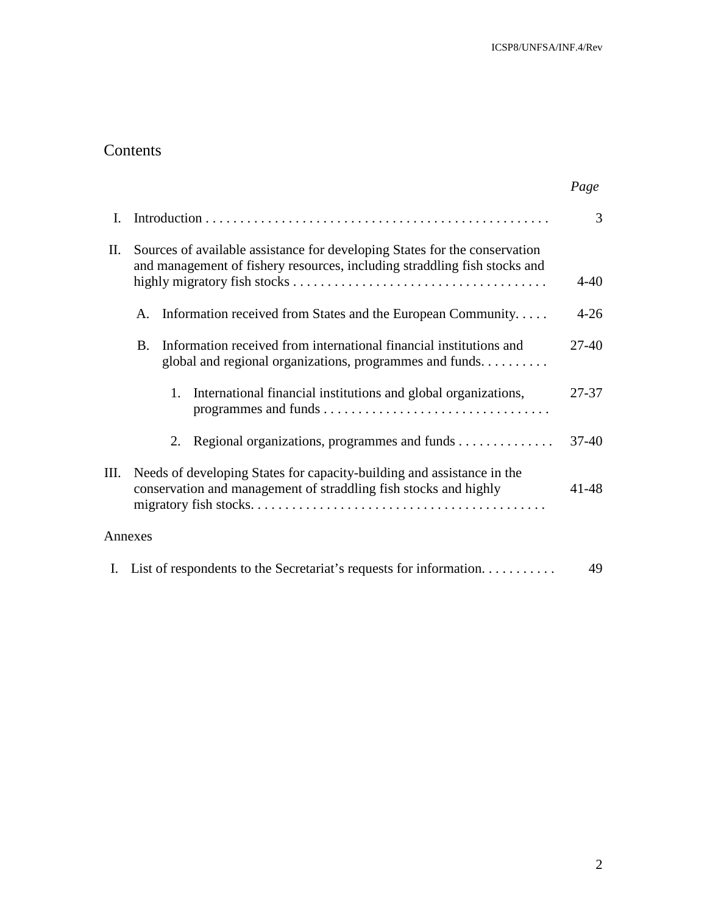# Contents

|      |                                                                                                                                                         | Page      |
|------|---------------------------------------------------------------------------------------------------------------------------------------------------------|-----------|
| I.   |                                                                                                                                                         | 3         |
| II.  | Sources of available assistance for developing States for the conservation<br>and management of fishery resources, including straddling fish stocks and | $4 - 40$  |
|      | Information received from States and the European Community<br>A.                                                                                       | $4 - 26$  |
|      | Information received from international financial institutions and<br>B.<br>global and regional organizations, programmes and funds.                    | 27-40     |
|      | International financial institutions and global organizations,<br>1.                                                                                    | 27-37     |
|      | Regional organizations, programmes and funds<br>2.                                                                                                      | $37 - 40$ |
| III. | Needs of developing States for capacity-building and assistance in the<br>conservation and management of straddling fish stocks and highly              | 41-48     |
|      | Annexes                                                                                                                                                 |           |
|      | I. List of respondents to the Secretariat's requests for information                                                                                    | 49        |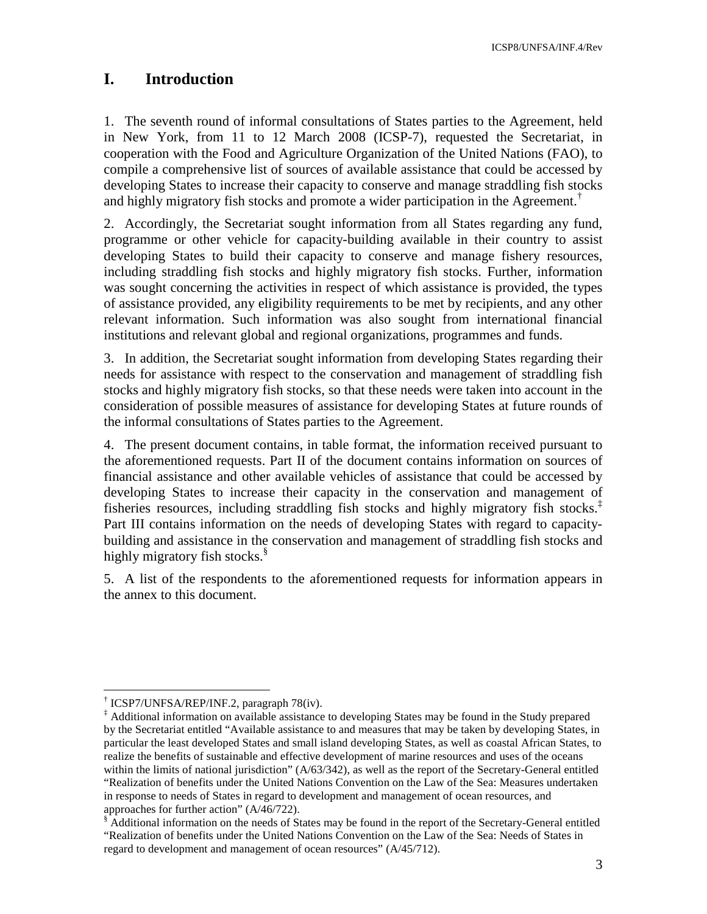ICSP8/UNFSA/INF.4/Rev

# **I. Introduction**

1. The seventh round of informal consultations of States parties to the Agreement, held in New York, from 11 to 12 March 2008 (ICSP-7), requested the Secretariat, in cooperation with the Food and Agriculture Organization of the United Nations (FAO), to compile a comprehensive list of sources of available assistance that could be accessed by developing States to increase their capacity to conserve and manage straddling fish stocks and highly migratory fish stocks and promote a wider participation in the Agreement.†

2. Accordingly, the Secretariat sought information from all States regarding any fund, programme or other vehicle for capacity-building available in their country to assist developing States to build their capacity to conserve and manage fishery resources, including straddling fish stocks and highly migratory fish stocks. Further, information was sought concerning the activities in respect of which assistance is provided, the types of assistance provided, any eligibility requirements to be met by recipients, and any other relevant information. Such information was also sought from international financial institutions and relevant global and regional organizations, programmes and funds.

3. In addition, the Secretariat sought information from developing States regarding their needs for assistance with respect to the conservation and management of straddling fish stocks and highly migratory fish stocks, so that these needs were taken into account in the consideration of possible measures of assistance for developing States at future rounds of the informal consultations of States parties to the Agreement.

4. The present document contains, in table format, the information received pursuant to the aforementioned requests. Part II of the document contains information on sources of financial assistance and other available vehicles of assistance that could be accessed by developing States to increase their capacity in the conservation and management of fisheries resources, including straddling fish stocks and highly migratory fish stocks.<sup>‡</sup> Part III contains information on the needs of developing States with regard to capacitybuilding and assistance in the conservation and management of straddling fish stocks and highly migratory fish stocks.<sup>§</sup>

5. A list of the respondents to the aforementioned requests for information appears in the annex to this document.

 $\overline{a}$ 

<sup>†</sup> ICSP7/UNFSA/REP/INF.2, paragraph 78(iv).

<sup>‡</sup> Additional information on available assistance to developing States may be found in the Study prepared by the Secretariat entitled "Available assistance to and measures that may be taken by developing States, in particular the least developed States and small island developing States, as well as coastal African States, to realize the benefits of sustainable and effective development of marine resources and uses of the oceans within the limits of national jurisdiction" (A/63/342), as well as the report of the Secretary-General entitled "Realization of benefits under the United Nations Convention on the Law of the Sea: Measures undertaken in response to needs of States in regard to development and management of ocean resources, and approaches for further action" (A/46/722).

Additional information on the needs of States may be found in the report of the Secretary-General entitled "Realization of benefits under the United Nations Convention on the Law of the Sea: Needs of States in regard to development and management of ocean resources" (A/45/712).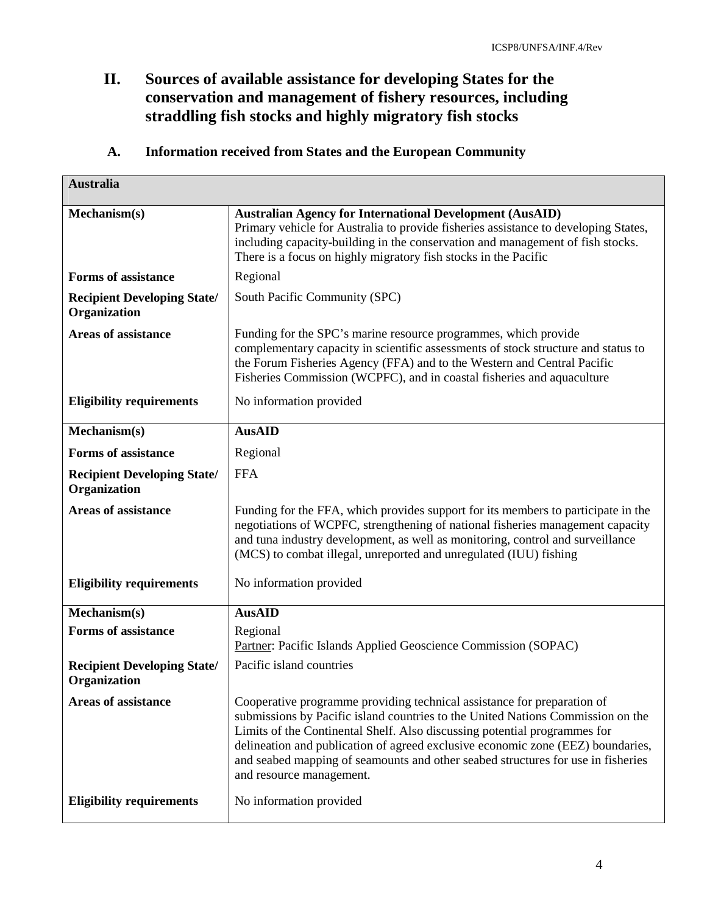# **II. Sources of available assistance for developing States for the conservation and management of fishery resources, including straddling fish stocks and highly migratory fish stocks**

| Information received from States and the European Community | <b>A.</b> |  |  |  |  |  |
|-------------------------------------------------------------|-----------|--|--|--|--|--|
|-------------------------------------------------------------|-----------|--|--|--|--|--|

| <b>Australia</b>                                   |                                                                                                                                                                                                                                                                                                                                                                                                                                            |
|----------------------------------------------------|--------------------------------------------------------------------------------------------------------------------------------------------------------------------------------------------------------------------------------------------------------------------------------------------------------------------------------------------------------------------------------------------------------------------------------------------|
| Mechanism(s)                                       | <b>Australian Agency for International Development (AusAID)</b><br>Primary vehicle for Australia to provide fisheries assistance to developing States,<br>including capacity-building in the conservation and management of fish stocks.<br>There is a focus on highly migratory fish stocks in the Pacific                                                                                                                                |
| <b>Forms of assistance</b>                         | Regional                                                                                                                                                                                                                                                                                                                                                                                                                                   |
| <b>Recipient Developing State/</b><br>Organization | South Pacific Community (SPC)                                                                                                                                                                                                                                                                                                                                                                                                              |
| <b>Areas of assistance</b>                         | Funding for the SPC's marine resource programmes, which provide<br>complementary capacity in scientific assessments of stock structure and status to<br>the Forum Fisheries Agency (FFA) and to the Western and Central Pacific<br>Fisheries Commission (WCPFC), and in coastal fisheries and aquaculture                                                                                                                                  |
| <b>Eligibility requirements</b>                    | No information provided                                                                                                                                                                                                                                                                                                                                                                                                                    |
| Mechanism(s)                                       | <b>AusAID</b>                                                                                                                                                                                                                                                                                                                                                                                                                              |
| <b>Forms of assistance</b>                         | Regional                                                                                                                                                                                                                                                                                                                                                                                                                                   |
| <b>Recipient Developing State/</b><br>Organization | <b>FFA</b>                                                                                                                                                                                                                                                                                                                                                                                                                                 |
| <b>Areas of assistance</b>                         | Funding for the FFA, which provides support for its members to participate in the<br>negotiations of WCPFC, strengthening of national fisheries management capacity<br>and tuna industry development, as well as monitoring, control and surveillance<br>(MCS) to combat illegal, unreported and unregulated (IUU) fishing                                                                                                                 |
| <b>Eligibility requirements</b>                    | No information provided                                                                                                                                                                                                                                                                                                                                                                                                                    |
| Mechanism(s)                                       | <b>AusAID</b>                                                                                                                                                                                                                                                                                                                                                                                                                              |
| <b>Forms of assistance</b>                         | Regional<br>Partner: Pacific Islands Applied Geoscience Commission (SOPAC)                                                                                                                                                                                                                                                                                                                                                                 |
| <b>Recipient Developing State/</b><br>Organization | Pacific island countries                                                                                                                                                                                                                                                                                                                                                                                                                   |
| <b>Areas of assistance</b>                         | Cooperative programme providing technical assistance for preparation of<br>submissions by Pacific island countries to the United Nations Commission on the<br>Limits of the Continental Shelf. Also discussing potential programmes for<br>delineation and publication of agreed exclusive economic zone (EEZ) boundaries,<br>and seabed mapping of seamounts and other seabed structures for use in fisheries<br>and resource management. |
|                                                    |                                                                                                                                                                                                                                                                                                                                                                                                                                            |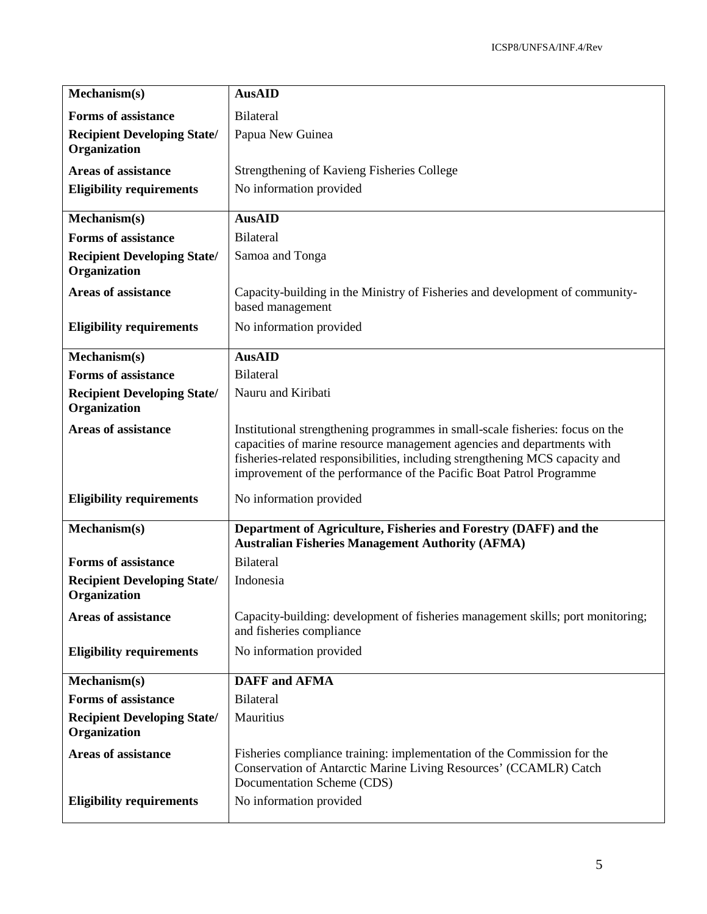| Mechanism(s)                                                  | <b>AusAID</b>                                                                                                                                                                                                                                                                                                  |
|---------------------------------------------------------------|----------------------------------------------------------------------------------------------------------------------------------------------------------------------------------------------------------------------------------------------------------------------------------------------------------------|
| <b>Forms of assistance</b>                                    | <b>Bilateral</b>                                                                                                                                                                                                                                                                                               |
| <b>Recipient Developing State/</b><br>Organization            | Papua New Guinea                                                                                                                                                                                                                                                                                               |
| <b>Areas of assistance</b>                                    | Strengthening of Kavieng Fisheries College                                                                                                                                                                                                                                                                     |
| <b>Eligibility requirements</b>                               | No information provided                                                                                                                                                                                                                                                                                        |
| Mechanism(s)                                                  | <b>AusAID</b>                                                                                                                                                                                                                                                                                                  |
| <b>Forms of assistance</b>                                    | <b>Bilateral</b>                                                                                                                                                                                                                                                                                               |
| <b>Recipient Developing State/</b><br>Organization            | Samoa and Tonga                                                                                                                                                                                                                                                                                                |
| <b>Areas of assistance</b>                                    | Capacity-building in the Ministry of Fisheries and development of community-<br>based management                                                                                                                                                                                                               |
| <b>Eligibility requirements</b>                               | No information provided                                                                                                                                                                                                                                                                                        |
| Mechanism(s)                                                  | <b>AusAID</b>                                                                                                                                                                                                                                                                                                  |
| <b>Forms of assistance</b>                                    | <b>Bilateral</b>                                                                                                                                                                                                                                                                                               |
| <b>Recipient Developing State/</b><br>Organization            | Nauru and Kiribati                                                                                                                                                                                                                                                                                             |
| <b>Areas of assistance</b>                                    | Institutional strengthening programmes in small-scale fisheries: focus on the<br>capacities of marine resource management agencies and departments with<br>fisheries-related responsibilities, including strengthening MCS capacity and<br>improvement of the performance of the Pacific Boat Patrol Programme |
| <b>Eligibility requirements</b>                               | No information provided                                                                                                                                                                                                                                                                                        |
| Mechanism(s)                                                  | Department of Agriculture, Fisheries and Forestry (DAFF) and the<br><b>Australian Fisheries Management Authority (AFMA)</b>                                                                                                                                                                                    |
| <b>Forms of assistance</b>                                    | <b>Bilateral</b>                                                                                                                                                                                                                                                                                               |
| <b>Recipient Developing State/</b><br>Organization            | Indonesia                                                                                                                                                                                                                                                                                                      |
| <b>Areas of assistance</b>                                    | Capacity-building: development of fisheries management skills; port monitoring;<br>and fisheries compliance                                                                                                                                                                                                    |
| <b>Eligibility requirements</b>                               | No information provided                                                                                                                                                                                                                                                                                        |
| Mechanism(s)                                                  | <b>DAFF</b> and <b>AFMA</b>                                                                                                                                                                                                                                                                                    |
| <b>Forms of assistance</b>                                    | Bilateral                                                                                                                                                                                                                                                                                                      |
| <b>Recipient Developing State/</b><br>Organization            | Mauritius                                                                                                                                                                                                                                                                                                      |
| <b>Areas of assistance</b><br><b>Eligibility requirements</b> | Fisheries compliance training: implementation of the Commission for the<br>Conservation of Antarctic Marine Living Resources' (CCAMLR) Catch<br>Documentation Scheme (CDS)<br>No information provided                                                                                                          |
|                                                               |                                                                                                                                                                                                                                                                                                                |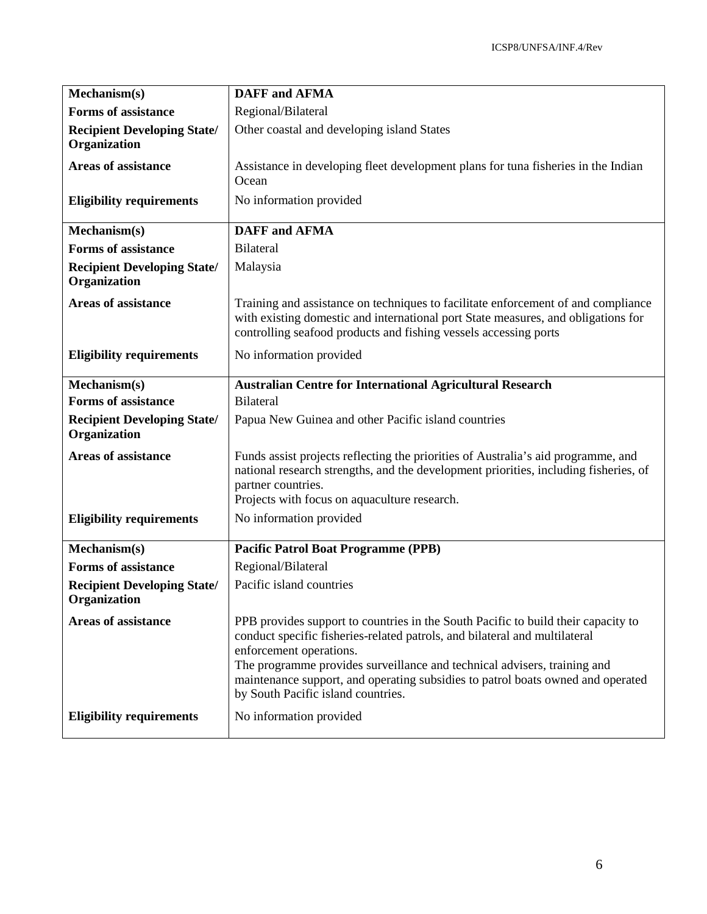| Mechanism(s)                                           | <b>DAFF</b> and <b>AFMA</b>                                                                                                                                                                                                                                                                                                                                                                                                |
|--------------------------------------------------------|----------------------------------------------------------------------------------------------------------------------------------------------------------------------------------------------------------------------------------------------------------------------------------------------------------------------------------------------------------------------------------------------------------------------------|
| <b>Forms of assistance</b>                             | Regional/Bilateral                                                                                                                                                                                                                                                                                                                                                                                                         |
| <b>Recipient Developing State/</b><br>Organization     | Other coastal and developing island States                                                                                                                                                                                                                                                                                                                                                                                 |
| Areas of assistance                                    | Assistance in developing fleet development plans for tuna fisheries in the Indian<br>Ocean                                                                                                                                                                                                                                                                                                                                 |
| <b>Eligibility requirements</b>                        | No information provided                                                                                                                                                                                                                                                                                                                                                                                                    |
| Mechanism(s)                                           | <b>DAFF</b> and <b>AFMA</b>                                                                                                                                                                                                                                                                                                                                                                                                |
| <b>Forms of assistance</b>                             | <b>Bilateral</b>                                                                                                                                                                                                                                                                                                                                                                                                           |
| <b>Recipient Developing State/</b><br>Organization     | Malaysia                                                                                                                                                                                                                                                                                                                                                                                                                   |
| <b>Areas of assistance</b>                             | Training and assistance on techniques to facilitate enforcement of and compliance<br>with existing domestic and international port State measures, and obligations for<br>controlling seafood products and fishing vessels accessing ports                                                                                                                                                                                 |
| <b>Eligibility requirements</b>                        | No information provided                                                                                                                                                                                                                                                                                                                                                                                                    |
| Mechanism(s)                                           | <b>Australian Centre for International Agricultural Research</b>                                                                                                                                                                                                                                                                                                                                                           |
| <b>Forms of assistance</b>                             | <b>Bilateral</b>                                                                                                                                                                                                                                                                                                                                                                                                           |
| <b>Recipient Developing State/</b><br>Organization     | Papua New Guinea and other Pacific island countries                                                                                                                                                                                                                                                                                                                                                                        |
| <b>Areas of assistance</b>                             | Funds assist projects reflecting the priorities of Australia's aid programme, and<br>national research strengths, and the development priorities, including fisheries, of<br>partner countries.<br>Projects with focus on aquaculture research.                                                                                                                                                                            |
| <b>Eligibility requirements</b>                        | No information provided                                                                                                                                                                                                                                                                                                                                                                                                    |
| Mechanism(s)                                           | <b>Pacific Patrol Boat Programme (PPB)</b>                                                                                                                                                                                                                                                                                                                                                                                 |
| <b>Forms of assistance</b>                             | Regional/Bilateral                                                                                                                                                                                                                                                                                                                                                                                                         |
| <b>Recipient Developing State/</b><br>Organization     | Pacific island countries                                                                                                                                                                                                                                                                                                                                                                                                   |
| Areas of assistance<br><b>Eligibility requirements</b> | PPB provides support to countries in the South Pacific to build their capacity to<br>conduct specific fisheries-related patrols, and bilateral and multilateral<br>enforcement operations.<br>The programme provides surveillance and technical advisers, training and<br>maintenance support, and operating subsidies to patrol boats owned and operated<br>by South Pacific island countries.<br>No information provided |
|                                                        |                                                                                                                                                                                                                                                                                                                                                                                                                            |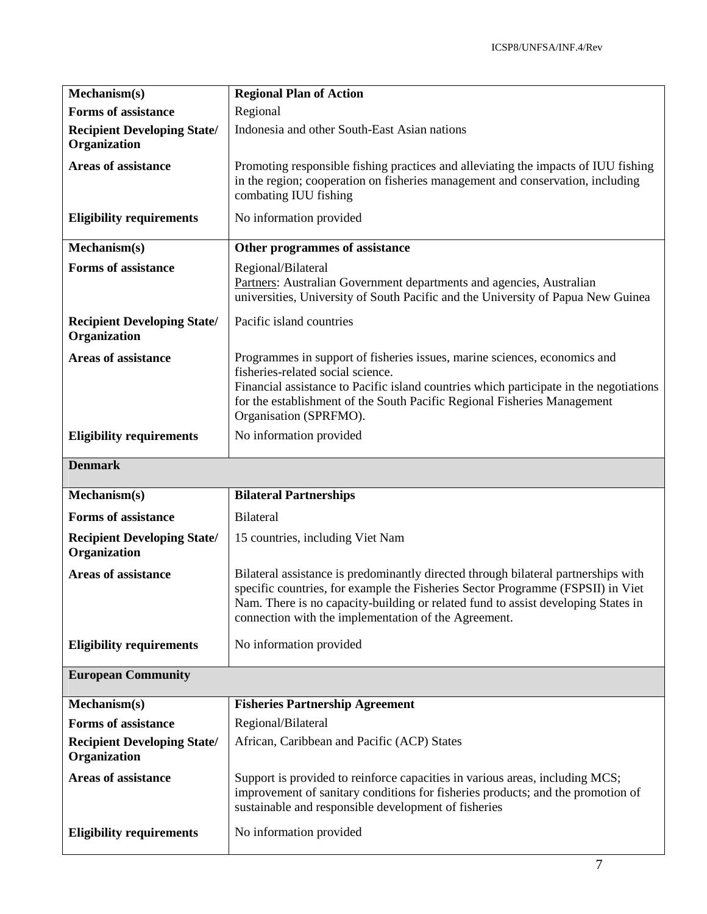| Mechanism(s)                                       | <b>Regional Plan of Action</b>                                                                                                                                                                                                                                                                                     |
|----------------------------------------------------|--------------------------------------------------------------------------------------------------------------------------------------------------------------------------------------------------------------------------------------------------------------------------------------------------------------------|
| <b>Forms of assistance</b>                         | Regional                                                                                                                                                                                                                                                                                                           |
| <b>Recipient Developing State/</b><br>Organization | Indonesia and other South-East Asian nations                                                                                                                                                                                                                                                                       |
| <b>Areas of assistance</b>                         | Promoting responsible fishing practices and alleviating the impacts of IUU fishing<br>in the region; cooperation on fisheries management and conservation, including<br>combating IUU fishing                                                                                                                      |
| <b>Eligibility requirements</b>                    | No information provided                                                                                                                                                                                                                                                                                            |
| Mechanism(s)                                       | Other programmes of assistance                                                                                                                                                                                                                                                                                     |
| <b>Forms of assistance</b>                         | Regional/Bilateral<br>Partners: Australian Government departments and agencies, Australian<br>universities, University of South Pacific and the University of Papua New Guinea                                                                                                                                     |
| <b>Recipient Developing State/</b><br>Organization | Pacific island countries                                                                                                                                                                                                                                                                                           |
| <b>Areas of assistance</b>                         | Programmes in support of fisheries issues, marine sciences, economics and<br>fisheries-related social science.<br>Financial assistance to Pacific island countries which participate in the negotiations<br>for the establishment of the South Pacific Regional Fisheries Management<br>Organisation (SPRFMO).     |
| <b>Eligibility requirements</b>                    | No information provided                                                                                                                                                                                                                                                                                            |
| <b>Denmark</b>                                     |                                                                                                                                                                                                                                                                                                                    |
| Mechanism(s)                                       | <b>Bilateral Partnerships</b>                                                                                                                                                                                                                                                                                      |
| <b>Forms of assistance</b>                         | <b>Bilateral</b>                                                                                                                                                                                                                                                                                                   |
| <b>Recipient Developing State/</b><br>Organization | 15 countries, including Viet Nam                                                                                                                                                                                                                                                                                   |
| <b>Areas of assistance</b>                         | Bilateral assistance is predominantly directed through bilateral partnerships with<br>specific countries, for example the Fisheries Sector Programme (FSPSII) in Viet<br>Nam. There is no capacity-building or related fund to assist developing States in<br>connection with the implementation of the Agreement. |
| <b>Eligibility requirements</b>                    | No information provided                                                                                                                                                                                                                                                                                            |
| <b>European Community</b>                          |                                                                                                                                                                                                                                                                                                                    |
| Mechanism(s)                                       | <b>Fisheries Partnership Agreement</b>                                                                                                                                                                                                                                                                             |
| <b>Forms of assistance</b>                         | Regional/Bilateral                                                                                                                                                                                                                                                                                                 |
| <b>Recipient Developing State/</b><br>Organization | African, Caribbean and Pacific (ACP) States                                                                                                                                                                                                                                                                        |
| <b>Areas of assistance</b>                         | Support is provided to reinforce capacities in various areas, including MCS;<br>improvement of sanitary conditions for fisheries products; and the promotion of<br>sustainable and responsible development of fisheries                                                                                            |
| <b>Eligibility requirements</b>                    | No information provided                                                                                                                                                                                                                                                                                            |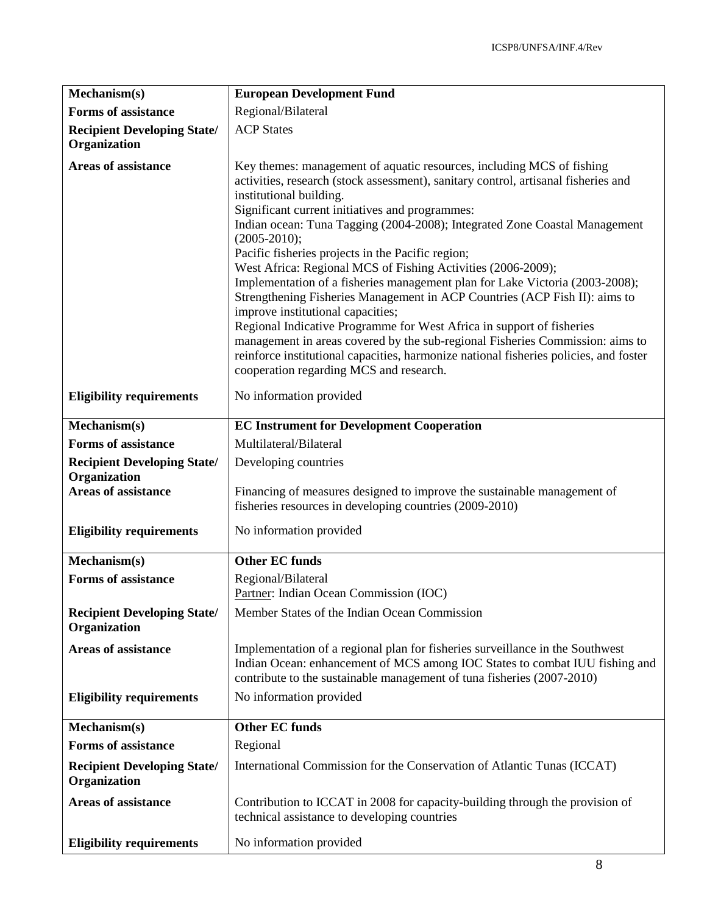| Mechanism(s)                                       | <b>European Development Fund</b>                                                                                                                                                                                                                                                                                                                                                                                                                                                                                                                                                                                                                                                                                                                                                                                                                                                                                                                                  |
|----------------------------------------------------|-------------------------------------------------------------------------------------------------------------------------------------------------------------------------------------------------------------------------------------------------------------------------------------------------------------------------------------------------------------------------------------------------------------------------------------------------------------------------------------------------------------------------------------------------------------------------------------------------------------------------------------------------------------------------------------------------------------------------------------------------------------------------------------------------------------------------------------------------------------------------------------------------------------------------------------------------------------------|
| <b>Forms of assistance</b>                         | Regional/Bilateral                                                                                                                                                                                                                                                                                                                                                                                                                                                                                                                                                                                                                                                                                                                                                                                                                                                                                                                                                |
| <b>Recipient Developing State/</b><br>Organization | <b>ACP</b> States                                                                                                                                                                                                                                                                                                                                                                                                                                                                                                                                                                                                                                                                                                                                                                                                                                                                                                                                                 |
| <b>Areas of assistance</b>                         | Key themes: management of aquatic resources, including MCS of fishing<br>activities, research (stock assessment), sanitary control, artisanal fisheries and<br>institutional building.<br>Significant current initiatives and programmes:<br>Indian ocean: Tuna Tagging (2004-2008); Integrated Zone Coastal Management<br>$(2005 - 2010);$<br>Pacific fisheries projects in the Pacific region;<br>West Africa: Regional MCS of Fishing Activities (2006-2009);<br>Implementation of a fisheries management plan for Lake Victoria (2003-2008);<br>Strengthening Fisheries Management in ACP Countries (ACP Fish II): aims to<br>improve institutional capacities;<br>Regional Indicative Programme for West Africa in support of fisheries<br>management in areas covered by the sub-regional Fisheries Commission: aims to<br>reinforce institutional capacities, harmonize national fisheries policies, and foster<br>cooperation regarding MCS and research. |
| <b>Eligibility requirements</b>                    | No information provided                                                                                                                                                                                                                                                                                                                                                                                                                                                                                                                                                                                                                                                                                                                                                                                                                                                                                                                                           |
| Mechanism(s)                                       | <b>EC Instrument for Development Cooperation</b>                                                                                                                                                                                                                                                                                                                                                                                                                                                                                                                                                                                                                                                                                                                                                                                                                                                                                                                  |
| <b>Forms of assistance</b>                         | Multilateral/Bilateral                                                                                                                                                                                                                                                                                                                                                                                                                                                                                                                                                                                                                                                                                                                                                                                                                                                                                                                                            |
| <b>Recipient Developing State/</b>                 | Developing countries                                                                                                                                                                                                                                                                                                                                                                                                                                                                                                                                                                                                                                                                                                                                                                                                                                                                                                                                              |
| Organization                                       |                                                                                                                                                                                                                                                                                                                                                                                                                                                                                                                                                                                                                                                                                                                                                                                                                                                                                                                                                                   |
| <b>Areas of assistance</b>                         | Financing of measures designed to improve the sustainable management of<br>fisheries resources in developing countries (2009-2010)                                                                                                                                                                                                                                                                                                                                                                                                                                                                                                                                                                                                                                                                                                                                                                                                                                |
|                                                    |                                                                                                                                                                                                                                                                                                                                                                                                                                                                                                                                                                                                                                                                                                                                                                                                                                                                                                                                                                   |
| <b>Eligibility requirements</b>                    | No information provided                                                                                                                                                                                                                                                                                                                                                                                                                                                                                                                                                                                                                                                                                                                                                                                                                                                                                                                                           |
| Mechanism(s)                                       | <b>Other EC funds</b>                                                                                                                                                                                                                                                                                                                                                                                                                                                                                                                                                                                                                                                                                                                                                                                                                                                                                                                                             |
| <b>Forms of assistance</b>                         | Regional/Bilateral                                                                                                                                                                                                                                                                                                                                                                                                                                                                                                                                                                                                                                                                                                                                                                                                                                                                                                                                                |
|                                                    | Partner: Indian Ocean Commission (IOC)                                                                                                                                                                                                                                                                                                                                                                                                                                                                                                                                                                                                                                                                                                                                                                                                                                                                                                                            |
| <b>Recipient Developing State/</b><br>Organization | Member States of the Indian Ocean Commission                                                                                                                                                                                                                                                                                                                                                                                                                                                                                                                                                                                                                                                                                                                                                                                                                                                                                                                      |
| <b>Areas of assistance</b>                         | Implementation of a regional plan for fisheries surveillance in the Southwest<br>Indian Ocean: enhancement of MCS among IOC States to combat IUU fishing and<br>contribute to the sustainable management of tuna fisheries (2007-2010)                                                                                                                                                                                                                                                                                                                                                                                                                                                                                                                                                                                                                                                                                                                            |
| <b>Eligibility requirements</b>                    | No information provided                                                                                                                                                                                                                                                                                                                                                                                                                                                                                                                                                                                                                                                                                                                                                                                                                                                                                                                                           |
| Mechanism(s)                                       | <b>Other EC funds</b>                                                                                                                                                                                                                                                                                                                                                                                                                                                                                                                                                                                                                                                                                                                                                                                                                                                                                                                                             |
| <b>Forms of assistance</b>                         | Regional                                                                                                                                                                                                                                                                                                                                                                                                                                                                                                                                                                                                                                                                                                                                                                                                                                                                                                                                                          |
| <b>Recipient Developing State/</b><br>Organization | International Commission for the Conservation of Atlantic Tunas (ICCAT)                                                                                                                                                                                                                                                                                                                                                                                                                                                                                                                                                                                                                                                                                                                                                                                                                                                                                           |
| <b>Areas of assistance</b>                         | Contribution to ICCAT in 2008 for capacity-building through the provision of<br>technical assistance to developing countries                                                                                                                                                                                                                                                                                                                                                                                                                                                                                                                                                                                                                                                                                                                                                                                                                                      |
| <b>Eligibility requirements</b>                    | No information provided                                                                                                                                                                                                                                                                                                                                                                                                                                                                                                                                                                                                                                                                                                                                                                                                                                                                                                                                           |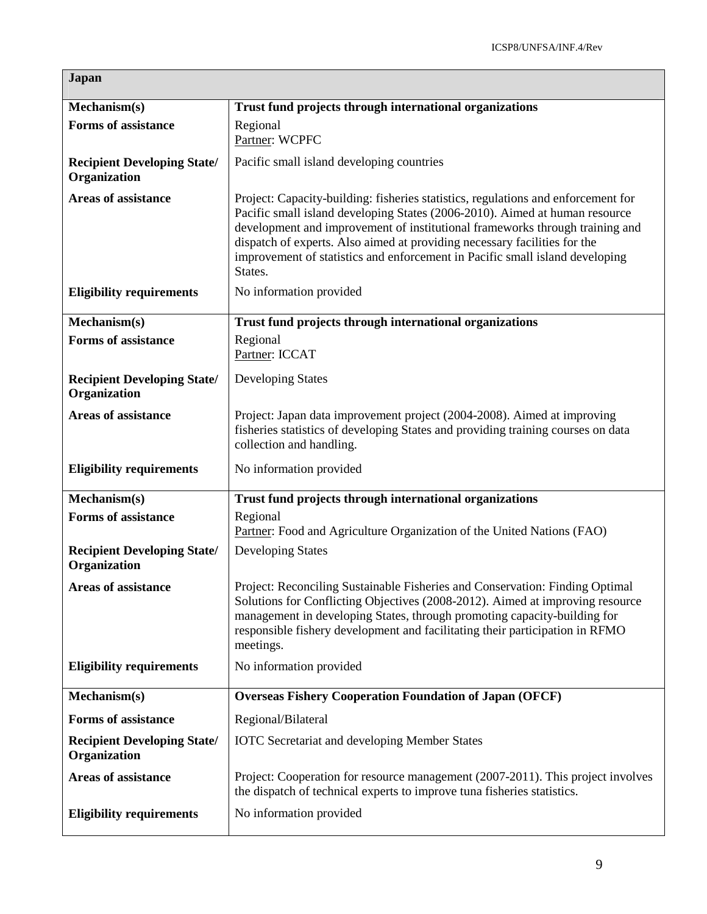| <b>Japan</b>                                       |                                                                                                                                                                                                                                                                                                                                                                                                                          |
|----------------------------------------------------|--------------------------------------------------------------------------------------------------------------------------------------------------------------------------------------------------------------------------------------------------------------------------------------------------------------------------------------------------------------------------------------------------------------------------|
| Mechanism(s)                                       | Trust fund projects through international organizations                                                                                                                                                                                                                                                                                                                                                                  |
| <b>Forms of assistance</b>                         | Regional<br>Partner: WCPFC                                                                                                                                                                                                                                                                                                                                                                                               |
| <b>Recipient Developing State/</b><br>Organization | Pacific small island developing countries                                                                                                                                                                                                                                                                                                                                                                                |
| <b>Areas of assistance</b>                         | Project: Capacity-building: fisheries statistics, regulations and enforcement for<br>Pacific small island developing States (2006-2010). Aimed at human resource<br>development and improvement of institutional frameworks through training and<br>dispatch of experts. Also aimed at providing necessary facilities for the<br>improvement of statistics and enforcement in Pacific small island developing<br>States. |
| <b>Eligibility requirements</b>                    | No information provided                                                                                                                                                                                                                                                                                                                                                                                                  |
| Mechanism(s)                                       | Trust fund projects through international organizations                                                                                                                                                                                                                                                                                                                                                                  |
| <b>Forms of assistance</b>                         | Regional<br>Partner: ICCAT                                                                                                                                                                                                                                                                                                                                                                                               |
| <b>Recipient Developing State/</b><br>Organization | <b>Developing States</b>                                                                                                                                                                                                                                                                                                                                                                                                 |
| <b>Areas of assistance</b>                         | Project: Japan data improvement project (2004-2008). Aimed at improving<br>fisheries statistics of developing States and providing training courses on data<br>collection and handling.                                                                                                                                                                                                                                  |
| <b>Eligibility requirements</b>                    | No information provided                                                                                                                                                                                                                                                                                                                                                                                                  |
| Mechanism(s)                                       | Trust fund projects through international organizations                                                                                                                                                                                                                                                                                                                                                                  |
| <b>Forms of assistance</b>                         | Regional<br>Partner: Food and Agriculture Organization of the United Nations (FAO)                                                                                                                                                                                                                                                                                                                                       |
| <b>Recipient Developing State/</b><br>Organization | <b>Developing States</b>                                                                                                                                                                                                                                                                                                                                                                                                 |
| <b>Areas of assistance</b>                         | Project: Reconciling Sustainable Fisheries and Conservation: Finding Optimal<br>Solutions for Conflicting Objectives (2008-2012). Aimed at improving resource<br>management in developing States, through promoting capacity-building for<br>responsible fishery development and facilitating their participation in RFMO<br>meetings.                                                                                   |
| <b>Eligibility requirements</b>                    | No information provided                                                                                                                                                                                                                                                                                                                                                                                                  |
| Mechanism(s)                                       | <b>Overseas Fishery Cooperation Foundation of Japan (OFCF)</b>                                                                                                                                                                                                                                                                                                                                                           |
| <b>Forms of assistance</b>                         | Regional/Bilateral                                                                                                                                                                                                                                                                                                                                                                                                       |
| <b>Recipient Developing State/</b><br>Organization | <b>IOTC</b> Secretariat and developing Member States                                                                                                                                                                                                                                                                                                                                                                     |
| <b>Areas of assistance</b>                         | Project: Cooperation for resource management (2007-2011). This project involves<br>the dispatch of technical experts to improve tuna fisheries statistics.                                                                                                                                                                                                                                                               |
| <b>Eligibility requirements</b>                    | No information provided                                                                                                                                                                                                                                                                                                                                                                                                  |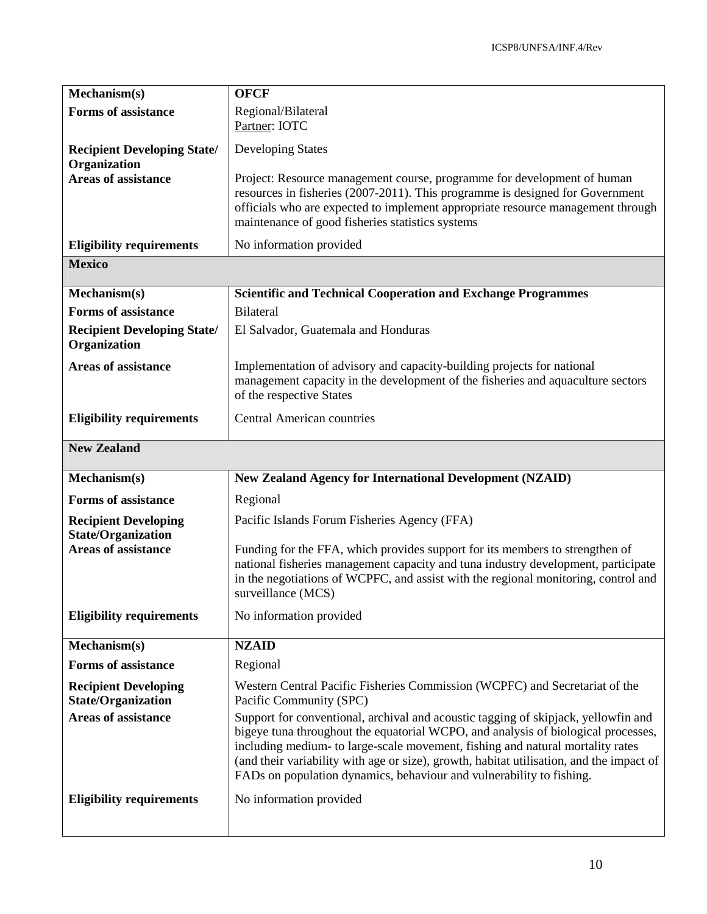| Mechanism(s)                                             | <b>OFCF</b>                                                                                                                                                                                                                                                                                                                                                                                                                   |
|----------------------------------------------------------|-------------------------------------------------------------------------------------------------------------------------------------------------------------------------------------------------------------------------------------------------------------------------------------------------------------------------------------------------------------------------------------------------------------------------------|
| <b>Forms of assistance</b>                               | Regional/Bilateral<br>Partner: IOTC                                                                                                                                                                                                                                                                                                                                                                                           |
| <b>Recipient Developing State/</b><br>Organization       | <b>Developing States</b>                                                                                                                                                                                                                                                                                                                                                                                                      |
| <b>Areas of assistance</b>                               | Project: Resource management course, programme for development of human<br>resources in fisheries (2007-2011). This programme is designed for Government<br>officials who are expected to implement appropriate resource management through<br>maintenance of good fisheries statistics systems                                                                                                                               |
| <b>Eligibility requirements</b>                          | No information provided                                                                                                                                                                                                                                                                                                                                                                                                       |
| <b>Mexico</b>                                            |                                                                                                                                                                                                                                                                                                                                                                                                                               |
| Mechanism(s)                                             | <b>Scientific and Technical Cooperation and Exchange Programmes</b>                                                                                                                                                                                                                                                                                                                                                           |
| <b>Forms of assistance</b>                               | <b>Bilateral</b>                                                                                                                                                                                                                                                                                                                                                                                                              |
| <b>Recipient Developing State/</b><br>Organization       | El Salvador, Guatemala and Honduras                                                                                                                                                                                                                                                                                                                                                                                           |
| <b>Areas of assistance</b>                               | Implementation of advisory and capacity-building projects for national<br>management capacity in the development of the fisheries and aquaculture sectors<br>of the respective States                                                                                                                                                                                                                                         |
| <b>Eligibility requirements</b>                          | <b>Central American countries</b>                                                                                                                                                                                                                                                                                                                                                                                             |
| <b>New Zealand</b>                                       |                                                                                                                                                                                                                                                                                                                                                                                                                               |
| Mechanism(s)                                             | <b>New Zealand Agency for International Development (NZAID)</b>                                                                                                                                                                                                                                                                                                                                                               |
| <b>Forms of assistance</b>                               | Regional                                                                                                                                                                                                                                                                                                                                                                                                                      |
| <b>Recipient Developing</b><br><b>State/Organization</b> | Pacific Islands Forum Fisheries Agency (FFA)                                                                                                                                                                                                                                                                                                                                                                                  |
| <b>Areas of assistance</b>                               | Funding for the FFA, which provides support for its members to strengthen of<br>national fisheries management capacity and tuna industry development, participate<br>in the negotiations of WCPFC, and assist with the regional monitoring, control and<br>surveillance (MCS)                                                                                                                                                 |
| <b>Eligibility requirements</b>                          | No information provided                                                                                                                                                                                                                                                                                                                                                                                                       |
| Mechanism(s)                                             |                                                                                                                                                                                                                                                                                                                                                                                                                               |
|                                                          | <b>NZAID</b>                                                                                                                                                                                                                                                                                                                                                                                                                  |
| <b>Forms of assistance</b>                               | Regional                                                                                                                                                                                                                                                                                                                                                                                                                      |
| <b>Recipient Developing</b><br><b>State/Organization</b> | Western Central Pacific Fisheries Commission (WCPFC) and Secretariat of the<br>Pacific Community (SPC)                                                                                                                                                                                                                                                                                                                        |
| <b>Areas of assistance</b>                               | Support for conventional, archival and acoustic tagging of skipjack, yellowfin and<br>bigeye tuna throughout the equatorial WCPO, and analysis of biological processes,<br>including medium- to large-scale movement, fishing and natural mortality rates<br>(and their variability with age or size), growth, habitat utilisation, and the impact of<br>FADs on population dynamics, behaviour and vulnerability to fishing. |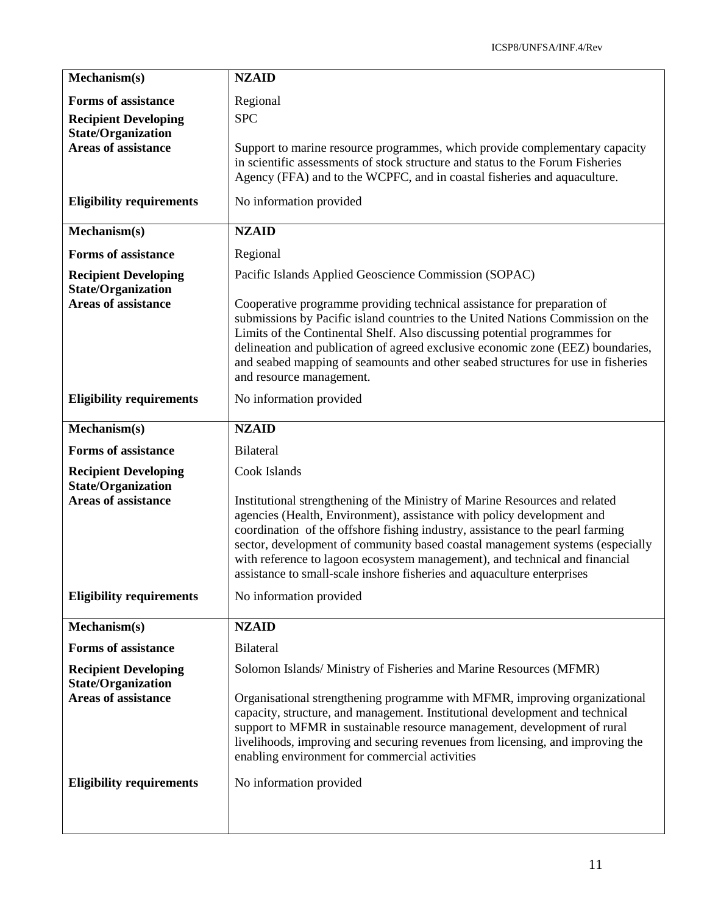| Mechanism(s)                                             | <b>NZAID</b>                                                                                                                                                                                                                                                                                                                                                                                                                                                                       |
|----------------------------------------------------------|------------------------------------------------------------------------------------------------------------------------------------------------------------------------------------------------------------------------------------------------------------------------------------------------------------------------------------------------------------------------------------------------------------------------------------------------------------------------------------|
| <b>Forms of assistance</b>                               | Regional                                                                                                                                                                                                                                                                                                                                                                                                                                                                           |
| <b>Recipient Developing</b>                              | <b>SPC</b>                                                                                                                                                                                                                                                                                                                                                                                                                                                                         |
| <b>State/Organization</b><br><b>Areas of assistance</b>  | Support to marine resource programmes, which provide complementary capacity<br>in scientific assessments of stock structure and status to the Forum Fisheries<br>Agency (FFA) and to the WCPFC, and in coastal fisheries and aquaculture.                                                                                                                                                                                                                                          |
| <b>Eligibility requirements</b>                          | No information provided                                                                                                                                                                                                                                                                                                                                                                                                                                                            |
| Mechanism(s)                                             | <b>NZAID</b>                                                                                                                                                                                                                                                                                                                                                                                                                                                                       |
| <b>Forms of assistance</b>                               | Regional                                                                                                                                                                                                                                                                                                                                                                                                                                                                           |
| <b>Recipient Developing</b>                              | Pacific Islands Applied Geoscience Commission (SOPAC)                                                                                                                                                                                                                                                                                                                                                                                                                              |
| <b>State/Organization</b><br><b>Areas of assistance</b>  | Cooperative programme providing technical assistance for preparation of<br>submissions by Pacific island countries to the United Nations Commission on the<br>Limits of the Continental Shelf. Also discussing potential programmes for<br>delineation and publication of agreed exclusive economic zone (EEZ) boundaries,<br>and seabed mapping of seamounts and other seabed structures for use in fisheries<br>and resource management.                                         |
| <b>Eligibility requirements</b>                          | No information provided                                                                                                                                                                                                                                                                                                                                                                                                                                                            |
| Mechanism(s)                                             | <b>NZAID</b>                                                                                                                                                                                                                                                                                                                                                                                                                                                                       |
| <b>Forms of assistance</b>                               | Bilateral                                                                                                                                                                                                                                                                                                                                                                                                                                                                          |
| <b>Recipient Developing</b><br><b>State/Organization</b> | Cook Islands                                                                                                                                                                                                                                                                                                                                                                                                                                                                       |
| <b>Areas of assistance</b>                               | Institutional strengthening of the Ministry of Marine Resources and related<br>agencies (Health, Environment), assistance with policy development and<br>coordination of the offshore fishing industry, assistance to the pearl farming<br>sector, development of community based coastal management systems (especially<br>with reference to lagoon ecosystem management), and technical and financial<br>assistance to small-scale inshore fisheries and aquaculture enterprises |
| <b>Eligibility requirements</b>                          | No information provided                                                                                                                                                                                                                                                                                                                                                                                                                                                            |
| Mechanism(s)                                             | <b>NZAID</b>                                                                                                                                                                                                                                                                                                                                                                                                                                                                       |
| <b>Forms of assistance</b>                               | Bilateral                                                                                                                                                                                                                                                                                                                                                                                                                                                                          |
| <b>Recipient Developing</b>                              | Solomon Islands/Ministry of Fisheries and Marine Resources (MFMR)                                                                                                                                                                                                                                                                                                                                                                                                                  |
| <b>State/Organization</b><br><b>Areas of assistance</b>  | Organisational strengthening programme with MFMR, improving organizational<br>capacity, structure, and management. Institutional development and technical<br>support to MFMR in sustainable resource management, development of rural<br>livelihoods, improving and securing revenues from licensing, and improving the<br>enabling environment for commercial activities                                                                                                         |
| <b>Eligibility requirements</b>                          | No information provided                                                                                                                                                                                                                                                                                                                                                                                                                                                            |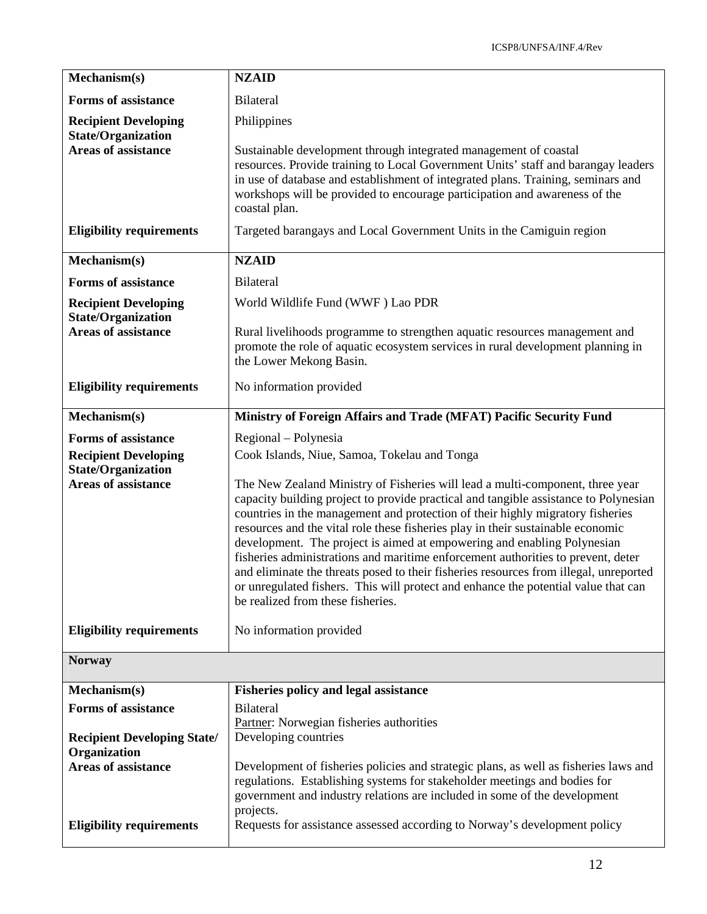| Mechanism(s)                                                  | <b>NZAID</b>                                                                                                                                                                                                                                                                                                                                                                                                                                                                                                                                                                                                                                                                                                                  |
|---------------------------------------------------------------|-------------------------------------------------------------------------------------------------------------------------------------------------------------------------------------------------------------------------------------------------------------------------------------------------------------------------------------------------------------------------------------------------------------------------------------------------------------------------------------------------------------------------------------------------------------------------------------------------------------------------------------------------------------------------------------------------------------------------------|
| <b>Forms of assistance</b>                                    | <b>Bilateral</b>                                                                                                                                                                                                                                                                                                                                                                                                                                                                                                                                                                                                                                                                                                              |
| <b>Recipient Developing</b>                                   | Philippines                                                                                                                                                                                                                                                                                                                                                                                                                                                                                                                                                                                                                                                                                                                   |
| <b>State/Organization</b><br><b>Areas of assistance</b>       | Sustainable development through integrated management of coastal<br>resources. Provide training to Local Government Units' staff and barangay leaders<br>in use of database and establishment of integrated plans. Training, seminars and<br>workshops will be provided to encourage participation and awareness of the<br>coastal plan.                                                                                                                                                                                                                                                                                                                                                                                      |
| <b>Eligibility requirements</b>                               | Targeted barangays and Local Government Units in the Camiguin region                                                                                                                                                                                                                                                                                                                                                                                                                                                                                                                                                                                                                                                          |
| Mechanism(s)                                                  | <b>NZAID</b>                                                                                                                                                                                                                                                                                                                                                                                                                                                                                                                                                                                                                                                                                                                  |
| <b>Forms of assistance</b>                                    | <b>Bilateral</b>                                                                                                                                                                                                                                                                                                                                                                                                                                                                                                                                                                                                                                                                                                              |
| <b>Recipient Developing</b>                                   | World Wildlife Fund (WWF) Lao PDR                                                                                                                                                                                                                                                                                                                                                                                                                                                                                                                                                                                                                                                                                             |
| <b>State/Organization</b><br><b>Areas of assistance</b>       | Rural livelihoods programme to strengthen aquatic resources management and<br>promote the role of aquatic ecosystem services in rural development planning in<br>the Lower Mekong Basin.                                                                                                                                                                                                                                                                                                                                                                                                                                                                                                                                      |
| <b>Eligibility requirements</b>                               | No information provided                                                                                                                                                                                                                                                                                                                                                                                                                                                                                                                                                                                                                                                                                                       |
| Mechanism(s)                                                  | Ministry of Foreign Affairs and Trade (MFAT) Pacific Security Fund                                                                                                                                                                                                                                                                                                                                                                                                                                                                                                                                                                                                                                                            |
| <b>Forms of assistance</b>                                    | Regional – Polynesia                                                                                                                                                                                                                                                                                                                                                                                                                                                                                                                                                                                                                                                                                                          |
| <b>Recipient Developing</b><br><b>State/Organization</b>      | Cook Islands, Niue, Samoa, Tokelau and Tonga                                                                                                                                                                                                                                                                                                                                                                                                                                                                                                                                                                                                                                                                                  |
| <b>Areas of assistance</b>                                    | The New Zealand Ministry of Fisheries will lead a multi-component, three year<br>capacity building project to provide practical and tangible assistance to Polynesian<br>countries in the management and protection of their highly migratory fisheries<br>resources and the vital role these fisheries play in their sustainable economic<br>development. The project is aimed at empowering and enabling Polynesian<br>fisheries administrations and maritime enforcement authorities to prevent, deter<br>and eliminate the threats posed to their fisheries resources from illegal, unreported<br>or unregulated fishers. This will protect and enhance the potential value that can<br>be realized from these fisheries. |
| <b>Eligibility requirements</b>                               | No information provided                                                                                                                                                                                                                                                                                                                                                                                                                                                                                                                                                                                                                                                                                                       |
| <b>Norway</b>                                                 |                                                                                                                                                                                                                                                                                                                                                                                                                                                                                                                                                                                                                                                                                                                               |
| Mechanism(s)                                                  | <b>Fisheries policy and legal assistance</b>                                                                                                                                                                                                                                                                                                                                                                                                                                                                                                                                                                                                                                                                                  |
| <b>Forms of assistance</b>                                    | <b>Bilateral</b><br>Partner: Norwegian fisheries authorities                                                                                                                                                                                                                                                                                                                                                                                                                                                                                                                                                                                                                                                                  |
| <b>Recipient Developing State/</b>                            | Developing countries                                                                                                                                                                                                                                                                                                                                                                                                                                                                                                                                                                                                                                                                                                          |
| Organization                                                  |                                                                                                                                                                                                                                                                                                                                                                                                                                                                                                                                                                                                                                                                                                                               |
| <b>Areas of assistance</b><br><b>Eligibility requirements</b> | Development of fisheries policies and strategic plans, as well as fisheries laws and<br>regulations. Establishing systems for stakeholder meetings and bodies for<br>government and industry relations are included in some of the development<br>projects.<br>Requests for assistance assessed according to Norway's development policy                                                                                                                                                                                                                                                                                                                                                                                      |
|                                                               |                                                                                                                                                                                                                                                                                                                                                                                                                                                                                                                                                                                                                                                                                                                               |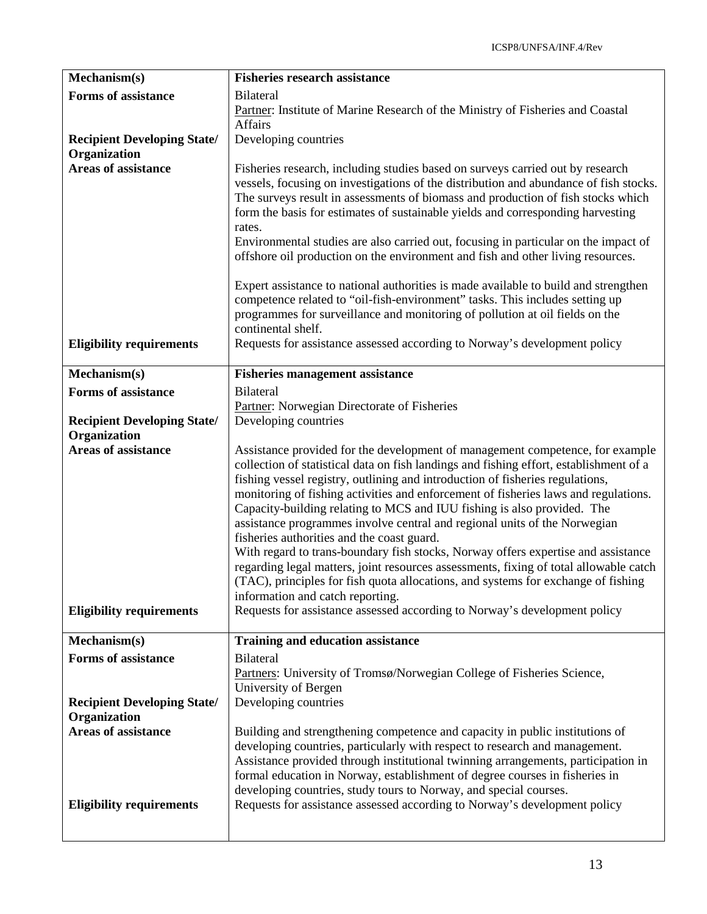| Mechanism(s)                               | <b>Fisheries research assistance</b>                                                                                                                             |
|--------------------------------------------|------------------------------------------------------------------------------------------------------------------------------------------------------------------|
| <b>Forms of assistance</b>                 | <b>Bilateral</b>                                                                                                                                                 |
|                                            | Partner: Institute of Marine Research of the Ministry of Fisheries and Coastal                                                                                   |
|                                            | Affairs                                                                                                                                                          |
| <b>Recipient Developing State/</b>         | Developing countries                                                                                                                                             |
| Organization<br><b>Areas of assistance</b> | Fisheries research, including studies based on surveys carried out by research                                                                                   |
|                                            | vessels, focusing on investigations of the distribution and abundance of fish stocks.                                                                            |
|                                            | The surveys result in assessments of biomass and production of fish stocks which                                                                                 |
|                                            | form the basis for estimates of sustainable yields and corresponding harvesting                                                                                  |
|                                            | rates.                                                                                                                                                           |
|                                            | Environmental studies are also carried out, focusing in particular on the impact of                                                                              |
|                                            | offshore oil production on the environment and fish and other living resources.                                                                                  |
|                                            | Expert assistance to national authorities is made available to build and strengthen                                                                              |
|                                            | competence related to "oil-fish-environment" tasks. This includes setting up                                                                                     |
|                                            | programmes for surveillance and monitoring of pollution at oil fields on the                                                                                     |
|                                            | continental shelf.                                                                                                                                               |
| <b>Eligibility requirements</b>            | Requests for assistance assessed according to Norway's development policy                                                                                        |
|                                            |                                                                                                                                                                  |
| Mechanism(s)                               | <b>Fisheries management assistance</b>                                                                                                                           |
| <b>Forms of assistance</b>                 | <b>Bilateral</b><br>Partner: Norwegian Directorate of Fisheries                                                                                                  |
| <b>Recipient Developing State/</b>         | Developing countries                                                                                                                                             |
| Organization                               |                                                                                                                                                                  |
| <b>Areas of assistance</b>                 | Assistance provided for the development of management competence, for example                                                                                    |
|                                            | collection of statistical data on fish landings and fishing effort, establishment of a                                                                           |
|                                            | fishing vessel registry, outlining and introduction of fisheries regulations,                                                                                    |
|                                            | monitoring of fishing activities and enforcement of fisheries laws and regulations.                                                                              |
|                                            | Capacity-building relating to MCS and IUU fishing is also provided. The<br>assistance programmes involve central and regional units of the Norwegian             |
|                                            | fisheries authorities and the coast guard.                                                                                                                       |
|                                            | With regard to trans-boundary fish stocks, Norway offers expertise and assistance                                                                                |
|                                            | regarding legal matters, joint resources assessments, fixing of total allowable catch                                                                            |
|                                            | (TAC), principles for fish quota allocations, and systems for exchange of fishing                                                                                |
|                                            | information and catch reporting.                                                                                                                                 |
| <b>Eligibility requirements</b>            | Requests for assistance assessed according to Norway's development policy                                                                                        |
| Mechanism(s)                               | <b>Training and education assistance</b>                                                                                                                         |
| <b>Forms of assistance</b>                 | <b>Bilateral</b>                                                                                                                                                 |
|                                            | Partners: University of Tromsø/Norwegian College of Fisheries Science,                                                                                           |
|                                            | University of Bergen                                                                                                                                             |
| <b>Recipient Developing State/</b>         | Developing countries                                                                                                                                             |
| Organization                               |                                                                                                                                                                  |
| <b>Areas of assistance</b>                 | Building and strengthening competence and capacity in public institutions of                                                                                     |
|                                            | developing countries, particularly with respect to research and management.<br>Assistance provided through institutional twinning arrangements, participation in |
|                                            | formal education in Norway, establishment of degree courses in fisheries in                                                                                      |
|                                            | developing countries, study tours to Norway, and special courses.                                                                                                |
| <b>Eligibility requirements</b>            | Requests for assistance assessed according to Norway's development policy                                                                                        |
|                                            |                                                                                                                                                                  |
|                                            |                                                                                                                                                                  |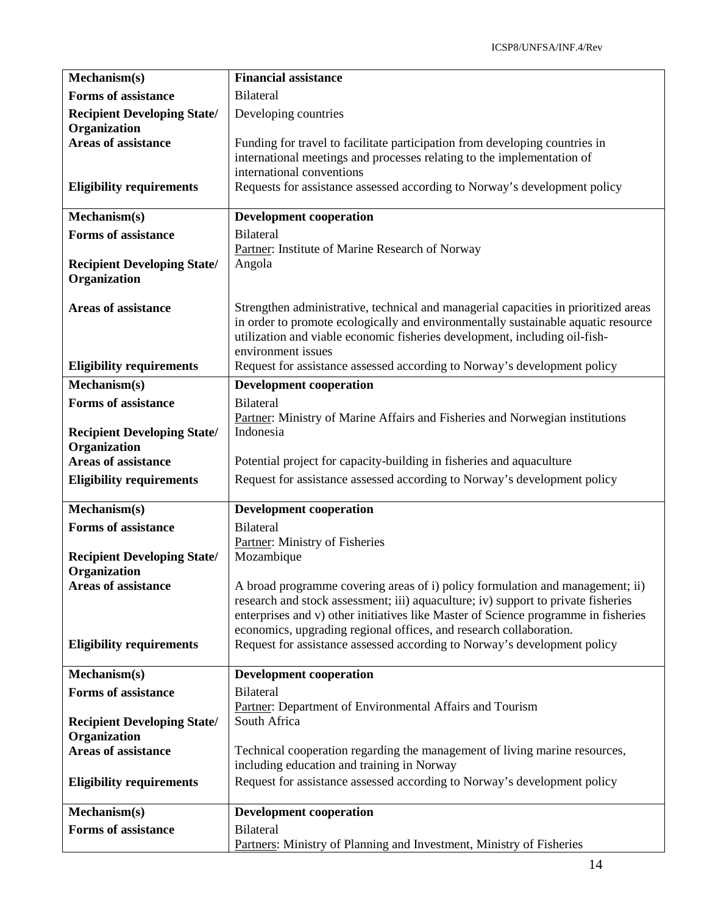| Mechanism(s)                                       | <b>Financial assistance</b>                                                                                                                                                                                                                                                                                                    |
|----------------------------------------------------|--------------------------------------------------------------------------------------------------------------------------------------------------------------------------------------------------------------------------------------------------------------------------------------------------------------------------------|
| <b>Forms of assistance</b>                         | <b>Bilateral</b>                                                                                                                                                                                                                                                                                                               |
| <b>Recipient Developing State/</b><br>Organization | Developing countries                                                                                                                                                                                                                                                                                                           |
| <b>Areas of assistance</b>                         | Funding for travel to facilitate participation from developing countries in<br>international meetings and processes relating to the implementation of<br>international conventions                                                                                                                                             |
| <b>Eligibility requirements</b>                    | Requests for assistance assessed according to Norway's development policy                                                                                                                                                                                                                                                      |
| Mechanism(s)                                       | <b>Development cooperation</b>                                                                                                                                                                                                                                                                                                 |
| <b>Forms of assistance</b>                         | <b>Bilateral</b>                                                                                                                                                                                                                                                                                                               |
| <b>Recipient Developing State/</b><br>Organization | Partner: Institute of Marine Research of Norway<br>Angola                                                                                                                                                                                                                                                                      |
| <b>Areas of assistance</b>                         | Strengthen administrative, technical and managerial capacities in prioritized areas<br>in order to promote ecologically and environmentally sustainable aquatic resource<br>utilization and viable economic fisheries development, including oil-fish-<br>environment issues                                                   |
| <b>Eligibility requirements</b>                    | Request for assistance assessed according to Norway's development policy                                                                                                                                                                                                                                                       |
| Mechanism(s)                                       | <b>Development cooperation</b>                                                                                                                                                                                                                                                                                                 |
| <b>Forms of assistance</b>                         | <b>Bilateral</b><br>Partner: Ministry of Marine Affairs and Fisheries and Norwegian institutions                                                                                                                                                                                                                               |
| <b>Recipient Developing State/</b>                 | Indonesia                                                                                                                                                                                                                                                                                                                      |
| Organization                                       |                                                                                                                                                                                                                                                                                                                                |
| <b>Areas of assistance</b>                         | Potential project for capacity-building in fisheries and aquaculture                                                                                                                                                                                                                                                           |
| <b>Eligibility requirements</b>                    | Request for assistance assessed according to Norway's development policy                                                                                                                                                                                                                                                       |
| Mechanism(s)                                       | <b>Development cooperation</b>                                                                                                                                                                                                                                                                                                 |
| <b>Forms of assistance</b>                         | <b>Bilateral</b>                                                                                                                                                                                                                                                                                                               |
| <b>Recipient Developing State/</b><br>Organization | Partner: Ministry of Fisheries<br>Mozambique                                                                                                                                                                                                                                                                                   |
| <b>Areas of assistance</b>                         | A broad programme covering areas of i) policy formulation and management; ii)<br>research and stock assessment; iii) aquaculture; iv) support to private fisheries<br>enterprises and v) other initiatives like Master of Science programme in fisheries<br>economics, upgrading regional offices, and research collaboration. |
| <b>Eligibility requirements</b>                    | Request for assistance assessed according to Norway's development policy                                                                                                                                                                                                                                                       |
| Mechanism(s)                                       | <b>Development cooperation</b>                                                                                                                                                                                                                                                                                                 |
| <b>Forms of assistance</b>                         | <b>Bilateral</b>                                                                                                                                                                                                                                                                                                               |
| <b>Recipient Developing State/</b><br>Organization | Partner: Department of Environmental Affairs and Tourism<br>South Africa                                                                                                                                                                                                                                                       |
| <b>Areas of assistance</b>                         | Technical cooperation regarding the management of living marine resources,<br>including education and training in Norway                                                                                                                                                                                                       |
| <b>Eligibility requirements</b>                    | Request for assistance assessed according to Norway's development policy                                                                                                                                                                                                                                                       |
| Mechanism(s)                                       | <b>Development cooperation</b>                                                                                                                                                                                                                                                                                                 |
| <b>Forms of assistance</b>                         | <b>Bilateral</b>                                                                                                                                                                                                                                                                                                               |
|                                                    | Partners: Ministry of Planning and Investment, Ministry of Fisheries                                                                                                                                                                                                                                                           |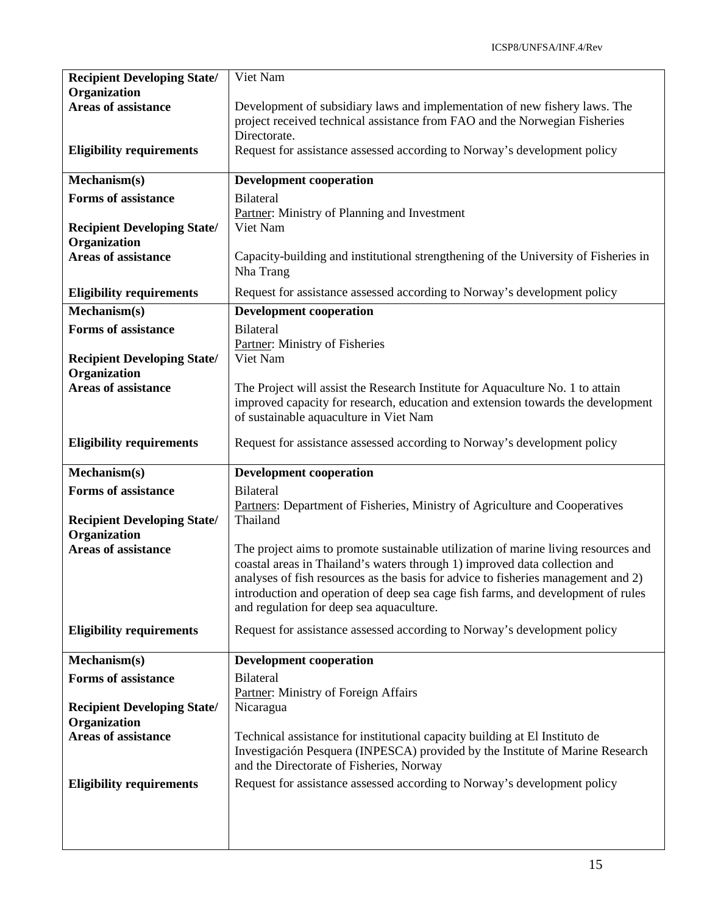| <b>Recipient Developing State/</b>                 | Viet Nam                                                                                                                                                          |
|----------------------------------------------------|-------------------------------------------------------------------------------------------------------------------------------------------------------------------|
| <b>Organization</b><br><b>Areas of assistance</b>  | Development of subsidiary laws and implementation of new fishery laws. The                                                                                        |
|                                                    | project received technical assistance from FAO and the Norwegian Fisheries                                                                                        |
|                                                    | Directorate.                                                                                                                                                      |
| <b>Eligibility requirements</b>                    | Request for assistance assessed according to Norway's development policy                                                                                          |
| Mechanism(s)                                       | <b>Development cooperation</b>                                                                                                                                    |
| <b>Forms of assistance</b>                         | Bilateral                                                                                                                                                         |
| <b>Recipient Developing State/</b>                 | Partner: Ministry of Planning and Investment<br>Viet Nam                                                                                                          |
| Organization                                       |                                                                                                                                                                   |
| <b>Areas of assistance</b>                         | Capacity-building and institutional strengthening of the University of Fisheries in<br>Nha Trang                                                                  |
| <b>Eligibility requirements</b>                    | Request for assistance assessed according to Norway's development policy                                                                                          |
| Mechanism(s)                                       | <b>Development cooperation</b>                                                                                                                                    |
| <b>Forms of assistance</b>                         | <b>Bilateral</b><br>Partner: Ministry of Fisheries                                                                                                                |
| <b>Recipient Developing State/</b>                 | Viet Nam                                                                                                                                                          |
| Organization                                       |                                                                                                                                                                   |
| <b>Areas of assistance</b>                         | The Project will assist the Research Institute for Aquaculture No. 1 to attain<br>improved capacity for research, education and extension towards the development |
|                                                    | of sustainable aquaculture in Viet Nam                                                                                                                            |
| <b>Eligibility requirements</b>                    | Request for assistance assessed according to Norway's development policy                                                                                          |
|                                                    |                                                                                                                                                                   |
|                                                    |                                                                                                                                                                   |
| Mechanism(s)                                       | <b>Development cooperation</b>                                                                                                                                    |
| <b>Forms of assistance</b>                         | <b>Bilateral</b>                                                                                                                                                  |
| <b>Recipient Developing State/</b>                 | Partners: Department of Fisheries, Ministry of Agriculture and Cooperatives<br>Thailand                                                                           |
| Organization                                       |                                                                                                                                                                   |
| <b>Areas of assistance</b>                         | The project aims to promote sustainable utilization of marine living resources and                                                                                |
|                                                    | coastal areas in Thailand's waters through 1) improved data collection and<br>analyses of fish resources as the basis for advice to fisheries management and 2)   |
|                                                    | introduction and operation of deep sea cage fish farms, and development of rules                                                                                  |
|                                                    | and regulation for deep sea aquaculture.                                                                                                                          |
| <b>Eligibility requirements</b>                    | Request for assistance assessed according to Norway's development policy                                                                                          |
| Mechanism(s)                                       | <b>Development cooperation</b>                                                                                                                                    |
| <b>Forms of assistance</b>                         | <b>Bilateral</b>                                                                                                                                                  |
|                                                    | Partner: Ministry of Foreign Affairs                                                                                                                              |
| <b>Recipient Developing State/</b><br>Organization | Nicaragua                                                                                                                                                         |
| <b>Areas of assistance</b>                         | Technical assistance for institutional capacity building at El Instituto de                                                                                       |
|                                                    | Investigación Pesquera (INPESCA) provided by the Institute of Marine Research                                                                                     |
| <b>Eligibility requirements</b>                    | and the Directorate of Fisheries, Norway<br>Request for assistance assessed according to Norway's development policy                                              |
|                                                    |                                                                                                                                                                   |
|                                                    |                                                                                                                                                                   |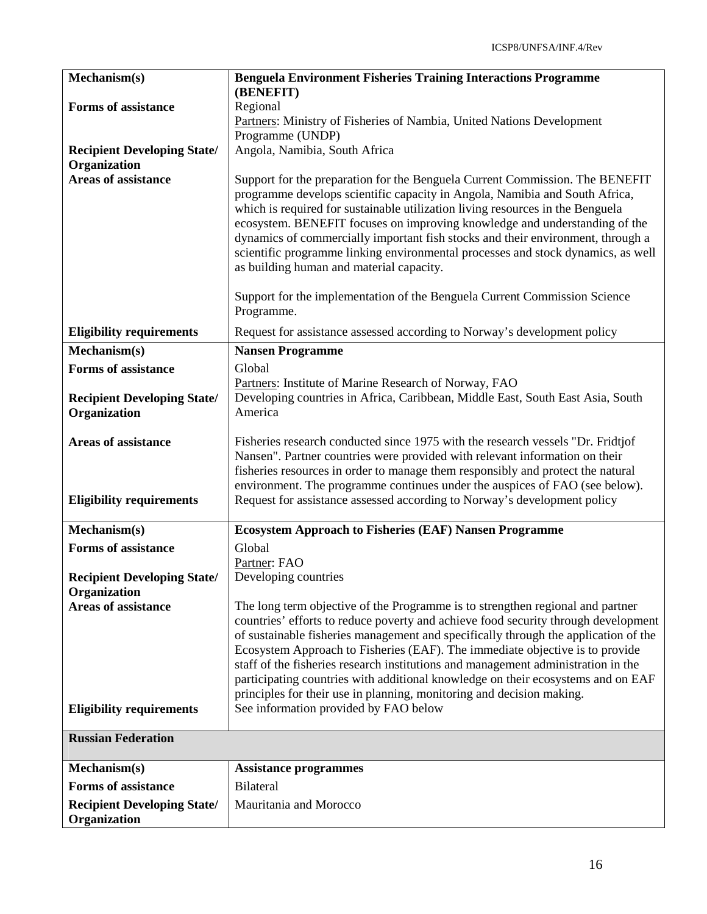| Mechanism(s)                                                  | <b>Benguela Environment Fisheries Training Interactions Programme</b>                                                                                                                                                                                                                                                                                                                                                                                                                                                                                                                         |
|---------------------------------------------------------------|-----------------------------------------------------------------------------------------------------------------------------------------------------------------------------------------------------------------------------------------------------------------------------------------------------------------------------------------------------------------------------------------------------------------------------------------------------------------------------------------------------------------------------------------------------------------------------------------------|
| <b>Forms of assistance</b>                                    | (BENEFIT)<br>Regional                                                                                                                                                                                                                                                                                                                                                                                                                                                                                                                                                                         |
|                                                               | Partners: Ministry of Fisheries of Nambia, United Nations Development                                                                                                                                                                                                                                                                                                                                                                                                                                                                                                                         |
|                                                               | Programme (UNDP)                                                                                                                                                                                                                                                                                                                                                                                                                                                                                                                                                                              |
| <b>Recipient Developing State/</b>                            | Angola, Namibia, South Africa                                                                                                                                                                                                                                                                                                                                                                                                                                                                                                                                                                 |
| Organization                                                  |                                                                                                                                                                                                                                                                                                                                                                                                                                                                                                                                                                                               |
| <b>Areas of assistance</b>                                    | Support for the preparation for the Benguela Current Commission. The BENEFIT<br>programme develops scientific capacity in Angola, Namibia and South Africa,<br>which is required for sustainable utilization living resources in the Benguela<br>ecosystem. BENEFIT focuses on improving knowledge and understanding of the<br>dynamics of commercially important fish stocks and their environment, through a                                                                                                                                                                                |
|                                                               | scientific programme linking environmental processes and stock dynamics, as well<br>as building human and material capacity.                                                                                                                                                                                                                                                                                                                                                                                                                                                                  |
|                                                               | Support for the implementation of the Benguela Current Commission Science<br>Programme.                                                                                                                                                                                                                                                                                                                                                                                                                                                                                                       |
| <b>Eligibility requirements</b>                               | Request for assistance assessed according to Norway's development policy                                                                                                                                                                                                                                                                                                                                                                                                                                                                                                                      |
| Mechanism(s)                                                  | <b>Nansen Programme</b>                                                                                                                                                                                                                                                                                                                                                                                                                                                                                                                                                                       |
| <b>Forms of assistance</b>                                    | Global                                                                                                                                                                                                                                                                                                                                                                                                                                                                                                                                                                                        |
|                                                               | Partners: Institute of Marine Research of Norway, FAO                                                                                                                                                                                                                                                                                                                                                                                                                                                                                                                                         |
| <b>Recipient Developing State/</b><br>Organization            | Developing countries in Africa, Caribbean, Middle East, South East Asia, South<br>America                                                                                                                                                                                                                                                                                                                                                                                                                                                                                                     |
| <b>Areas of assistance</b><br><b>Eligibility requirements</b> | Fisheries research conducted since 1975 with the research vessels "Dr. Fridtjof"<br>Nansen". Partner countries were provided with relevant information on their<br>fisheries resources in order to manage them responsibly and protect the natural<br>environment. The programme continues under the auspices of FAO (see below).<br>Request for assistance assessed according to Norway's development policy                                                                                                                                                                                 |
|                                                               |                                                                                                                                                                                                                                                                                                                                                                                                                                                                                                                                                                                               |
| Mechanism(s)                                                  | <b>Ecosystem Approach to Fisheries (EAF) Nansen Programme</b>                                                                                                                                                                                                                                                                                                                                                                                                                                                                                                                                 |
| <b>Forms of assistance</b>                                    | Global                                                                                                                                                                                                                                                                                                                                                                                                                                                                                                                                                                                        |
|                                                               | Partner: FAO                                                                                                                                                                                                                                                                                                                                                                                                                                                                                                                                                                                  |
| <b>Recipient Developing State/</b>                            | Developing countries                                                                                                                                                                                                                                                                                                                                                                                                                                                                                                                                                                          |
| Organization<br><b>Areas of assistance</b>                    | The long term objective of the Programme is to strengthen regional and partner<br>countries' efforts to reduce poverty and achieve food security through development<br>of sustainable fisheries management and specifically through the application of the<br>Ecosystem Approach to Fisheries (EAF). The immediate objective is to provide<br>staff of the fisheries research institutions and management administration in the<br>participating countries with additional knowledge on their ecosystems and on EAF<br>principles for their use in planning, monitoring and decision making. |
| <b>Eligibility requirements</b>                               | See information provided by FAO below                                                                                                                                                                                                                                                                                                                                                                                                                                                                                                                                                         |
| <b>Russian Federation</b>                                     |                                                                                                                                                                                                                                                                                                                                                                                                                                                                                                                                                                                               |
| Mechanism(s)                                                  | <b>Assistance programmes</b>                                                                                                                                                                                                                                                                                                                                                                                                                                                                                                                                                                  |
| <b>Forms of assistance</b>                                    | <b>Bilateral</b>                                                                                                                                                                                                                                                                                                                                                                                                                                                                                                                                                                              |
| <b>Recipient Developing State/</b><br>Organization            | Mauritania and Morocco                                                                                                                                                                                                                                                                                                                                                                                                                                                                                                                                                                        |
|                                                               |                                                                                                                                                                                                                                                                                                                                                                                                                                                                                                                                                                                               |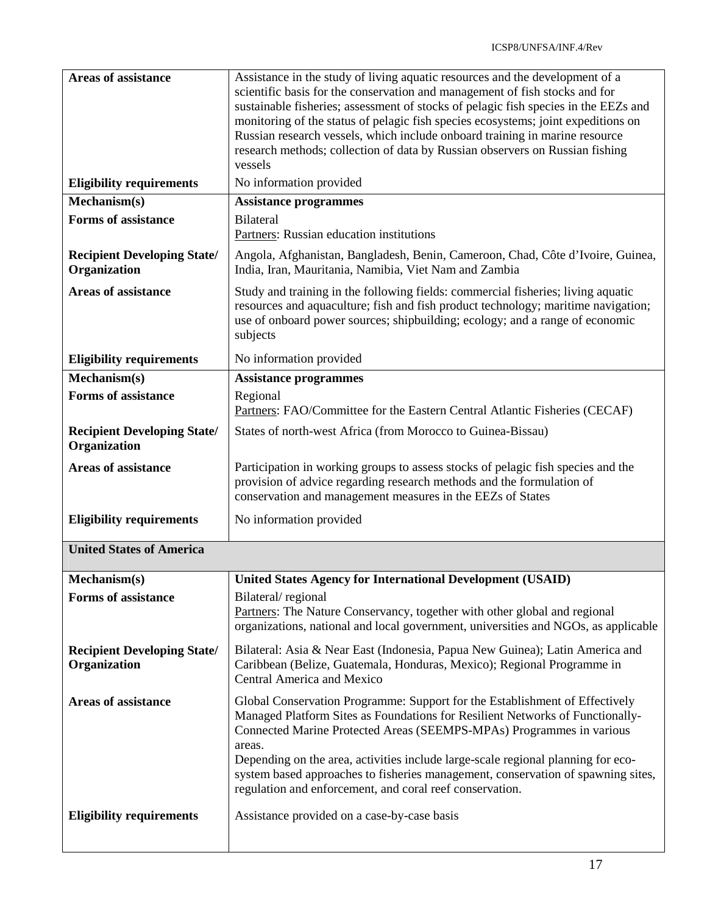| <b>Areas of assistance</b>                         | Assistance in the study of living aquatic resources and the development of a<br>scientific basis for the conservation and management of fish stocks and for<br>sustainable fisheries; assessment of stocks of pelagic fish species in the EEZs and<br>monitoring of the status of pelagic fish species ecosystems; joint expeditions on<br>Russian research vessels, which include onboard training in marine resource<br>research methods; collection of data by Russian observers on Russian fishing<br>vessels |
|----------------------------------------------------|-------------------------------------------------------------------------------------------------------------------------------------------------------------------------------------------------------------------------------------------------------------------------------------------------------------------------------------------------------------------------------------------------------------------------------------------------------------------------------------------------------------------|
| <b>Eligibility requirements</b>                    | No information provided                                                                                                                                                                                                                                                                                                                                                                                                                                                                                           |
| Mechanism(s)                                       | <b>Assistance programmes</b>                                                                                                                                                                                                                                                                                                                                                                                                                                                                                      |
| <b>Forms of assistance</b>                         | <b>Bilateral</b><br>Partners: Russian education institutions                                                                                                                                                                                                                                                                                                                                                                                                                                                      |
| <b>Recipient Developing State/</b><br>Organization | Angola, Afghanistan, Bangladesh, Benin, Cameroon, Chad, Côte d'Ivoire, Guinea,<br>India, Iran, Mauritania, Namibia, Viet Nam and Zambia                                                                                                                                                                                                                                                                                                                                                                           |
| <b>Areas of assistance</b>                         | Study and training in the following fields: commercial fisheries; living aquatic<br>resources and aquaculture; fish and fish product technology; maritime navigation;<br>use of onboard power sources; shipbuilding; ecology; and a range of economic<br>subjects                                                                                                                                                                                                                                                 |
| <b>Eligibility requirements</b>                    | No information provided                                                                                                                                                                                                                                                                                                                                                                                                                                                                                           |
| Mechanism(s)                                       | <b>Assistance programmes</b>                                                                                                                                                                                                                                                                                                                                                                                                                                                                                      |
| <b>Forms of assistance</b>                         | Regional<br>Partners: FAO/Committee for the Eastern Central Atlantic Fisheries (CECAF)                                                                                                                                                                                                                                                                                                                                                                                                                            |
| <b>Recipient Developing State/</b><br>Organization | States of north-west Africa (from Morocco to Guinea-Bissau)                                                                                                                                                                                                                                                                                                                                                                                                                                                       |
| Areas of assistance                                | Participation in working groups to assess stocks of pelagic fish species and the<br>provision of advice regarding research methods and the formulation of<br>conservation and management measures in the EEZs of States                                                                                                                                                                                                                                                                                           |
| <b>Eligibility requirements</b>                    | No information provided                                                                                                                                                                                                                                                                                                                                                                                                                                                                                           |
| <b>United States of America</b>                    |                                                                                                                                                                                                                                                                                                                                                                                                                                                                                                                   |
| Mechanism(s)                                       | <b>United States Agency for International Development (USAID)</b>                                                                                                                                                                                                                                                                                                                                                                                                                                                 |
| <b>Forms of assistance</b>                         | Bilateral/regional<br>Partners: The Nature Conservancy, together with other global and regional<br>organizations, national and local government, universities and NGOs, as applicable                                                                                                                                                                                                                                                                                                                             |
| <b>Recipient Developing State/</b><br>Organization | Bilateral: Asia & Near East (Indonesia, Papua New Guinea); Latin America and<br>Caribbean (Belize, Guatemala, Honduras, Mexico); Regional Programme in<br><b>Central America and Mexico</b>                                                                                                                                                                                                                                                                                                                       |
| <b>Areas of assistance</b>                         | Global Conservation Programme: Support for the Establishment of Effectively<br>Managed Platform Sites as Foundations for Resilient Networks of Functionally-<br>Connected Marine Protected Areas (SEEMPS-MPAs) Programmes in various<br>areas.<br>Depending on the area, activities include large-scale regional planning for eco-<br>system based approaches to fisheries management, conservation of spawning sites,<br>regulation and enforcement, and coral reef conservation.                                |
| <b>Eligibility requirements</b>                    | Assistance provided on a case-by-case basis                                                                                                                                                                                                                                                                                                                                                                                                                                                                       |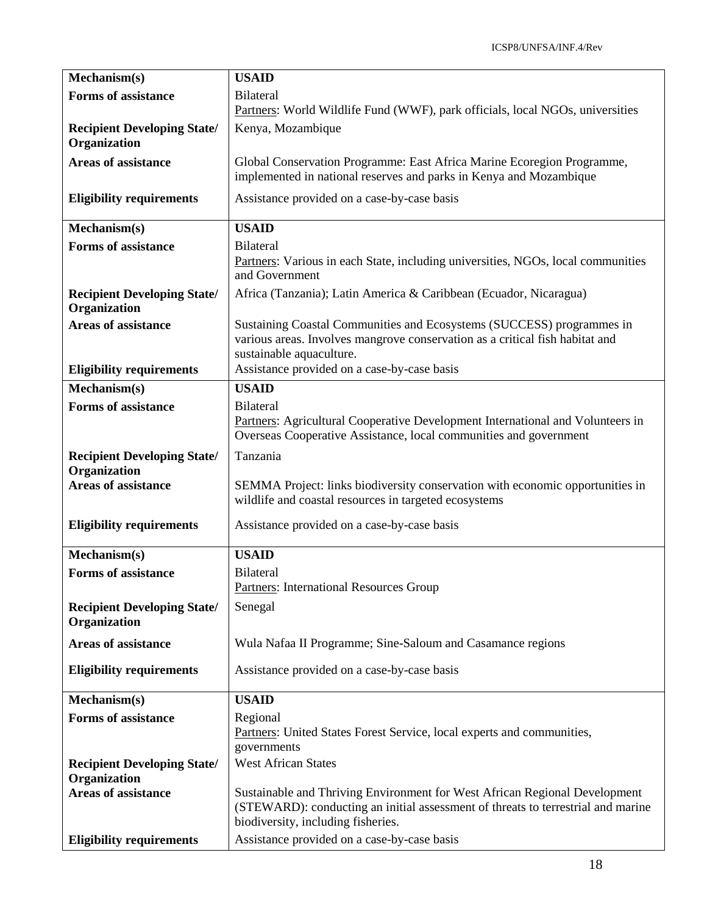| Mechanism(s)                                       | <b>USAID</b>                                                                                                                                                                                         |
|----------------------------------------------------|------------------------------------------------------------------------------------------------------------------------------------------------------------------------------------------------------|
| <b>Forms of assistance</b>                         | <b>Bilateral</b><br>Partners: World Wildlife Fund (WWF), park officials, local NGOs, universities                                                                                                    |
| <b>Recipient Developing State/</b><br>Organization | Kenya, Mozambique                                                                                                                                                                                    |
| <b>Areas of assistance</b>                         | Global Conservation Programme: East Africa Marine Ecoregion Programme,<br>implemented in national reserves and parks in Kenya and Mozambique                                                         |
| <b>Eligibility requirements</b>                    | Assistance provided on a case-by-case basis                                                                                                                                                          |
| Mechanism(s)                                       | <b>USAID</b>                                                                                                                                                                                         |
| <b>Forms of assistance</b>                         | <b>Bilateral</b><br>Partners: Various in each State, including universities, NGOs, local communities<br>and Government                                                                               |
| <b>Recipient Developing State/</b><br>Organization | Africa (Tanzania); Latin America & Caribbean (Ecuador, Nicaragua)                                                                                                                                    |
| <b>Areas of assistance</b>                         | Sustaining Coastal Communities and Ecosystems (SUCCESS) programmes in<br>various areas. Involves mangrove conservation as a critical fish habitat and<br>sustainable aquaculture.                    |
| <b>Eligibility requirements</b>                    | Assistance provided on a case-by-case basis                                                                                                                                                          |
| Mechanism(s)                                       | <b>USAID</b>                                                                                                                                                                                         |
| <b>Forms of assistance</b>                         | <b>Bilateral</b><br>Partners: Agricultural Cooperative Development International and Volunteers in<br>Overseas Cooperative Assistance, local communities and government                              |
| <b>Recipient Developing State/</b><br>Organization | Tanzania                                                                                                                                                                                             |
| <b>Areas of assistance</b>                         | SEMMA Project: links biodiversity conservation with economic opportunities in<br>wildlife and coastal resources in targeted ecosystems                                                               |
| <b>Eligibility requirements</b>                    | Assistance provided on a case-by-case basis                                                                                                                                                          |
| Mechanism(s)                                       | <b>USAID</b>                                                                                                                                                                                         |
| <b>Forms of assistance</b>                         | Bilateral<br><b>Partners: International Resources Group</b>                                                                                                                                          |
| <b>Recipient Developing State/</b><br>Organization | Senegal                                                                                                                                                                                              |
| <b>Areas of assistance</b>                         | Wula Nafaa II Programme; Sine-Saloum and Casamance regions                                                                                                                                           |
| <b>Eligibility requirements</b>                    | Assistance provided on a case-by-case basis                                                                                                                                                          |
| Mechanism(s)                                       | <b>USAID</b>                                                                                                                                                                                         |
| <b>Forms of assistance</b>                         | Regional<br>Partners: United States Forest Service, local experts and communities,<br>governments                                                                                                    |
| <b>Recipient Developing State/</b>                 | <b>West African States</b>                                                                                                                                                                           |
| Organization                                       |                                                                                                                                                                                                      |
| <b>Areas of assistance</b>                         | Sustainable and Thriving Environment for West African Regional Development<br>(STEWARD): conducting an initial assessment of threats to terrestrial and marine<br>biodiversity, including fisheries. |
| <b>Eligibility requirements</b>                    | Assistance provided on a case-by-case basis                                                                                                                                                          |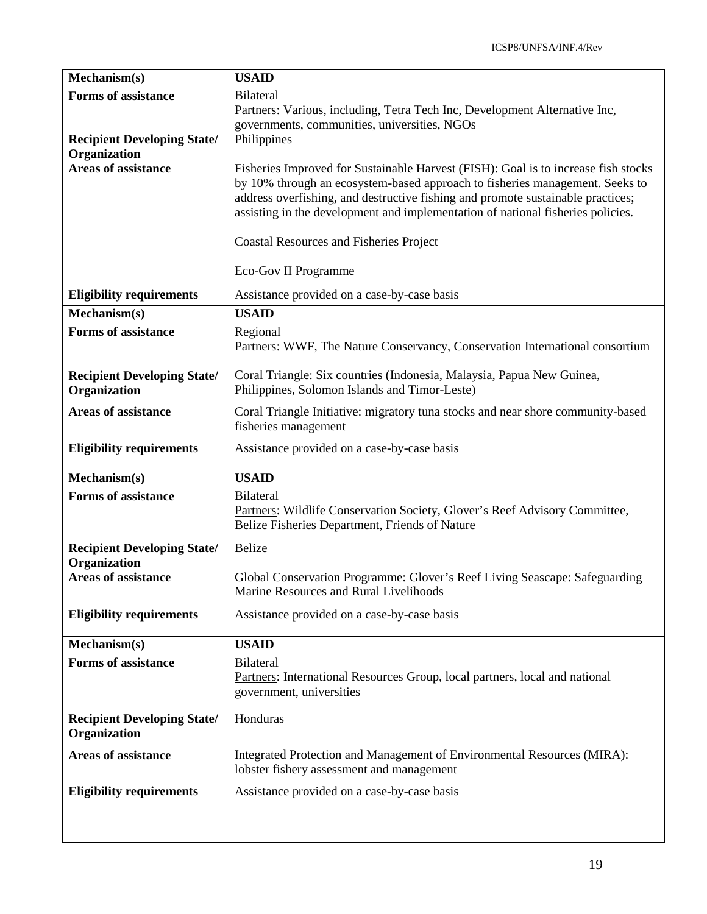| Mechanism(s)                                       | <b>USAID</b>                                                                                                                                                                                                                                                                                                                             |
|----------------------------------------------------|------------------------------------------------------------------------------------------------------------------------------------------------------------------------------------------------------------------------------------------------------------------------------------------------------------------------------------------|
| <b>Forms of assistance</b>                         | <b>Bilateral</b><br>Partners: Various, including, Tetra Tech Inc, Development Alternative Inc,<br>governments, communities, universities, NGOs                                                                                                                                                                                           |
| <b>Recipient Developing State/</b><br>Organization | Philippines                                                                                                                                                                                                                                                                                                                              |
| <b>Areas of assistance</b>                         | Fisheries Improved for Sustainable Harvest (FISH): Goal is to increase fish stocks<br>by 10% through an ecosystem-based approach to fisheries management. Seeks to<br>address overfishing, and destructive fishing and promote sustainable practices;<br>assisting in the development and implementation of national fisheries policies. |
|                                                    | <b>Coastal Resources and Fisheries Project</b>                                                                                                                                                                                                                                                                                           |
|                                                    | Eco-Gov II Programme                                                                                                                                                                                                                                                                                                                     |
| <b>Eligibility requirements</b>                    | Assistance provided on a case-by-case basis                                                                                                                                                                                                                                                                                              |
| Mechanism(s)                                       | <b>USAID</b>                                                                                                                                                                                                                                                                                                                             |
| <b>Forms of assistance</b>                         | Regional<br>Partners: WWF, The Nature Conservancy, Conservation International consortium                                                                                                                                                                                                                                                 |
| <b>Recipient Developing State/</b><br>Organization | Coral Triangle: Six countries (Indonesia, Malaysia, Papua New Guinea,<br>Philippines, Solomon Islands and Timor-Leste)                                                                                                                                                                                                                   |
| <b>Areas of assistance</b>                         | Coral Triangle Initiative: migratory tuna stocks and near shore community-based<br>fisheries management                                                                                                                                                                                                                                  |
| <b>Eligibility requirements</b>                    | Assistance provided on a case-by-case basis                                                                                                                                                                                                                                                                                              |
| Mechanism(s)                                       | <b>USAID</b>                                                                                                                                                                                                                                                                                                                             |
| <b>Forms of assistance</b>                         | <b>Bilateral</b><br>Partners: Wildlife Conservation Society, Glover's Reef Advisory Committee,<br>Belize Fisheries Department, Friends of Nature                                                                                                                                                                                         |
| <b>Recipient Developing State/</b><br>Organization | Belize                                                                                                                                                                                                                                                                                                                                   |
| <b>Areas of assistance</b>                         | Global Conservation Programme: Glover's Reef Living Seascape: Safeguarding<br>Marine Resources and Rural Livelihoods                                                                                                                                                                                                                     |
| <b>Eligibility requirements</b>                    | Assistance provided on a case-by-case basis                                                                                                                                                                                                                                                                                              |
| Mechanism(s)                                       | <b>USAID</b>                                                                                                                                                                                                                                                                                                                             |
| <b>Forms of assistance</b>                         | <b>Bilateral</b><br>Partners: International Resources Group, local partners, local and national<br>government, universities                                                                                                                                                                                                              |
| <b>Recipient Developing State/</b><br>Organization | Honduras                                                                                                                                                                                                                                                                                                                                 |
| <b>Areas of assistance</b>                         | Integrated Protection and Management of Environmental Resources (MIRA):<br>lobster fishery assessment and management                                                                                                                                                                                                                     |
| <b>Eligibility requirements</b>                    | Assistance provided on a case-by-case basis                                                                                                                                                                                                                                                                                              |
|                                                    |                                                                                                                                                                                                                                                                                                                                          |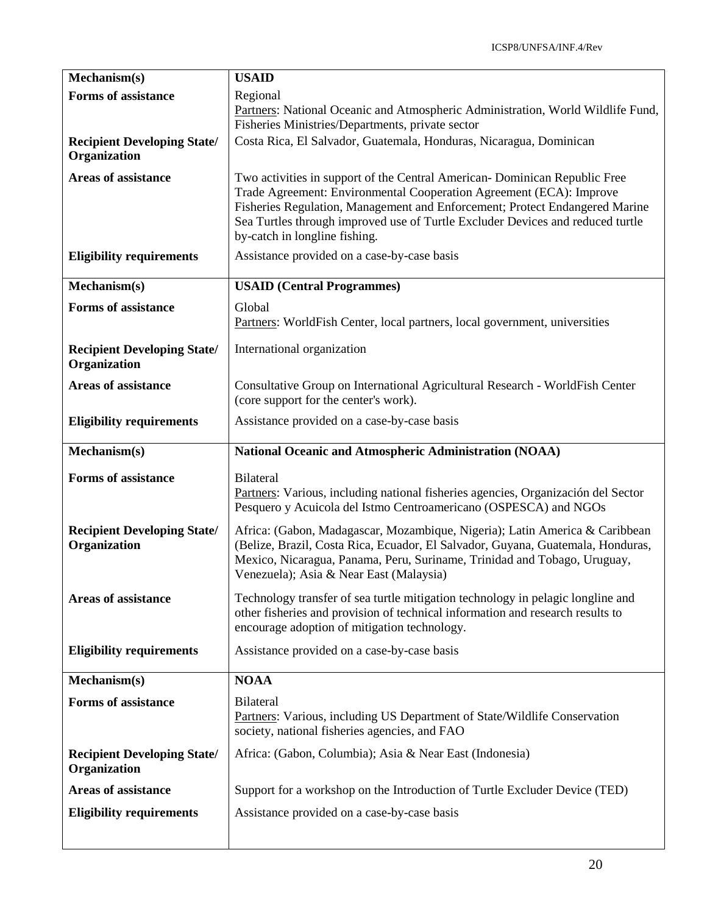| Mechanism(s)                                       | <b>USAID</b>                                                                                                                                                                                   |
|----------------------------------------------------|------------------------------------------------------------------------------------------------------------------------------------------------------------------------------------------------|
| <b>Forms of assistance</b>                         | Regional                                                                                                                                                                                       |
|                                                    | Partners: National Oceanic and Atmospheric Administration, World Wildlife Fund,                                                                                                                |
|                                                    | Fisheries Ministries/Departments, private sector                                                                                                                                               |
| <b>Recipient Developing State/</b><br>Organization | Costa Rica, El Salvador, Guatemala, Honduras, Nicaragua, Dominican                                                                                                                             |
| <b>Areas of assistance</b>                         | Two activities in support of the Central American-Dominican Republic Free                                                                                                                      |
|                                                    | Trade Agreement: Environmental Cooperation Agreement (ECA): Improve                                                                                                                            |
|                                                    | Fisheries Regulation, Management and Enforcement; Protect Endangered Marine<br>Sea Turtles through improved use of Turtle Excluder Devices and reduced turtle<br>by-catch in longline fishing. |
| <b>Eligibility requirements</b>                    | Assistance provided on a case-by-case basis                                                                                                                                                    |
| Mechanism(s)                                       | <b>USAID</b> (Central Programmes)                                                                                                                                                              |
| <b>Forms of assistance</b>                         | Global                                                                                                                                                                                         |
|                                                    | Partners: WorldFish Center, local partners, local government, universities                                                                                                                     |
| <b>Recipient Developing State/</b>                 | International organization                                                                                                                                                                     |
| Organization                                       |                                                                                                                                                                                                |
| <b>Areas of assistance</b>                         | Consultative Group on International Agricultural Research - WorldFish Center                                                                                                                   |
|                                                    | (core support for the center's work).                                                                                                                                                          |
| <b>Eligibility requirements</b>                    | Assistance provided on a case-by-case basis                                                                                                                                                    |
| Mechanism(s)                                       | National Oceanic and Atmospheric Administration (NOAA)                                                                                                                                         |
| <b>Forms of assistance</b>                         | <b>Bilateral</b>                                                                                                                                                                               |
|                                                    | Partners: Various, including national fisheries agencies, Organización del Sector                                                                                                              |
|                                                    | Pesquero y Acuicola del Istmo Centroamericano (OSPESCA) and NGOs                                                                                                                               |
| <b>Recipient Developing State/</b>                 | Africa: (Gabon, Madagascar, Mozambique, Nigeria); Latin America & Caribbean                                                                                                                    |
| Organization                                       | (Belize, Brazil, Costa Rica, Ecuador, El Salvador, Guyana, Guatemala, Honduras,                                                                                                                |
|                                                    | Mexico, Nicaragua, Panama, Peru, Suriname, Trinidad and Tobago, Uruguay,<br>Venezuela); Asia & Near East (Malaysia)                                                                            |
|                                                    |                                                                                                                                                                                                |
| <b>Areas of assistance</b>                         | Technology transfer of sea turtle mitigation technology in pelagic longline and<br>other fisheries and provision of technical information and research results to                              |
|                                                    | encourage adoption of mitigation technology.                                                                                                                                                   |
| <b>Eligibility requirements</b>                    | Assistance provided on a case-by-case basis                                                                                                                                                    |
| Mechanism(s)                                       | <b>NOAA</b>                                                                                                                                                                                    |
| <b>Forms of assistance</b>                         | <b>Bilateral</b>                                                                                                                                                                               |
|                                                    | Partners: Various, including US Department of State/Wildlife Conservation                                                                                                                      |
|                                                    | society, national fisheries agencies, and FAO                                                                                                                                                  |
| <b>Recipient Developing State/</b><br>Organization | Africa: (Gabon, Columbia); Asia & Near East (Indonesia)                                                                                                                                        |
| <b>Areas of assistance</b>                         | Support for a workshop on the Introduction of Turtle Excluder Device (TED)                                                                                                                     |
| <b>Eligibility requirements</b>                    | Assistance provided on a case-by-case basis                                                                                                                                                    |
|                                                    |                                                                                                                                                                                                |
|                                                    |                                                                                                                                                                                                |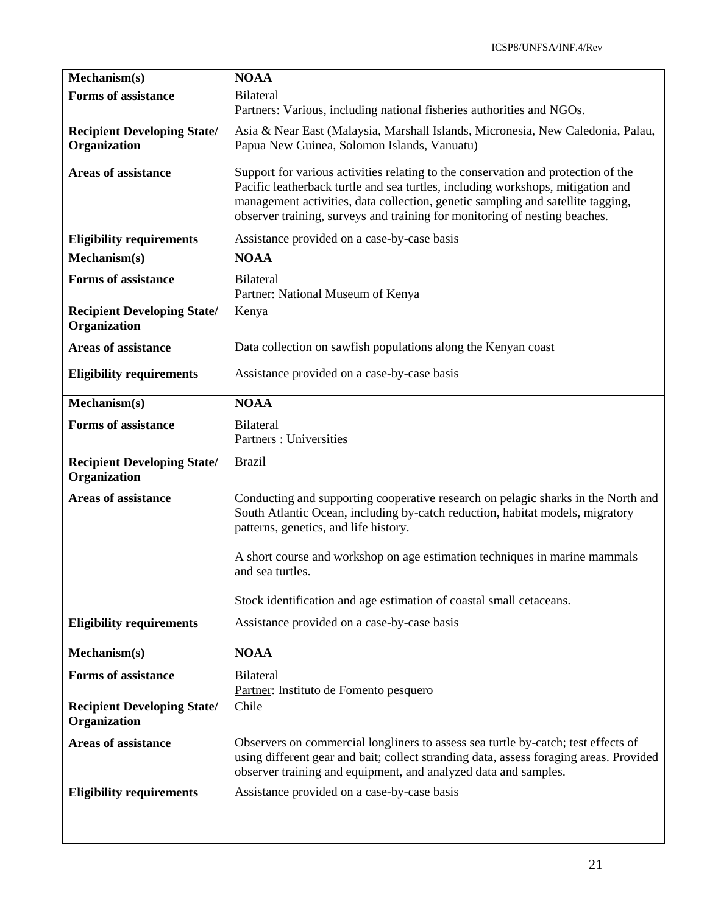| Mechanism(s)                                       | <b>NOAA</b>                                                                                                                                                                                                                                                                                                                           |
|----------------------------------------------------|---------------------------------------------------------------------------------------------------------------------------------------------------------------------------------------------------------------------------------------------------------------------------------------------------------------------------------------|
| <b>Forms of assistance</b>                         | <b>Bilateral</b>                                                                                                                                                                                                                                                                                                                      |
|                                                    | Partners: Various, including national fisheries authorities and NGOs.                                                                                                                                                                                                                                                                 |
| <b>Recipient Developing State/</b><br>Organization | Asia & Near East (Malaysia, Marshall Islands, Micronesia, New Caledonia, Palau,<br>Papua New Guinea, Solomon Islands, Vanuatu)                                                                                                                                                                                                        |
| <b>Areas of assistance</b>                         | Support for various activities relating to the conservation and protection of the<br>Pacific leatherback turtle and sea turtles, including workshops, mitigation and<br>management activities, data collection, genetic sampling and satellite tagging,<br>observer training, surveys and training for monitoring of nesting beaches. |
| <b>Eligibility requirements</b>                    | Assistance provided on a case-by-case basis                                                                                                                                                                                                                                                                                           |
| Mechanism(s)                                       | <b>NOAA</b>                                                                                                                                                                                                                                                                                                                           |
| <b>Forms of assistance</b>                         | <b>Bilateral</b><br>Partner: National Museum of Kenya                                                                                                                                                                                                                                                                                 |
| <b>Recipient Developing State/</b><br>Organization | Kenya                                                                                                                                                                                                                                                                                                                                 |
| <b>Areas of assistance</b>                         | Data collection on sawfish populations along the Kenyan coast                                                                                                                                                                                                                                                                         |
| <b>Eligibility requirements</b>                    | Assistance provided on a case-by-case basis                                                                                                                                                                                                                                                                                           |
| Mechanism(s)                                       | <b>NOAA</b>                                                                                                                                                                                                                                                                                                                           |
| <b>Forms of assistance</b>                         | <b>Bilateral</b><br>Partners: Universities                                                                                                                                                                                                                                                                                            |
| <b>Recipient Developing State/</b><br>Organization | <b>Brazil</b>                                                                                                                                                                                                                                                                                                                         |
| <b>Areas of assistance</b>                         | Conducting and supporting cooperative research on pelagic sharks in the North and<br>South Atlantic Ocean, including by-catch reduction, habitat models, migratory<br>patterns, genetics, and life history.                                                                                                                           |
|                                                    | A short course and workshop on age estimation techniques in marine mammals<br>and sea turtles.                                                                                                                                                                                                                                        |
|                                                    | Stock identification and age estimation of coastal small cetaceans.                                                                                                                                                                                                                                                                   |
| <b>Eligibility requirements</b>                    | Assistance provided on a case-by-case basis                                                                                                                                                                                                                                                                                           |
| Mechanism(s)                                       | <b>NOAA</b>                                                                                                                                                                                                                                                                                                                           |
| <b>Forms of assistance</b>                         | <b>Bilateral</b><br>Partner: Instituto de Fomento pesquero                                                                                                                                                                                                                                                                            |
| <b>Recipient Developing State/</b><br>Organization | Chile                                                                                                                                                                                                                                                                                                                                 |
| <b>Areas of assistance</b>                         | Observers on commercial longliners to assess sea turtle by-catch; test effects of<br>using different gear and bait; collect stranding data, assess foraging areas. Provided<br>observer training and equipment, and analyzed data and samples.                                                                                        |
| <b>Eligibility requirements</b>                    | Assistance provided on a case-by-case basis                                                                                                                                                                                                                                                                                           |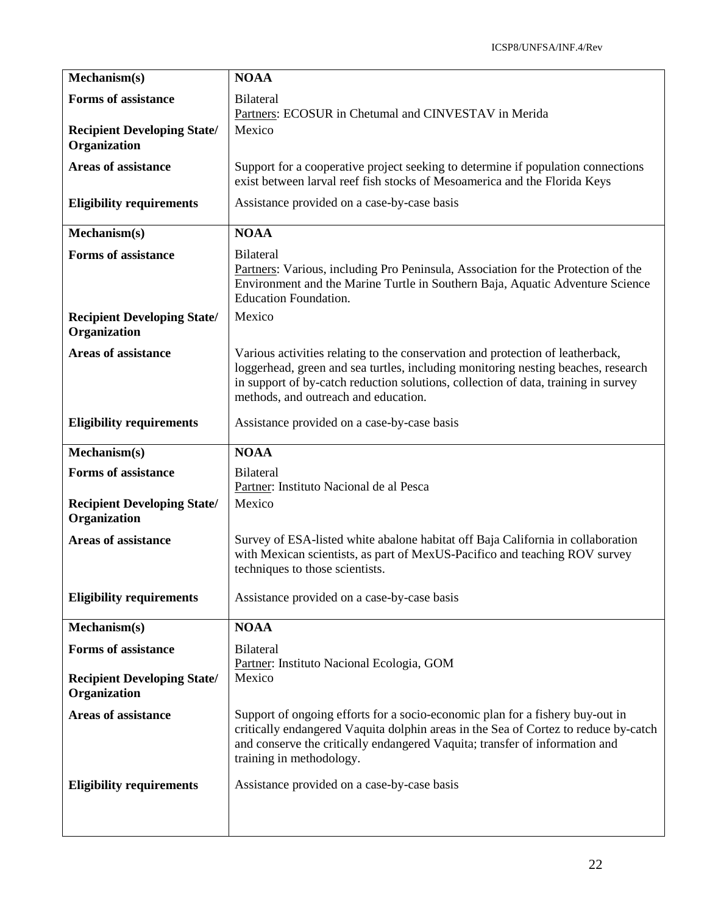| Mechanism(s)                                       | <b>NOAA</b>                                                                                                                                                                                                                                                                                       |
|----------------------------------------------------|---------------------------------------------------------------------------------------------------------------------------------------------------------------------------------------------------------------------------------------------------------------------------------------------------|
| <b>Forms of assistance</b>                         | <b>Bilateral</b><br>Partners: ECOSUR in Chetumal and CINVESTAV in Merida                                                                                                                                                                                                                          |
| <b>Recipient Developing State/</b><br>Organization | Mexico                                                                                                                                                                                                                                                                                            |
| <b>Areas of assistance</b>                         | Support for a cooperative project seeking to determine if population connections<br>exist between larval reef fish stocks of Mesoamerica and the Florida Keys                                                                                                                                     |
| <b>Eligibility requirements</b>                    | Assistance provided on a case-by-case basis                                                                                                                                                                                                                                                       |
| Mechanism(s)                                       | <b>NOAA</b>                                                                                                                                                                                                                                                                                       |
| Forms of assistance                                | <b>Bilateral</b><br>Partners: Various, including Pro Peninsula, Association for the Protection of the<br>Environment and the Marine Turtle in Southern Baja, Aquatic Adventure Science<br><b>Education Foundation.</b>                                                                            |
| <b>Recipient Developing State/</b><br>Organization | Mexico                                                                                                                                                                                                                                                                                            |
| <b>Areas of assistance</b>                         | Various activities relating to the conservation and protection of leatherback,<br>loggerhead, green and sea turtles, including monitoring nesting beaches, research<br>in support of by-catch reduction solutions, collection of data, training in survey<br>methods, and outreach and education. |
| <b>Eligibility requirements</b>                    | Assistance provided on a case-by-case basis                                                                                                                                                                                                                                                       |
| Mechanism(s)                                       | <b>NOAA</b>                                                                                                                                                                                                                                                                                       |
| <b>Forms of assistance</b>                         | <b>Bilateral</b>                                                                                                                                                                                                                                                                                  |
| <b>Recipient Developing State/</b><br>Organization | Partner: Instituto Nacional de al Pesca<br>Mexico                                                                                                                                                                                                                                                 |
| <b>Areas of assistance</b>                         | Survey of ESA-listed white abalone habitat off Baja California in collaboration<br>with Mexican scientists, as part of MexUS-Pacifico and teaching ROV survey<br>techniques to those scientists.                                                                                                  |
| <b>Eligibility requirements</b>                    | Assistance provided on a case-by-case basis                                                                                                                                                                                                                                                       |
| Mechanism(s)                                       | <b>NOAA</b>                                                                                                                                                                                                                                                                                       |
| <b>Forms of assistance</b>                         | <b>Bilateral</b>                                                                                                                                                                                                                                                                                  |
| <b>Recipient Developing State/</b><br>Organization | Partner: Instituto Nacional Ecologia, GOM<br>Mexico                                                                                                                                                                                                                                               |
| <b>Areas of assistance</b>                         | Support of ongoing efforts for a socio-economic plan for a fishery buy-out in<br>critically endangered Vaquita dolphin areas in the Sea of Cortez to reduce by-catch<br>and conserve the critically endangered Vaquita; transfer of information and<br>training in methodology.                   |
| <b>Eligibility requirements</b>                    | Assistance provided on a case-by-case basis                                                                                                                                                                                                                                                       |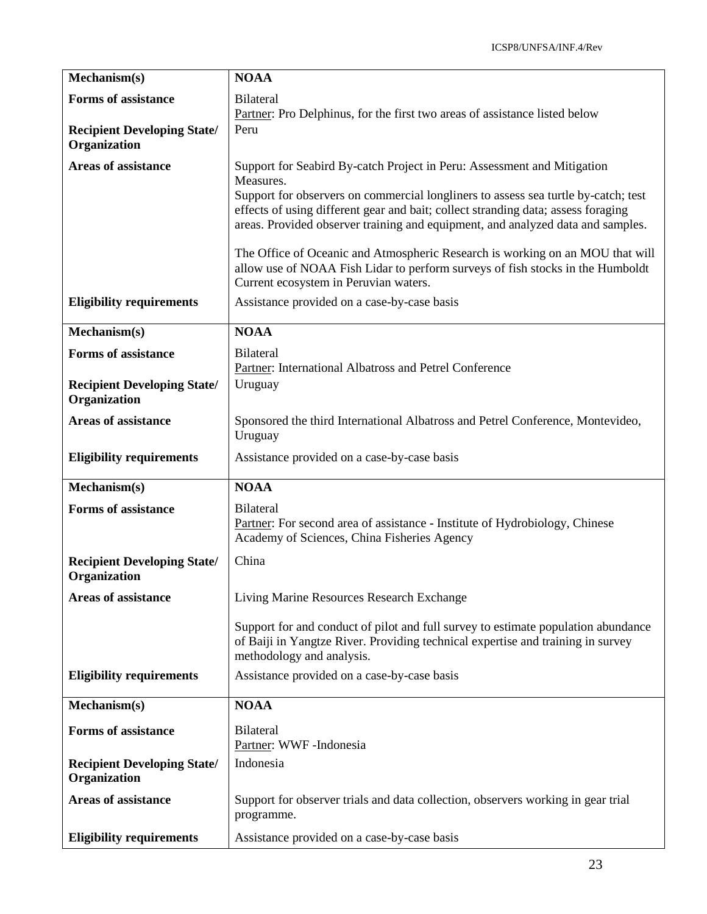| Mechanism(s)                                       | <b>NOAA</b>                                                                                                                                                                                                                                                                                                                                        |
|----------------------------------------------------|----------------------------------------------------------------------------------------------------------------------------------------------------------------------------------------------------------------------------------------------------------------------------------------------------------------------------------------------------|
| <b>Forms of assistance</b>                         | Bilateral<br>Partner: Pro Delphinus, for the first two areas of assistance listed below                                                                                                                                                                                                                                                            |
| <b>Recipient Developing State/</b><br>Organization | Peru                                                                                                                                                                                                                                                                                                                                               |
| <b>Areas of assistance</b>                         | Support for Seabird By-catch Project in Peru: Assessment and Mitigation<br>Measures.<br>Support for observers on commercial longliners to assess sea turtle by-catch; test<br>effects of using different gear and bait; collect stranding data; assess foraging<br>areas. Provided observer training and equipment, and analyzed data and samples. |
|                                                    | The Office of Oceanic and Atmospheric Research is working on an MOU that will<br>allow use of NOAA Fish Lidar to perform surveys of fish stocks in the Humboldt<br>Current ecosystem in Peruvian waters.                                                                                                                                           |
| <b>Eligibility requirements</b>                    | Assistance provided on a case-by-case basis                                                                                                                                                                                                                                                                                                        |
| Mechanism(s)                                       | <b>NOAA</b>                                                                                                                                                                                                                                                                                                                                        |
| <b>Forms of assistance</b>                         | <b>Bilateral</b><br>Partner: International Albatross and Petrel Conference                                                                                                                                                                                                                                                                         |
| <b>Recipient Developing State/</b><br>Organization | Uruguay                                                                                                                                                                                                                                                                                                                                            |
| <b>Areas of assistance</b>                         | Sponsored the third International Albatross and Petrel Conference, Montevideo,<br>Uruguay                                                                                                                                                                                                                                                          |
| <b>Eligibility requirements</b>                    | Assistance provided on a case-by-case basis                                                                                                                                                                                                                                                                                                        |
| Mechanism(s)                                       | <b>NOAA</b>                                                                                                                                                                                                                                                                                                                                        |
| <b>Forms of assistance</b>                         | <b>Bilateral</b><br>Partner: For second area of assistance - Institute of Hydrobiology, Chinese<br>Academy of Sciences, China Fisheries Agency                                                                                                                                                                                                     |
| <b>Recipient Developing State/</b><br>Organization | China                                                                                                                                                                                                                                                                                                                                              |
| <b>Areas of assistance</b>                         | Living Marine Resources Research Exchange                                                                                                                                                                                                                                                                                                          |
|                                                    | Support for and conduct of pilot and full survey to estimate population abundance<br>of Baiji in Yangtze River. Providing technical expertise and training in survey<br>methodology and analysis.                                                                                                                                                  |
| <b>Eligibility requirements</b>                    | Assistance provided on a case-by-case basis                                                                                                                                                                                                                                                                                                        |
| Mechanism(s)                                       | <b>NOAA</b>                                                                                                                                                                                                                                                                                                                                        |
| <b>Forms of assistance</b>                         | <b>Bilateral</b><br>Partner: WWF-Indonesia                                                                                                                                                                                                                                                                                                         |
| <b>Recipient Developing State/</b><br>Organization | Indonesia                                                                                                                                                                                                                                                                                                                                          |
| <b>Areas of assistance</b>                         | Support for observer trials and data collection, observers working in gear trial<br>programme.                                                                                                                                                                                                                                                     |
| <b>Eligibility requirements</b>                    | Assistance provided on a case-by-case basis                                                                                                                                                                                                                                                                                                        |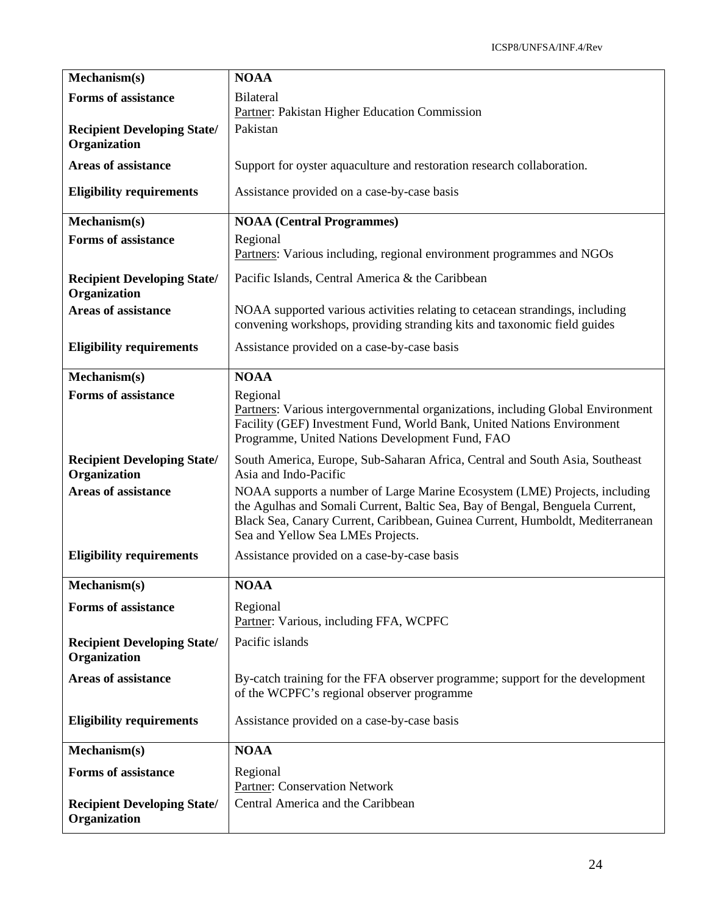| Mechanism(s)                                       | <b>NOAA</b>                                                                                                                                                                                                                                                                      |
|----------------------------------------------------|----------------------------------------------------------------------------------------------------------------------------------------------------------------------------------------------------------------------------------------------------------------------------------|
| <b>Forms of assistance</b>                         | <b>Bilateral</b><br>Partner: Pakistan Higher Education Commission                                                                                                                                                                                                                |
| <b>Recipient Developing State/</b><br>Organization | Pakistan                                                                                                                                                                                                                                                                         |
| <b>Areas of assistance</b>                         | Support for oyster aquaculture and restoration research collaboration.                                                                                                                                                                                                           |
| <b>Eligibility requirements</b>                    | Assistance provided on a case-by-case basis                                                                                                                                                                                                                                      |
| Mechanism(s)                                       | <b>NOAA</b> (Central Programmes)                                                                                                                                                                                                                                                 |
| <b>Forms of assistance</b>                         | Regional<br>Partners: Various including, regional environment programmes and NGOs                                                                                                                                                                                                |
| <b>Recipient Developing State/</b><br>Organization | Pacific Islands, Central America & the Caribbean                                                                                                                                                                                                                                 |
| <b>Areas of assistance</b>                         | NOAA supported various activities relating to cetacean strandings, including<br>convening workshops, providing stranding kits and taxonomic field guides                                                                                                                         |
| <b>Eligibility requirements</b>                    | Assistance provided on a case-by-case basis                                                                                                                                                                                                                                      |
| Mechanism(s)                                       | <b>NOAA</b>                                                                                                                                                                                                                                                                      |
| <b>Forms of assistance</b>                         | Regional<br>Partners: Various intergovernmental organizations, including Global Environment<br>Facility (GEF) Investment Fund, World Bank, United Nations Environment<br>Programme, United Nations Development Fund, FAO                                                         |
| <b>Recipient Developing State/</b><br>Organization | South America, Europe, Sub-Saharan Africa, Central and South Asia, Southeast<br>Asia and Indo-Pacific                                                                                                                                                                            |
| <b>Areas of assistance</b>                         | NOAA supports a number of Large Marine Ecosystem (LME) Projects, including<br>the Agulhas and Somali Current, Baltic Sea, Bay of Bengal, Benguela Current,<br>Black Sea, Canary Current, Caribbean, Guinea Current, Humboldt, Mediterranean<br>Sea and Yellow Sea LMEs Projects. |
| <b>Eligibility requirements</b>                    | Assistance provided on a case-by-case basis                                                                                                                                                                                                                                      |
| Mechanism(s)                                       | $\overline{N}OAA$                                                                                                                                                                                                                                                                |
| <b>Forms of assistance</b>                         | Regional<br>Partner: Various, including FFA, WCPFC                                                                                                                                                                                                                               |
| <b>Recipient Developing State/</b><br>Organization | Pacific islands                                                                                                                                                                                                                                                                  |
| <b>Areas of assistance</b>                         | By-catch training for the FFA observer programme; support for the development<br>of the WCPFC's regional observer programme                                                                                                                                                      |
| <b>Eligibility requirements</b>                    | Assistance provided on a case-by-case basis                                                                                                                                                                                                                                      |
| Mechanism(s)                                       | <b>NOAA</b>                                                                                                                                                                                                                                                                      |
| <b>Forms of assistance</b>                         | Regional<br>Partner: Conservation Network                                                                                                                                                                                                                                        |
| <b>Recipient Developing State/</b><br>Organization | Central America and the Caribbean                                                                                                                                                                                                                                                |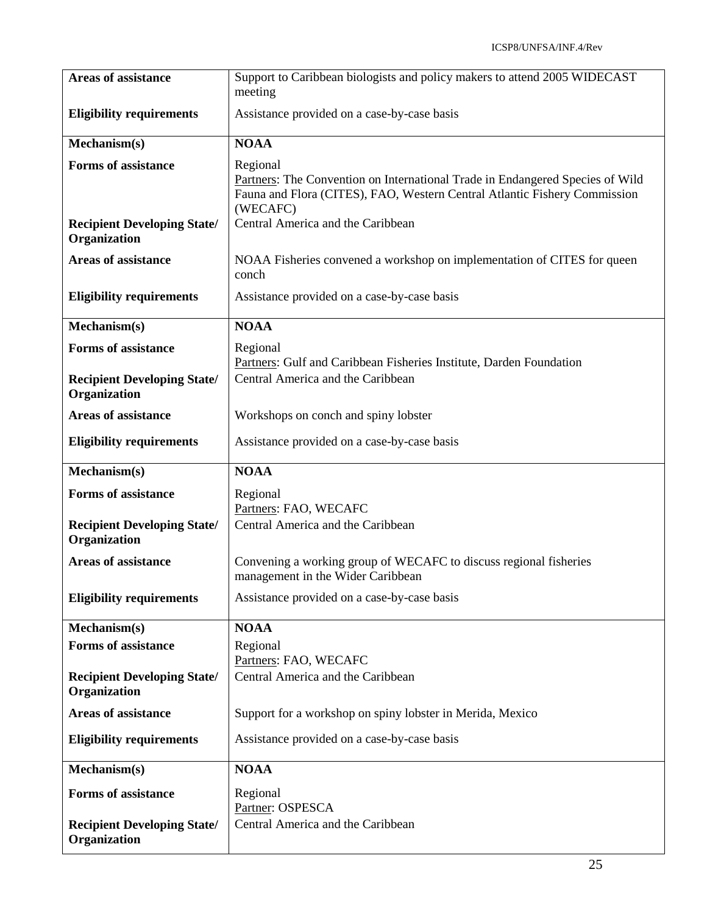| <b>Areas of assistance</b>                         | Support to Caribbean biologists and policy makers to attend 2005 WIDECAST<br>meeting                                                                                               |
|----------------------------------------------------|------------------------------------------------------------------------------------------------------------------------------------------------------------------------------------|
| <b>Eligibility requirements</b>                    | Assistance provided on a case-by-case basis                                                                                                                                        |
| Mechanism(s)                                       | <b>NOAA</b>                                                                                                                                                                        |
| <b>Forms of assistance</b>                         | Regional<br>Partners: The Convention on International Trade in Endangered Species of Wild<br>Fauna and Flora (CITES), FAO, Western Central Atlantic Fishery Commission<br>(WECAFC) |
| <b>Recipient Developing State/</b><br>Organization | Central America and the Caribbean                                                                                                                                                  |
| <b>Areas of assistance</b>                         | NOAA Fisheries convened a workshop on implementation of CITES for queen<br>conch                                                                                                   |
| <b>Eligibility requirements</b>                    | Assistance provided on a case-by-case basis                                                                                                                                        |
| Mechanism(s)                                       | <b>NOAA</b>                                                                                                                                                                        |
| <b>Forms of assistance</b>                         | Regional<br>Partners: Gulf and Caribbean Fisheries Institute, Darden Foundation                                                                                                    |
| <b>Recipient Developing State/</b><br>Organization | Central America and the Caribbean                                                                                                                                                  |
| <b>Areas of assistance</b>                         | Workshops on conch and spiny lobster                                                                                                                                               |
| <b>Eligibility requirements</b>                    | Assistance provided on a case-by-case basis                                                                                                                                        |
|                                                    |                                                                                                                                                                                    |
| Mechanism(s)                                       | <b>NOAA</b>                                                                                                                                                                        |
| <b>Forms of assistance</b>                         | Regional                                                                                                                                                                           |
| <b>Recipient Developing State/</b><br>Organization | Partners: FAO, WECAFC<br>Central America and the Caribbean                                                                                                                         |
| <b>Areas of assistance</b>                         | Convening a working group of WECAFC to discuss regional fisheries<br>management in the Wider Caribbean                                                                             |
| <b>Eligibility requirements</b>                    | Assistance provided on a case-by-case basis                                                                                                                                        |
| Mechanism(s)                                       | <b>NOAA</b>                                                                                                                                                                        |
| <b>Forms of assistance</b>                         | Regional                                                                                                                                                                           |
| <b>Recipient Developing State/</b><br>Organization | Partners: FAO, WECAFC<br>Central America and the Caribbean                                                                                                                         |
| <b>Areas of assistance</b>                         | Support for a workshop on spiny lobster in Merida, Mexico                                                                                                                          |
| <b>Eligibility requirements</b>                    | Assistance provided on a case-by-case basis                                                                                                                                        |
| Mechanism(s)                                       | <b>NOAA</b>                                                                                                                                                                        |
| <b>Forms of assistance</b>                         | Regional<br>Partner: OSPESCA                                                                                                                                                       |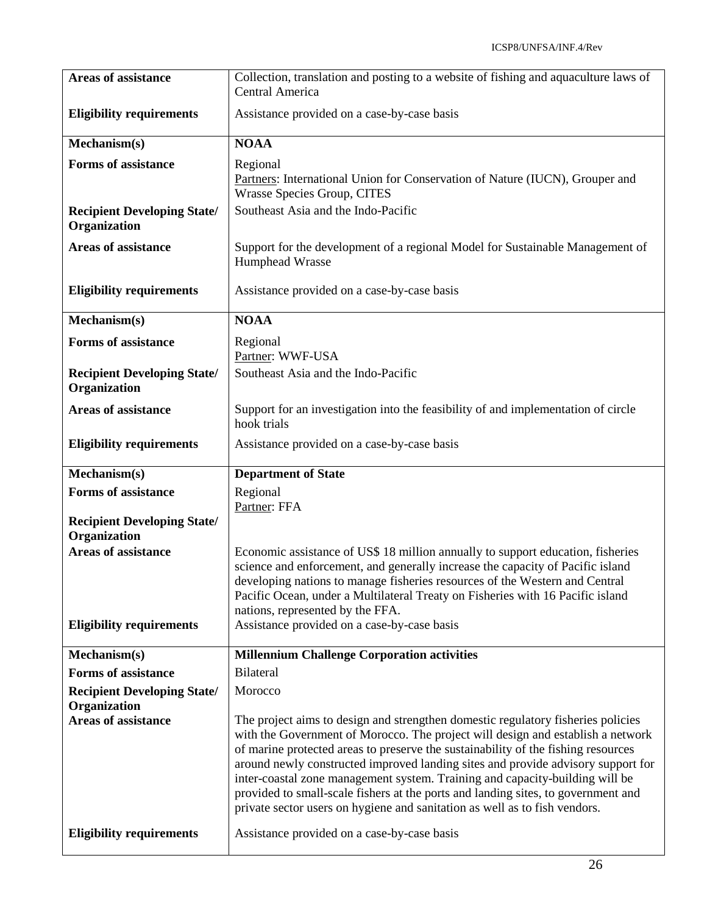| <b>Areas of assistance</b>                         | Collection, translation and posting to a website of fishing and aquaculture laws of<br>Central America                                                                                                                                                                                                                                                                                                                                                                                                                                                                                                                                         |
|----------------------------------------------------|------------------------------------------------------------------------------------------------------------------------------------------------------------------------------------------------------------------------------------------------------------------------------------------------------------------------------------------------------------------------------------------------------------------------------------------------------------------------------------------------------------------------------------------------------------------------------------------------------------------------------------------------|
| <b>Eligibility requirements</b>                    | Assistance provided on a case-by-case basis                                                                                                                                                                                                                                                                                                                                                                                                                                                                                                                                                                                                    |
| Mechanism(s)                                       | <b>NOAA</b>                                                                                                                                                                                                                                                                                                                                                                                                                                                                                                                                                                                                                                    |
| <b>Forms of assistance</b>                         | Regional<br>Partners: International Union for Conservation of Nature (IUCN), Grouper and<br><b>Wrasse Species Group, CITES</b>                                                                                                                                                                                                                                                                                                                                                                                                                                                                                                                 |
| <b>Recipient Developing State/</b><br>Organization | Southeast Asia and the Indo-Pacific                                                                                                                                                                                                                                                                                                                                                                                                                                                                                                                                                                                                            |
| <b>Areas of assistance</b>                         | Support for the development of a regional Model for Sustainable Management of<br>Humphead Wrasse                                                                                                                                                                                                                                                                                                                                                                                                                                                                                                                                               |
| <b>Eligibility requirements</b>                    | Assistance provided on a case-by-case basis                                                                                                                                                                                                                                                                                                                                                                                                                                                                                                                                                                                                    |
| Mechanism(s)                                       | <b>NOAA</b>                                                                                                                                                                                                                                                                                                                                                                                                                                                                                                                                                                                                                                    |
| <b>Forms of assistance</b>                         | Regional<br>Partner: WWF-USA                                                                                                                                                                                                                                                                                                                                                                                                                                                                                                                                                                                                                   |
| <b>Recipient Developing State/</b><br>Organization | Southeast Asia and the Indo-Pacific                                                                                                                                                                                                                                                                                                                                                                                                                                                                                                                                                                                                            |
| Areas of assistance                                | Support for an investigation into the feasibility of and implementation of circle<br>hook trials                                                                                                                                                                                                                                                                                                                                                                                                                                                                                                                                               |
| <b>Eligibility requirements</b>                    | Assistance provided on a case-by-case basis                                                                                                                                                                                                                                                                                                                                                                                                                                                                                                                                                                                                    |
|                                                    |                                                                                                                                                                                                                                                                                                                                                                                                                                                                                                                                                                                                                                                |
| Mechanism(s)                                       | <b>Department of State</b>                                                                                                                                                                                                                                                                                                                                                                                                                                                                                                                                                                                                                     |
| <b>Forms of assistance</b>                         | Regional<br>Partner: FFA                                                                                                                                                                                                                                                                                                                                                                                                                                                                                                                                                                                                                       |
| <b>Recipient Developing State/</b>                 |                                                                                                                                                                                                                                                                                                                                                                                                                                                                                                                                                                                                                                                |
| Organization                                       |                                                                                                                                                                                                                                                                                                                                                                                                                                                                                                                                                                                                                                                |
| <b>Areas of assistance</b>                         | Economic assistance of US\$ 18 million annually to support education, fisheries<br>science and enforcement, and generally increase the capacity of Pacific island                                                                                                                                                                                                                                                                                                                                                                                                                                                                              |
|                                                    | developing nations to manage fisheries resources of the Western and Central<br>Pacific Ocean, under a Multilateral Treaty on Fisheries with 16 Pacific island                                                                                                                                                                                                                                                                                                                                                                                                                                                                                  |
| <b>Eligibility requirements</b>                    | nations, represented by the FFA.<br>Assistance provided on a case-by-case basis                                                                                                                                                                                                                                                                                                                                                                                                                                                                                                                                                                |
| Mechanism(s)                                       | <b>Millennium Challenge Corporation activities</b>                                                                                                                                                                                                                                                                                                                                                                                                                                                                                                                                                                                             |
| <b>Forms of assistance</b>                         | <b>Bilateral</b>                                                                                                                                                                                                                                                                                                                                                                                                                                                                                                                                                                                                                               |
| <b>Recipient Developing State/</b><br>Organization | Morocco                                                                                                                                                                                                                                                                                                                                                                                                                                                                                                                                                                                                                                        |
| <b>Areas of assistance</b>                         | The project aims to design and strengthen domestic regulatory fisheries policies<br>with the Government of Morocco. The project will design and establish a network<br>of marine protected areas to preserve the sustainability of the fishing resources<br>around newly constructed improved landing sites and provide advisory support for<br>inter-coastal zone management system. Training and capacity-building will be<br>provided to small-scale fishers at the ports and landing sites, to government and<br>private sector users on hygiene and sanitation as well as to fish vendors.<br>Assistance provided on a case-by-case basis |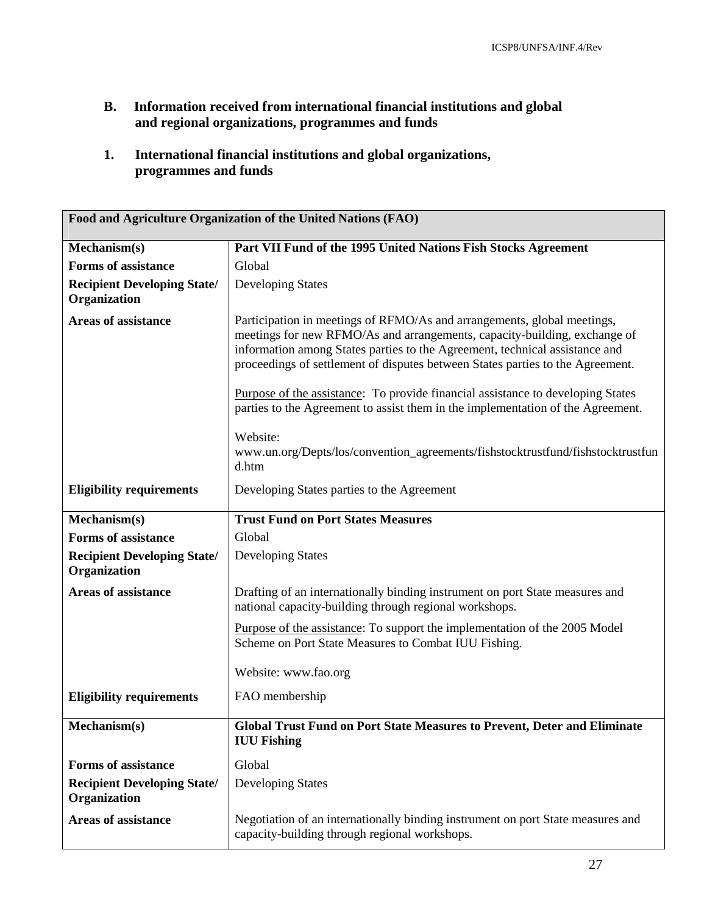- **B. Information received from international financial institutions and global and regional organizations, programmes and funds**
- **1. International financial institutions and global organizations, programmes and funds**

| Food and Agriculture Organization of the United Nations (FAO) |                                                                                                                                                                                                                                                                                                                       |
|---------------------------------------------------------------|-----------------------------------------------------------------------------------------------------------------------------------------------------------------------------------------------------------------------------------------------------------------------------------------------------------------------|
| Mechanism(s)                                                  | Part VII Fund of the 1995 United Nations Fish Stocks Agreement                                                                                                                                                                                                                                                        |
| <b>Forms of assistance</b>                                    | Global                                                                                                                                                                                                                                                                                                                |
| <b>Recipient Developing State/</b><br>Organization            | <b>Developing States</b>                                                                                                                                                                                                                                                                                              |
| <b>Areas of assistance</b>                                    | Participation in meetings of RFMO/As and arrangements, global meetings,<br>meetings for new RFMO/As and arrangements, capacity-building, exchange of<br>information among States parties to the Agreement, technical assistance and<br>proceedings of settlement of disputes between States parties to the Agreement. |
|                                                               | Purpose of the assistance: To provide financial assistance to developing States<br>parties to the Agreement to assist them in the implementation of the Agreement.                                                                                                                                                    |
|                                                               | Website:<br>www.un.org/Depts/los/convention_agreements/fishstocktrustfund/fishstocktrustfun<br>d.htm                                                                                                                                                                                                                  |
| <b>Eligibility requirements</b>                               | Developing States parties to the Agreement                                                                                                                                                                                                                                                                            |
| Mechanism(s)                                                  | <b>Trust Fund on Port States Measures</b>                                                                                                                                                                                                                                                                             |
| <b>Forms of assistance</b>                                    | Global                                                                                                                                                                                                                                                                                                                |
| <b>Recipient Developing State/</b><br>Organization            | <b>Developing States</b>                                                                                                                                                                                                                                                                                              |
| <b>Areas of assistance</b>                                    | Drafting of an internationally binding instrument on port State measures and<br>national capacity-building through regional workshops.                                                                                                                                                                                |
|                                                               | Purpose of the assistance: To support the implementation of the 2005 Model<br>Scheme on Port State Measures to Combat IUU Fishing.                                                                                                                                                                                    |
|                                                               | Website: www.fao.org                                                                                                                                                                                                                                                                                                  |
| <b>Eligibility requirements</b>                               | FAO membership                                                                                                                                                                                                                                                                                                        |
| Mechanism(s)                                                  | <b>Global Trust Fund on Port State Measures to Prevent, Deter and Eliminate</b><br><b>IUU Fishing</b>                                                                                                                                                                                                                 |
| <b>Forms of assistance</b>                                    | Global                                                                                                                                                                                                                                                                                                                |
| <b>Recipient Developing State/</b><br>Organization            | <b>Developing States</b>                                                                                                                                                                                                                                                                                              |
| <b>Areas of assistance</b>                                    | Negotiation of an internationally binding instrument on port State measures and<br>capacity-building through regional workshops.                                                                                                                                                                                      |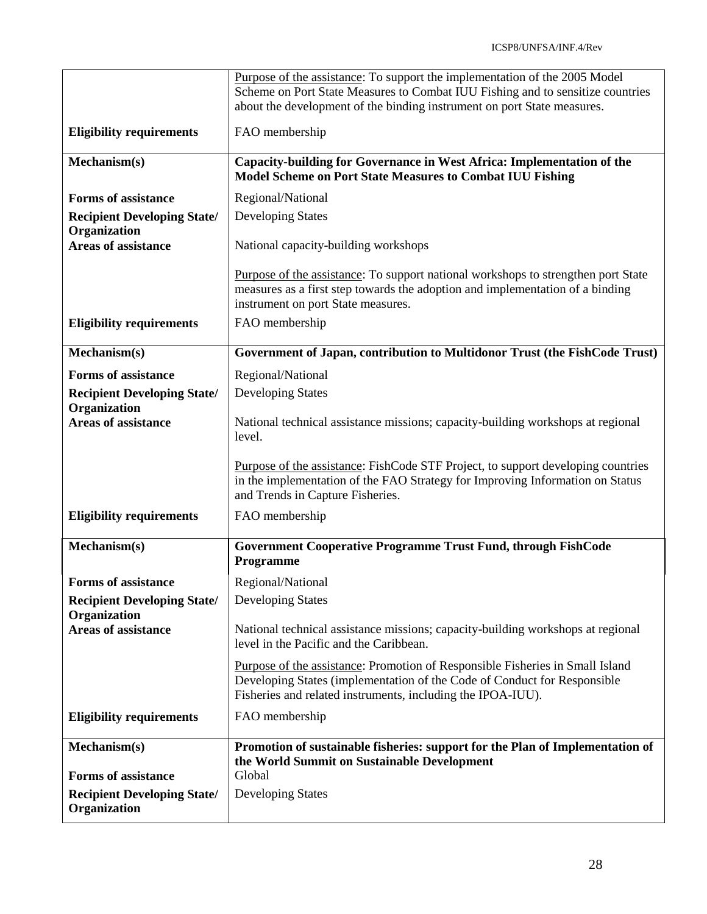|                                                    | Purpose of the assistance: To support the implementation of the 2005 Model<br>Scheme on Port State Measures to Combat IUU Fishing and to sensitize countries<br>about the development of the binding instrument on port State measures. |
|----------------------------------------------------|-----------------------------------------------------------------------------------------------------------------------------------------------------------------------------------------------------------------------------------------|
| <b>Eligibility requirements</b>                    | FAO membership                                                                                                                                                                                                                          |
| Mechanism(s)                                       | Capacity-building for Governance in West Africa: Implementation of the<br><b>Model Scheme on Port State Measures to Combat IUU Fishing</b>                                                                                              |
| <b>Forms of assistance</b>                         | Regional/National                                                                                                                                                                                                                       |
| <b>Recipient Developing State/</b>                 | <b>Developing States</b>                                                                                                                                                                                                                |
| Organization<br><b>Areas of assistance</b>         | National capacity-building workshops                                                                                                                                                                                                    |
|                                                    | Purpose of the assistance: To support national workshops to strengthen port State<br>measures as a first step towards the adoption and implementation of a binding<br>instrument on port State measures.                                |
| <b>Eligibility requirements</b>                    | FAO membership                                                                                                                                                                                                                          |
| Mechanism(s)                                       | Government of Japan, contribution to Multidonor Trust (the FishCode Trust)                                                                                                                                                              |
| <b>Forms of assistance</b>                         | Regional/National                                                                                                                                                                                                                       |
| <b>Recipient Developing State/</b><br>Organization | <b>Developing States</b>                                                                                                                                                                                                                |
| <b>Areas of assistance</b>                         | National technical assistance missions; capacity-building workshops at regional<br>level.                                                                                                                                               |
|                                                    | Purpose of the assistance: FishCode STF Project, to support developing countries<br>in the implementation of the FAO Strategy for Improving Information on Status<br>and Trends in Capture Fisheries.                                   |
| <b>Eligibility requirements</b>                    | FAO membership                                                                                                                                                                                                                          |
| Mechanism(s)                                       | Government Cooperative Programme Trust Fund, through FishCode<br>Programme                                                                                                                                                              |
| <b>Forms of assistance</b>                         | Regional/National                                                                                                                                                                                                                       |
| <b>Recipient Developing State/</b><br>Organization | <b>Developing States</b>                                                                                                                                                                                                                |
| <b>Areas of assistance</b>                         | National technical assistance missions; capacity-building workshops at regional<br>level in the Pacific and the Caribbean.                                                                                                              |
|                                                    | Purpose of the assistance: Promotion of Responsible Fisheries in Small Island<br>Developing States (implementation of the Code of Conduct for Responsible<br>Fisheries and related instruments, including the IPOA-IUU).                |
| <b>Eligibility requirements</b>                    | FAO membership                                                                                                                                                                                                                          |
| Mechanism(s)<br><b>Forms of assistance</b>         | Promotion of sustainable fisheries: support for the Plan of Implementation of<br>the World Summit on Sustainable Development<br>Global                                                                                                  |
| <b>Recipient Developing State/</b><br>Organization | <b>Developing States</b>                                                                                                                                                                                                                |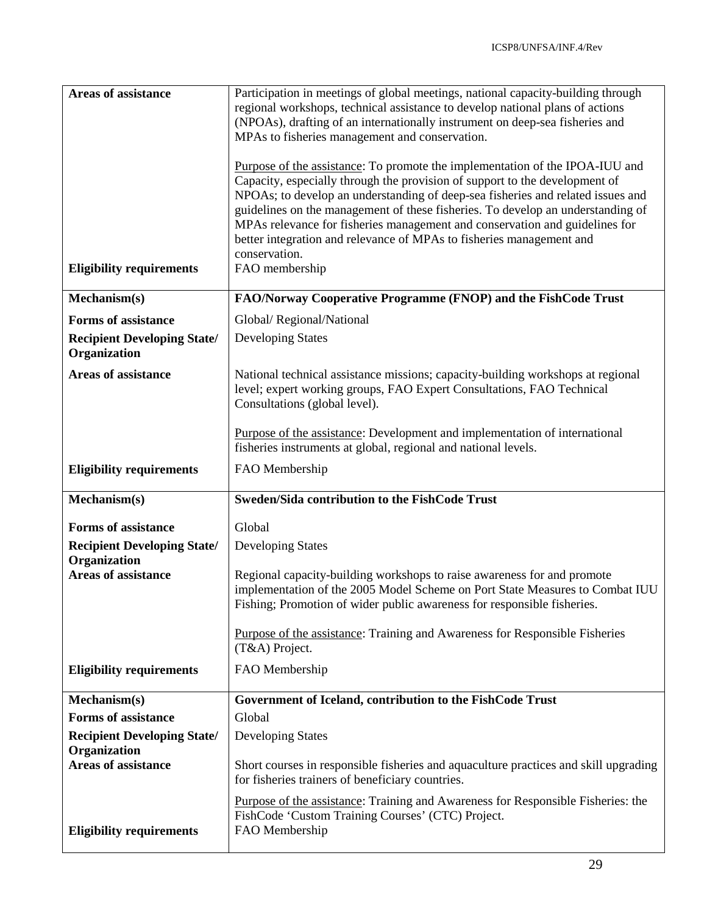| <b>Areas of assistance</b>                         | Participation in meetings of global meetings, national capacity-building through<br>regional workshops, technical assistance to develop national plans of actions                                                                                       |
|----------------------------------------------------|---------------------------------------------------------------------------------------------------------------------------------------------------------------------------------------------------------------------------------------------------------|
|                                                    | (NPOAs), drafting of an internationally instrument on deep-sea fisheries and<br>MPAs to fisheries management and conservation.                                                                                                                          |
|                                                    | Purpose of the assistance: To promote the implementation of the IPOA-IUU and<br>Capacity, especially through the provision of support to the development of<br>NPOAs; to develop an understanding of deep-sea fisheries and related issues and          |
|                                                    | guidelines on the management of these fisheries. To develop an understanding of<br>MPAs relevance for fisheries management and conservation and guidelines for<br>better integration and relevance of MPAs to fisheries management and<br>conservation. |
| <b>Eligibility requirements</b>                    | FAO membership                                                                                                                                                                                                                                          |
| Mechanism(s)                                       | FAO/Norway Cooperative Programme (FNOP) and the FishCode Trust                                                                                                                                                                                          |
| <b>Forms of assistance</b>                         | Global/Regional/National                                                                                                                                                                                                                                |
| <b>Recipient Developing State/</b><br>Organization | <b>Developing States</b>                                                                                                                                                                                                                                |
| <b>Areas of assistance</b>                         | National technical assistance missions; capacity-building workshops at regional<br>level; expert working groups, FAO Expert Consultations, FAO Technical<br>Consultations (global level).                                                               |
|                                                    | Purpose of the assistance: Development and implementation of international<br>fisheries instruments at global, regional and national levels.                                                                                                            |
| <b>Eligibility requirements</b>                    | FAO Membership                                                                                                                                                                                                                                          |
| Mechanism(s)                                       | <b>Sweden/Sida contribution to the FishCode Trust</b>                                                                                                                                                                                                   |
| <b>Forms of assistance</b>                         | Global                                                                                                                                                                                                                                                  |
| <b>Recipient Developing State/</b><br>Organization | <b>Developing States</b>                                                                                                                                                                                                                                |
| <b>Areas of assistance</b>                         | Regional capacity-building workshops to raise awareness for and promote<br>implementation of the 2005 Model Scheme on Port State Measures to Combat IUU<br>Fishing; Promotion of wider public awareness for responsible fisheries.                      |
|                                                    |                                                                                                                                                                                                                                                         |
|                                                    | <b>Purpose of the assistance: Training and Awareness for Responsible Fisheries</b><br>(T&A) Project.                                                                                                                                                    |
| <b>Eligibility requirements</b>                    | FAO Membership                                                                                                                                                                                                                                          |
| Mechanism(s)                                       | Government of Iceland, contribution to the FishCode Trust                                                                                                                                                                                               |
| <b>Forms of assistance</b>                         | Global                                                                                                                                                                                                                                                  |
| <b>Recipient Developing State/</b><br>Organization | <b>Developing States</b>                                                                                                                                                                                                                                |
| <b>Areas of assistance</b>                         | Short courses in responsible fisheries and aquaculture practices and skill upgrading<br>for fisheries trainers of beneficiary countries.                                                                                                                |
| <b>Eligibility requirements</b>                    | Purpose of the assistance: Training and Awareness for Responsible Fisheries: the<br>FishCode 'Custom Training Courses' (CTC) Project.<br>FAO Membership                                                                                                 |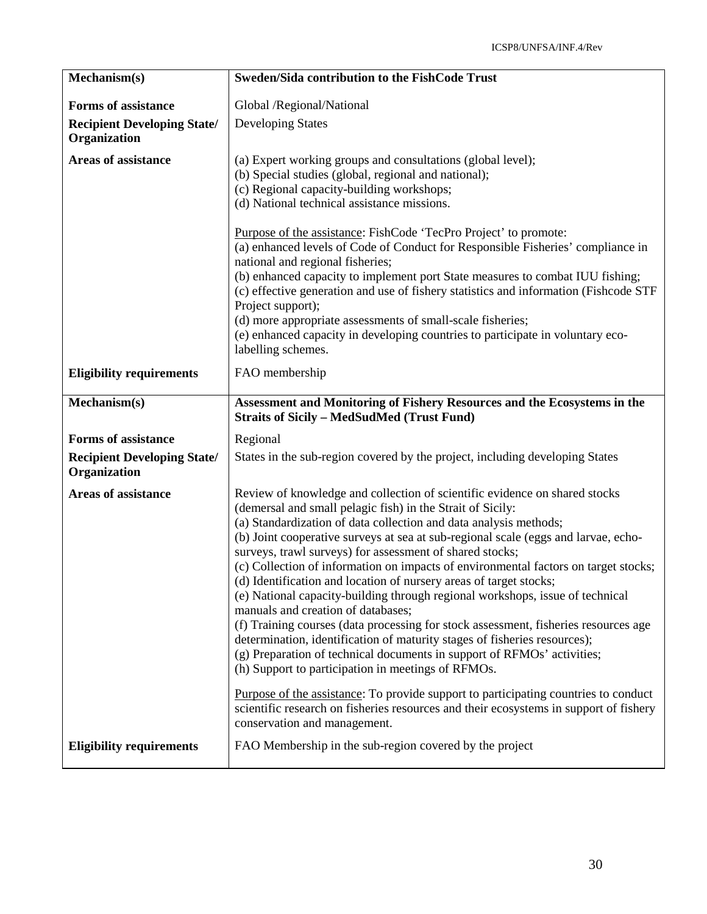| Mechanism(s)                                       | Sweden/Sida contribution to the FishCode Trust                                                                                                                                                                                                                                                                                                                                                                                                                                                                                                                                                                                                                                                                                                                                                                                                                                                                                                                                                                                                                                                                                                                           |
|----------------------------------------------------|--------------------------------------------------------------------------------------------------------------------------------------------------------------------------------------------------------------------------------------------------------------------------------------------------------------------------------------------------------------------------------------------------------------------------------------------------------------------------------------------------------------------------------------------------------------------------------------------------------------------------------------------------------------------------------------------------------------------------------------------------------------------------------------------------------------------------------------------------------------------------------------------------------------------------------------------------------------------------------------------------------------------------------------------------------------------------------------------------------------------------------------------------------------------------|
| <b>Forms of assistance</b>                         | Global /Regional/National                                                                                                                                                                                                                                                                                                                                                                                                                                                                                                                                                                                                                                                                                                                                                                                                                                                                                                                                                                                                                                                                                                                                                |
| <b>Recipient Developing State/</b><br>Organization | <b>Developing States</b>                                                                                                                                                                                                                                                                                                                                                                                                                                                                                                                                                                                                                                                                                                                                                                                                                                                                                                                                                                                                                                                                                                                                                 |
| <b>Areas of assistance</b>                         | (a) Expert working groups and consultations (global level);<br>(b) Special studies (global, regional and national);<br>(c) Regional capacity-building workshops;<br>(d) National technical assistance missions.<br>Purpose of the assistance: FishCode 'TecPro Project' to promote:<br>(a) enhanced levels of Code of Conduct for Responsible Fisheries' compliance in<br>national and regional fisheries;<br>(b) enhanced capacity to implement port State measures to combat IUU fishing;<br>(c) effective generation and use of fishery statistics and information (Fishcode STF<br>Project support);<br>(d) more appropriate assessments of small-scale fisheries;                                                                                                                                                                                                                                                                                                                                                                                                                                                                                                   |
|                                                    | (e) enhanced capacity in developing countries to participate in voluntary eco-<br>labelling schemes.                                                                                                                                                                                                                                                                                                                                                                                                                                                                                                                                                                                                                                                                                                                                                                                                                                                                                                                                                                                                                                                                     |
| <b>Eligibility requirements</b>                    | FAO membership                                                                                                                                                                                                                                                                                                                                                                                                                                                                                                                                                                                                                                                                                                                                                                                                                                                                                                                                                                                                                                                                                                                                                           |
| Mechanism(s)                                       | Assessment and Monitoring of Fishery Resources and the Ecosystems in the<br><b>Straits of Sicily - MedSudMed (Trust Fund)</b>                                                                                                                                                                                                                                                                                                                                                                                                                                                                                                                                                                                                                                                                                                                                                                                                                                                                                                                                                                                                                                            |
| <b>Forms of assistance</b>                         | Regional                                                                                                                                                                                                                                                                                                                                                                                                                                                                                                                                                                                                                                                                                                                                                                                                                                                                                                                                                                                                                                                                                                                                                                 |
| <b>Recipient Developing State/</b><br>Organization | States in the sub-region covered by the project, including developing States                                                                                                                                                                                                                                                                                                                                                                                                                                                                                                                                                                                                                                                                                                                                                                                                                                                                                                                                                                                                                                                                                             |
| <b>Areas of assistance</b>                         | Review of knowledge and collection of scientific evidence on shared stocks<br>(demersal and small pelagic fish) in the Strait of Sicily:<br>(a) Standardization of data collection and data analysis methods;<br>(b) Joint cooperative surveys at sea at sub-regional scale (eggs and larvae, echo-<br>surveys, trawl surveys) for assessment of shared stocks;<br>(c) Collection of information on impacts of environmental factors on target stocks;<br>(d) Identification and location of nursery areas of target stocks;<br>(e) National capacity-building through regional workshops, issue of technical<br>manuals and creation of databases;<br>(f) Training courses (data processing for stock assessment, fisheries resources age<br>determination, identification of maturity stages of fisheries resources);<br>(g) Preparation of technical documents in support of RFMOs' activities;<br>(h) Support to participation in meetings of RFMOs.<br>Purpose of the assistance: To provide support to participating countries to conduct<br>scientific research on fisheries resources and their ecosystems in support of fishery<br>conservation and management. |
| <b>Eligibility requirements</b>                    | FAO Membership in the sub-region covered by the project                                                                                                                                                                                                                                                                                                                                                                                                                                                                                                                                                                                                                                                                                                                                                                                                                                                                                                                                                                                                                                                                                                                  |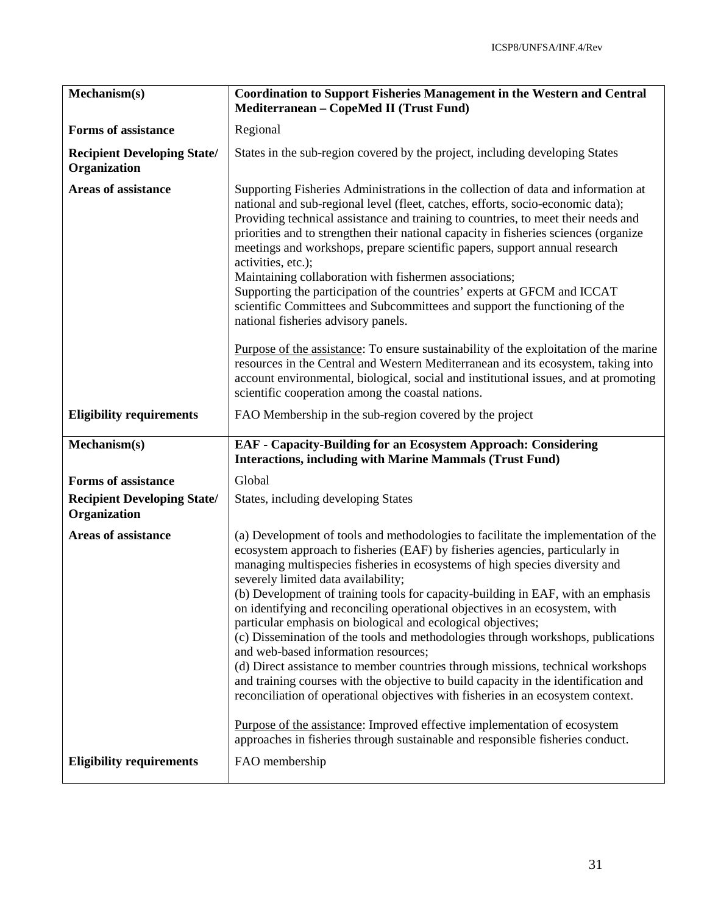| Mechanism(s)                                       | <b>Coordination to Support Fisheries Management in the Western and Central</b><br>Mediterranean - CopeMed II (Trust Fund)                                                                                                                                                                                                                                                                                                                                                                                                                                                                                                                                                                                                                                                                                                                                                                                                                                                                          |
|----------------------------------------------------|----------------------------------------------------------------------------------------------------------------------------------------------------------------------------------------------------------------------------------------------------------------------------------------------------------------------------------------------------------------------------------------------------------------------------------------------------------------------------------------------------------------------------------------------------------------------------------------------------------------------------------------------------------------------------------------------------------------------------------------------------------------------------------------------------------------------------------------------------------------------------------------------------------------------------------------------------------------------------------------------------|
| <b>Forms of assistance</b>                         | Regional                                                                                                                                                                                                                                                                                                                                                                                                                                                                                                                                                                                                                                                                                                                                                                                                                                                                                                                                                                                           |
| <b>Recipient Developing State/</b><br>Organization | States in the sub-region covered by the project, including developing States                                                                                                                                                                                                                                                                                                                                                                                                                                                                                                                                                                                                                                                                                                                                                                                                                                                                                                                       |
| <b>Areas of assistance</b>                         | Supporting Fisheries Administrations in the collection of data and information at<br>national and sub-regional level (fleet, catches, efforts, socio-economic data);<br>Providing technical assistance and training to countries, to meet their needs and<br>priorities and to strengthen their national capacity in fisheries sciences (organize<br>meetings and workshops, prepare scientific papers, support annual research<br>activities, etc.);<br>Maintaining collaboration with fishermen associations;<br>Supporting the participation of the countries' experts at GFCM and ICCAT<br>scientific Committees and Subcommittees and support the functioning of the<br>national fisheries advisory panels.<br>Purpose of the assistance: To ensure sustainability of the exploitation of the marine                                                                                                                                                                                          |
|                                                    | resources in the Central and Western Mediterranean and its ecosystem, taking into<br>account environmental, biological, social and institutional issues, and at promoting<br>scientific cooperation among the coastal nations.                                                                                                                                                                                                                                                                                                                                                                                                                                                                                                                                                                                                                                                                                                                                                                     |
| <b>Eligibility requirements</b>                    | FAO Membership in the sub-region covered by the project                                                                                                                                                                                                                                                                                                                                                                                                                                                                                                                                                                                                                                                                                                                                                                                                                                                                                                                                            |
| Mechanism(s)                                       | <b>EAF</b> - Capacity-Building for an Ecosystem Approach: Considering<br><b>Interactions, including with Marine Mammals (Trust Fund)</b>                                                                                                                                                                                                                                                                                                                                                                                                                                                                                                                                                                                                                                                                                                                                                                                                                                                           |
| <b>Forms of assistance</b>                         | Global                                                                                                                                                                                                                                                                                                                                                                                                                                                                                                                                                                                                                                                                                                                                                                                                                                                                                                                                                                                             |
| <b>Recipient Developing State/</b><br>Organization | States, including developing States                                                                                                                                                                                                                                                                                                                                                                                                                                                                                                                                                                                                                                                                                                                                                                                                                                                                                                                                                                |
| <b>Areas of assistance</b>                         | (a) Development of tools and methodologies to facilitate the implementation of the<br>ecosystem approach to fisheries (EAF) by fisheries agencies, particularly in<br>managing multispecies fisheries in ecosystems of high species diversity and<br>severely limited data availability;<br>(b) Development of training tools for capacity-building in EAF, with an emphasis<br>on identifying and reconciling operational objectives in an ecosystem, with<br>particular emphasis on biological and ecological objectives;<br>(c) Dissemination of the tools and methodologies through workshops, publications<br>and web-based information resources;<br>(d) Direct assistance to member countries through missions, technical workshops<br>and training courses with the objective to build capacity in the identification and<br>reconciliation of operational objectives with fisheries in an ecosystem context.<br>Purpose of the assistance: Improved effective implementation of ecosystem |
| <b>Eligibility requirements</b>                    | approaches in fisheries through sustainable and responsible fisheries conduct.<br>FAO membership                                                                                                                                                                                                                                                                                                                                                                                                                                                                                                                                                                                                                                                                                                                                                                                                                                                                                                   |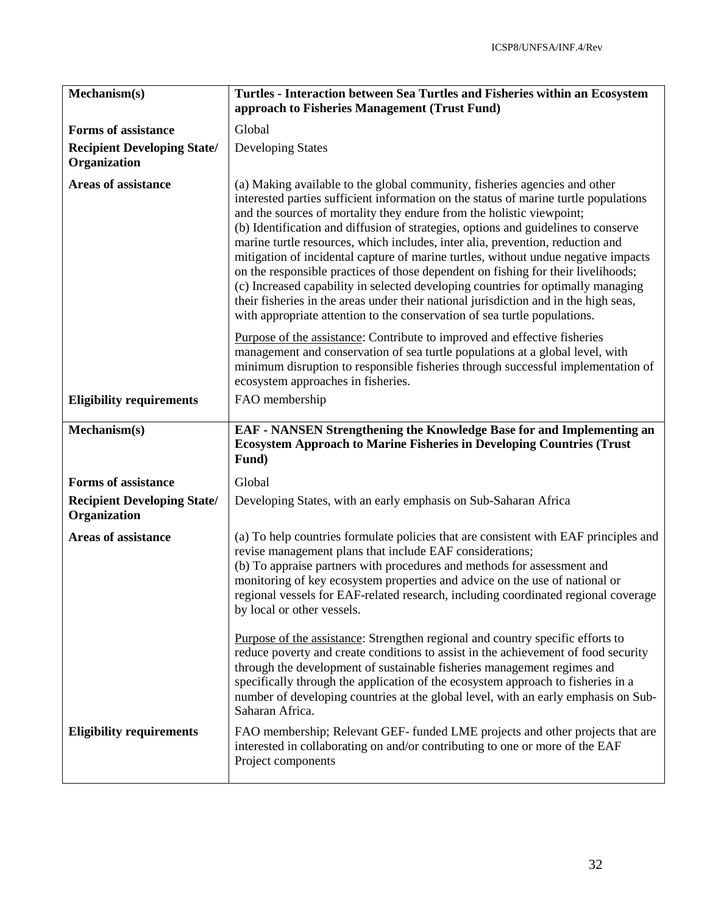| Mechanism(s)                                       | Turtles - Interaction between Sea Turtles and Fisheries within an Ecosystem<br>approach to Fisheries Management (Trust Fund)                                                                                                                                                                                                                                                                                                                                                                                                                                                                                                                                                                                                                                                                                                                            |
|----------------------------------------------------|---------------------------------------------------------------------------------------------------------------------------------------------------------------------------------------------------------------------------------------------------------------------------------------------------------------------------------------------------------------------------------------------------------------------------------------------------------------------------------------------------------------------------------------------------------------------------------------------------------------------------------------------------------------------------------------------------------------------------------------------------------------------------------------------------------------------------------------------------------|
| <b>Forms of assistance</b>                         | Global                                                                                                                                                                                                                                                                                                                                                                                                                                                                                                                                                                                                                                                                                                                                                                                                                                                  |
| <b>Recipient Developing State/</b><br>Organization | <b>Developing States</b>                                                                                                                                                                                                                                                                                                                                                                                                                                                                                                                                                                                                                                                                                                                                                                                                                                |
| <b>Areas of assistance</b>                         | (a) Making available to the global community, fisheries agencies and other<br>interested parties sufficient information on the status of marine turtle populations<br>and the sources of mortality they endure from the holistic viewpoint;<br>(b) Identification and diffusion of strategies, options and guidelines to conserve<br>marine turtle resources, which includes, inter alia, prevention, reduction and<br>mitigation of incidental capture of marine turtles, without undue negative impacts<br>on the responsible practices of those dependent on fishing for their livelihoods;<br>(c) Increased capability in selected developing countries for optimally managing<br>their fisheries in the areas under their national jurisdiction and in the high seas,<br>with appropriate attention to the conservation of sea turtle populations. |
|                                                    | Purpose of the assistance: Contribute to improved and effective fisheries<br>management and conservation of sea turtle populations at a global level, with<br>minimum disruption to responsible fisheries through successful implementation of<br>ecosystem approaches in fisheries.                                                                                                                                                                                                                                                                                                                                                                                                                                                                                                                                                                    |
| <b>Eligibility requirements</b>                    | FAO membership                                                                                                                                                                                                                                                                                                                                                                                                                                                                                                                                                                                                                                                                                                                                                                                                                                          |
| Mechanism(s)                                       | EAF - NANSEN Strengthening the Knowledge Base for and Implementing an<br><b>Ecosystem Approach to Marine Fisheries in Developing Countries (Trust</b><br>Fund)                                                                                                                                                                                                                                                                                                                                                                                                                                                                                                                                                                                                                                                                                          |
| <b>Forms of assistance</b>                         | Global                                                                                                                                                                                                                                                                                                                                                                                                                                                                                                                                                                                                                                                                                                                                                                                                                                                  |
| <b>Recipient Developing State/</b><br>Organization | Developing States, with an early emphasis on Sub-Saharan Africa                                                                                                                                                                                                                                                                                                                                                                                                                                                                                                                                                                                                                                                                                                                                                                                         |
| <b>Areas of assistance</b>                         | (a) To help countries formulate policies that are consistent with EAF principles and<br>revise management plans that include EAF considerations;<br>(b) To appraise partners with procedures and methods for assessment and<br>monitoring of key ecosystem properties and advice on the use of national or<br>regional vessels for EAF-related research, including coordinated regional coverage<br>by local or other vessels.                                                                                                                                                                                                                                                                                                                                                                                                                          |
|                                                    | Purpose of the assistance: Strengthen regional and country specific efforts to<br>reduce poverty and create conditions to assist in the achievement of food security<br>through the development of sustainable fisheries management regimes and<br>specifically through the application of the ecosystem approach to fisheries in a<br>number of developing countries at the global level, with an early emphasis on Sub-<br>Saharan Africa.                                                                                                                                                                                                                                                                                                                                                                                                            |
| <b>Eligibility requirements</b>                    | FAO membership; Relevant GEF- funded LME projects and other projects that are<br>interested in collaborating on and/or contributing to one or more of the EAF<br>Project components                                                                                                                                                                                                                                                                                                                                                                                                                                                                                                                                                                                                                                                                     |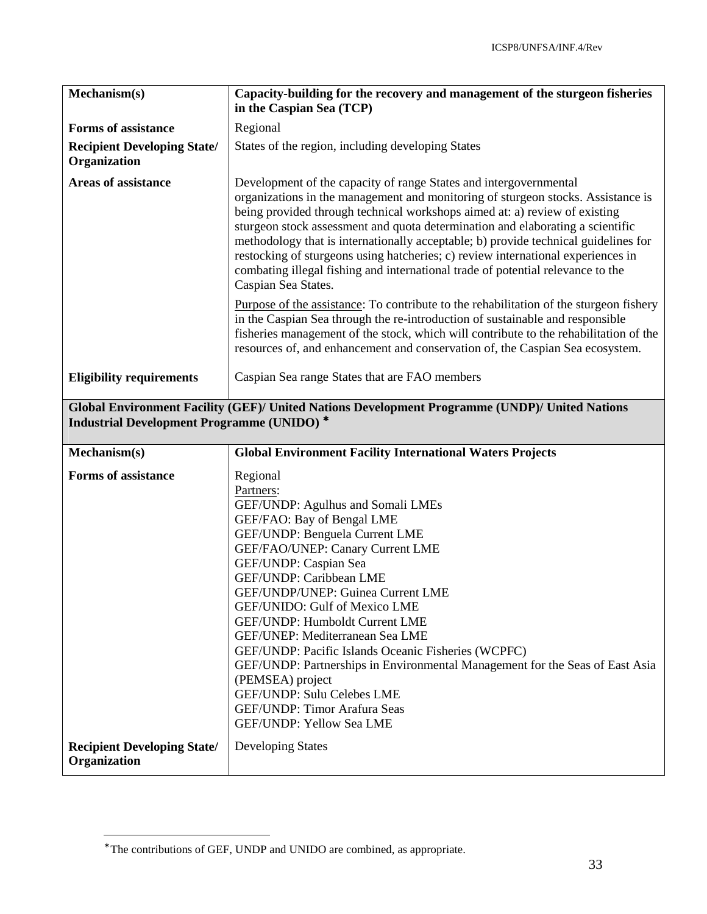| Mechanism(s)                                       | Capacity-building for the recovery and management of the sturgeon fisheries<br>in the Caspian Sea (TCP)                                                                                                                                                                                                                                                                                                                                                                                                                                                                                                                          |
|----------------------------------------------------|----------------------------------------------------------------------------------------------------------------------------------------------------------------------------------------------------------------------------------------------------------------------------------------------------------------------------------------------------------------------------------------------------------------------------------------------------------------------------------------------------------------------------------------------------------------------------------------------------------------------------------|
| <b>Forms of assistance</b>                         | Regional                                                                                                                                                                                                                                                                                                                                                                                                                                                                                                                                                                                                                         |
| <b>Recipient Developing State/</b><br>Organization | States of the region, including developing States                                                                                                                                                                                                                                                                                                                                                                                                                                                                                                                                                                                |
| <b>Areas of assistance</b>                         | Development of the capacity of range States and intergovernmental<br>organizations in the management and monitoring of sturgeon stocks. Assistance is<br>being provided through technical workshops aimed at: a) review of existing<br>sturgeon stock assessment and quota determination and elaborating a scientific<br>methodology that is internationally acceptable; b) provide technical guidelines for<br>restocking of sturgeons using hatcheries; c) review international experiences in<br>combating illegal fishing and international trade of potential relevance to the<br>Caspian Sea States.                       |
|                                                    | Purpose of the assistance: To contribute to the rehabilitation of the sturgeon fishery<br>in the Caspian Sea through the re-introduction of sustainable and responsible<br>fisheries management of the stock, which will contribute to the rehabilitation of the<br>resources of, and enhancement and conservation of, the Caspian Sea ecosystem.                                                                                                                                                                                                                                                                                |
| <b>Eligibility requirements</b>                    | Caspian Sea range States that are FAO members                                                                                                                                                                                                                                                                                                                                                                                                                                                                                                                                                                                    |
| <b>Industrial Development Programme (UNIDO)*</b>   | Global Environment Facility (GEF)/ United Nations Development Programme (UNDP)/ United Nations                                                                                                                                                                                                                                                                                                                                                                                                                                                                                                                                   |
| Mechanism(s)                                       | <b>Global Environment Facility International Waters Projects</b>                                                                                                                                                                                                                                                                                                                                                                                                                                                                                                                                                                 |
| <b>Forms of assistance</b>                         | Regional<br>Partners:<br>GEF/UNDP: Agulhus and Somali LMEs<br>GEF/FAO: Bay of Bengal LME<br>GEF/UNDP: Benguela Current LME<br>GEF/FAO/UNEP: Canary Current LME<br>GEF/UNDP: Caspian Sea<br>GEF/UNDP: Caribbean LME<br>GEF/UNDP/UNEP: Guinea Current LME<br><b>GEF/UNIDO: Gulf of Mexico LME</b><br>GEF/UNDP: Humboldt Current LME<br>GEF/UNEP: Mediterranean Sea LME<br>GEF/UNDP: Pacific Islands Oceanic Fisheries (WCPFC)<br>GEF/UNDP: Partnerships in Environmental Management for the Seas of East Asia<br>(PEMSEA) project<br>GEF/UNDP: Sulu Celebes LME<br><b>GEF/UNDP: Timor Arafura Seas</b><br>GEF/UNDP: Yellow Sea LME |
| <b>Recipient Developing State/</b>                 |                                                                                                                                                                                                                                                                                                                                                                                                                                                                                                                                                                                                                                  |

-

<sup>∗</sup> The contributions of GEF, UNDP and UNIDO are combined, as appropriate.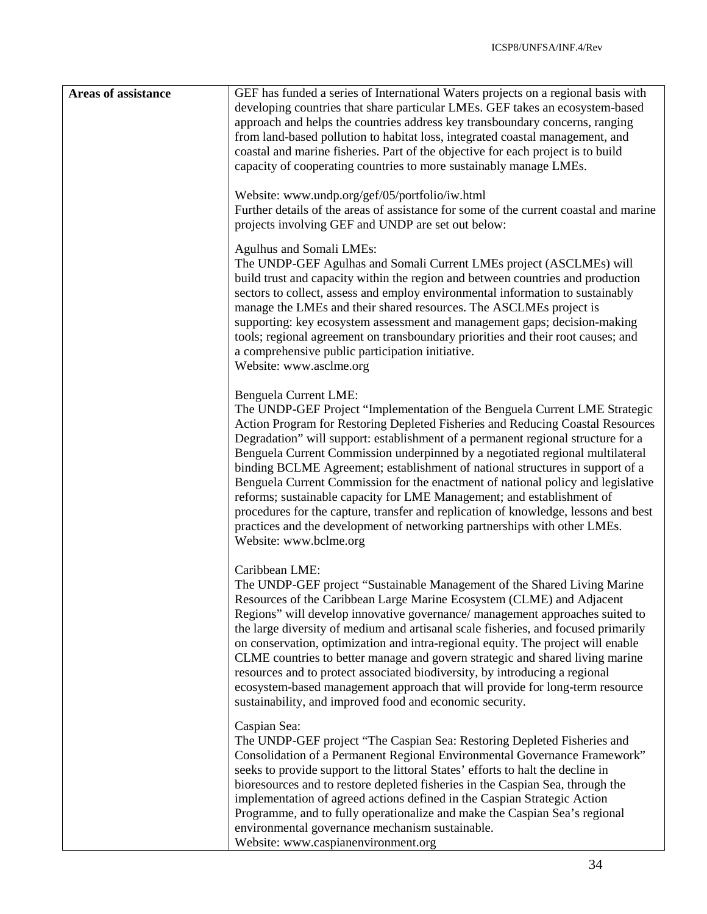| <b>Areas of assistance</b> | GEF has funded a series of International Waters projects on a regional basis with<br>developing countries that share particular LMEs. GEF takes an ecosystem-based<br>approach and helps the countries address key transboundary concerns, ranging<br>from land-based pollution to habitat loss, integrated coastal management, and<br>coastal and marine fisheries. Part of the objective for each project is to build<br>capacity of cooperating countries to more sustainably manage LMEs.                                                                                                                                                                                                                                                                                                           |
|----------------------------|---------------------------------------------------------------------------------------------------------------------------------------------------------------------------------------------------------------------------------------------------------------------------------------------------------------------------------------------------------------------------------------------------------------------------------------------------------------------------------------------------------------------------------------------------------------------------------------------------------------------------------------------------------------------------------------------------------------------------------------------------------------------------------------------------------|
|                            | Website: www.undp.org/gef/05/portfolio/iw.html<br>Further details of the areas of assistance for some of the current coastal and marine<br>projects involving GEF and UNDP are set out below:                                                                                                                                                                                                                                                                                                                                                                                                                                                                                                                                                                                                           |
|                            | <b>Agulhus and Somali LMEs:</b><br>The UNDP-GEF Agulhas and Somali Current LMEs project (ASCLMEs) will<br>build trust and capacity within the region and between countries and production<br>sectors to collect, assess and employ environmental information to sustainably<br>manage the LMEs and their shared resources. The ASCLMEs project is<br>supporting: key ecosystem assessment and management gaps; decision-making<br>tools; regional agreement on transboundary priorities and their root causes; and<br>a comprehensive public participation initiative.<br>Website: www.asclme.org                                                                                                                                                                                                       |
|                            | Benguela Current LME:<br>The UNDP-GEF Project "Implementation of the Benguela Current LME Strategic<br>Action Program for Restoring Depleted Fisheries and Reducing Coastal Resources<br>Degradation" will support: establishment of a permanent regional structure for a<br>Benguela Current Commission underpinned by a negotiated regional multilateral<br>binding BCLME Agreement; establishment of national structures in support of a<br>Benguela Current Commission for the enactment of national policy and legislative<br>reforms; sustainable capacity for LME Management; and establishment of<br>procedures for the capture, transfer and replication of knowledge, lessons and best<br>practices and the development of networking partnerships with other LMEs.<br>Website: www.bclme.org |
|                            | Caribbean LME:<br>The UNDP-GEF project "Sustainable Management of the Shared Living Marine<br>Resources of the Caribbean Large Marine Ecosystem (CLME) and Adjacent<br>Regions" will develop innovative governance/ management approaches suited to<br>the large diversity of medium and artisanal scale fisheries, and focused primarily<br>on conservation, optimization and intra-regional equity. The project will enable<br>CLME countries to better manage and govern strategic and shared living marine<br>resources and to protect associated biodiversity, by introducing a regional<br>ecosystem-based management approach that will provide for long-term resource<br>sustainability, and improved food and economic security.                                                               |
|                            | Caspian Sea:<br>The UNDP-GEF project "The Caspian Sea: Restoring Depleted Fisheries and<br>Consolidation of a Permanent Regional Environmental Governance Framework"<br>seeks to provide support to the littoral States' efforts to halt the decline in<br>bioresources and to restore depleted fisheries in the Caspian Sea, through the<br>implementation of agreed actions defined in the Caspian Strategic Action<br>Programme, and to fully operationalize and make the Caspian Sea's regional<br>environmental governance mechanism sustainable.<br>Website: www.caspianenvironment.org                                                                                                                                                                                                           |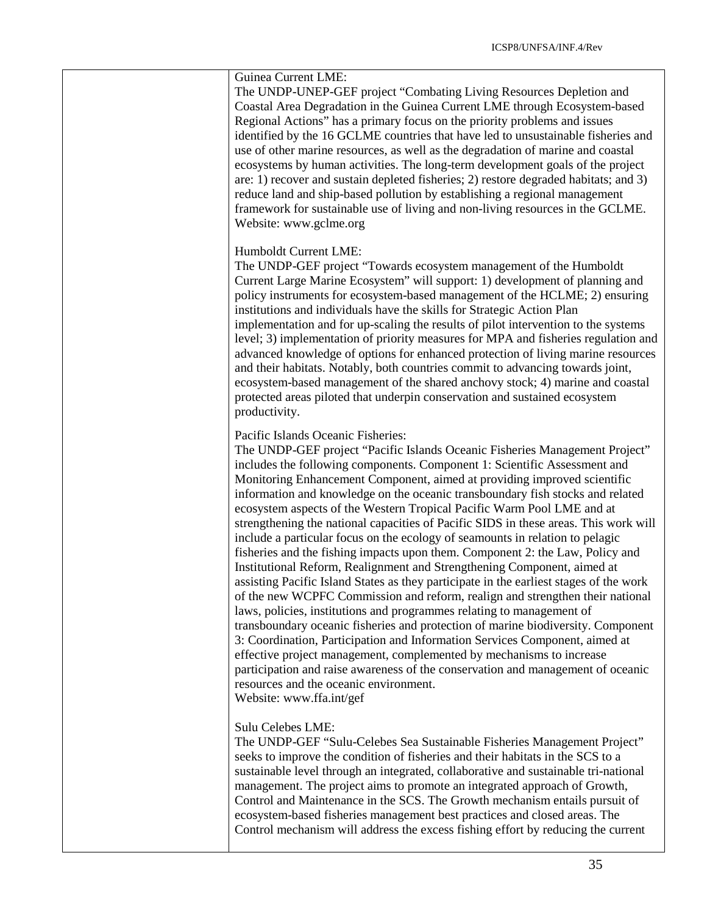The UNDP-UNEP-GEF project "Combating Living Resources Depletion and Coastal Area Degradation in the Guinea Current LME through Ecosystem-based Regional Actions" has a primary focus on the priority problems and issues identified by the 16 GCLME countries that have led to unsustainable fisheries and use of other marine resources, as well as the degradation of marine and coastal ecosystems by human activities. The long-term development goals of the project are: 1) recover and sustain depleted fisheries; 2) restore degraded habitats; and 3) reduce land and ship-based pollution by establishing a regional management framework for sustainable use of living and non-living resources in the GCLME. Website: www.gclme.org

#### Humboldt Current LME:

The UNDP-GEF project "Towards ecosystem management of the Humboldt Current Large Marine Ecosystem" will support: 1) development of planning and policy instruments for ecosystem-based management of the HCLME; 2) ensuring institutions and individuals have the skills for Strategic Action Plan implementation and for up-scaling the results of pilot intervention to the systems level; 3) implementation of priority measures for MPA and fisheries regulation and advanced knowledge of options for enhanced protection of living marine resources and their habitats. Notably, both countries commit to advancing towards joint, ecosystem-based management of the shared anchovy stock; 4) marine and coastal protected areas piloted that underpin conservation and sustained ecosystem productivity.

#### Pacific Islands Oceanic Fisheries:

The UNDP-GEF project "Pacific Islands Oceanic Fisheries Management Project" includes the following components. Component 1: Scientific Assessment and Monitoring Enhancement Component, aimed at providing improved scientific information and knowledge on the oceanic transboundary fish stocks and related ecosystem aspects of the Western Tropical Pacific Warm Pool LME and at strengthening the national capacities of Pacific SIDS in these areas. This work will include a particular focus on the ecology of seamounts in relation to pelagic fisheries and the fishing impacts upon them. Component 2: the Law, Policy and Institutional Reform, Realignment and Strengthening Component, aimed at assisting Pacific Island States as they participate in the earliest stages of the work of the new WCPFC Commission and reform, realign and strengthen their national laws, policies, institutions and programmes relating to management of transboundary oceanic fisheries and protection of marine biodiversity. Component 3: Coordination, Participation and Information Services Component, aimed at effective project management, complemented by mechanisms to increase participation and raise awareness of the conservation and management of oceanic resources and the oceanic environment.

Website: www.ffa.int/gef

#### Sulu Celebes LME:

The UNDP-GEF "Sulu-Celebes Sea Sustainable Fisheries Management Project" seeks to improve the condition of fisheries and their habitats in the SCS to a sustainable level through an integrated, collaborative and sustainable tri-national management. The project aims to promote an integrated approach of Growth, Control and Maintenance in the SCS. The Growth mechanism entails pursuit of ecosystem-based fisheries management best practices and closed areas. The Control mechanism will address the excess fishing effort by reducing the current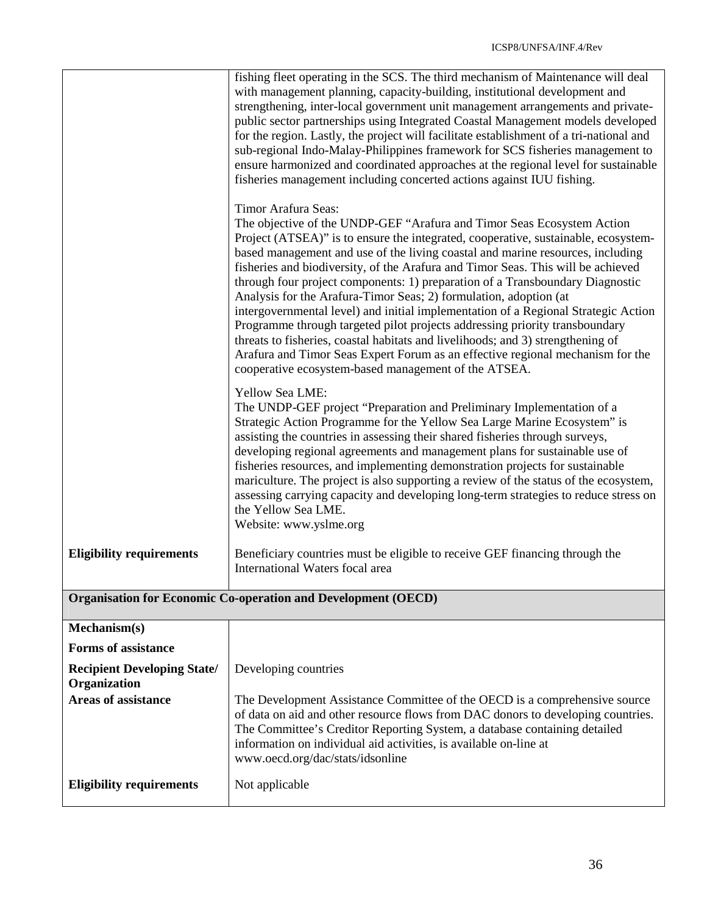|                                                    | fishing fleet operating in the SCS. The third mechanism of Maintenance will deal<br>with management planning, capacity-building, institutional development and<br>strengthening, inter-local government unit management arrangements and private-<br>public sector partnerships using Integrated Coastal Management models developed<br>for the region. Lastly, the project will facilitate establishment of a tri-national and<br>sub-regional Indo-Malay-Philippines framework for SCS fisheries management to<br>ensure harmonized and coordinated approaches at the regional level for sustainable<br>fisheries management including concerted actions against IUU fishing.                                                                                                                                                                                                                                   |
|----------------------------------------------------|-------------------------------------------------------------------------------------------------------------------------------------------------------------------------------------------------------------------------------------------------------------------------------------------------------------------------------------------------------------------------------------------------------------------------------------------------------------------------------------------------------------------------------------------------------------------------------------------------------------------------------------------------------------------------------------------------------------------------------------------------------------------------------------------------------------------------------------------------------------------------------------------------------------------|
|                                                    | Timor Arafura Seas:<br>The objective of the UNDP-GEF "Arafura and Timor Seas Ecosystem Action<br>Project (ATSEA)" is to ensure the integrated, cooperative, sustainable, ecosystem-<br>based management and use of the living coastal and marine resources, including<br>fisheries and biodiversity, of the Arafura and Timor Seas. This will be achieved<br>through four project components: 1) preparation of a Transboundary Diagnostic<br>Analysis for the Arafura-Timor Seas; 2) formulation, adoption (at<br>intergovernmental level) and initial implementation of a Regional Strategic Action<br>Programme through targeted pilot projects addressing priority transboundary<br>threats to fisheries, coastal habitats and livelihoods; and 3) strengthening of<br>Arafura and Timor Seas Expert Forum as an effective regional mechanism for the<br>cooperative ecosystem-based management of the ATSEA. |
|                                                    | Yellow Sea LME:<br>The UNDP-GEF project "Preparation and Preliminary Implementation of a<br>Strategic Action Programme for the Yellow Sea Large Marine Ecosystem" is<br>assisting the countries in assessing their shared fisheries through surveys,<br>developing regional agreements and management plans for sustainable use of<br>fisheries resources, and implementing demonstration projects for sustainable<br>mariculture. The project is also supporting a review of the status of the ecosystem,<br>assessing carrying capacity and developing long-term strategies to reduce stress on<br>the Yellow Sea LME.<br>Website: www.yslme.org                                                                                                                                                                                                                                                                |
| <b>Eligibility requirements</b>                    | Beneficiary countries must be eligible to receive GEF financing through the<br>International Waters focal area                                                                                                                                                                                                                                                                                                                                                                                                                                                                                                                                                                                                                                                                                                                                                                                                    |
|                                                    | <b>Organisation for Economic Co-operation and Development (OECD)</b>                                                                                                                                                                                                                                                                                                                                                                                                                                                                                                                                                                                                                                                                                                                                                                                                                                              |
| Mechanism(s)                                       |                                                                                                                                                                                                                                                                                                                                                                                                                                                                                                                                                                                                                                                                                                                                                                                                                                                                                                                   |
| <b>Forms of assistance</b>                         |                                                                                                                                                                                                                                                                                                                                                                                                                                                                                                                                                                                                                                                                                                                                                                                                                                                                                                                   |
| <b>Recipient Developing State/</b><br>Organization | Developing countries                                                                                                                                                                                                                                                                                                                                                                                                                                                                                                                                                                                                                                                                                                                                                                                                                                                                                              |
| <b>Areas of assistance</b>                         | The Development Assistance Committee of the OECD is a comprehensive source<br>of data on aid and other resource flows from DAC donors to developing countries.<br>The Committee's Creditor Reporting System, a database containing detailed<br>information on individual aid activities, is available on-line at<br>www.oecd.org/dac/stats/idsonline                                                                                                                                                                                                                                                                                                                                                                                                                                                                                                                                                              |
| <b>Eligibility requirements</b>                    | Not applicable                                                                                                                                                                                                                                                                                                                                                                                                                                                                                                                                                                                                                                                                                                                                                                                                                                                                                                    |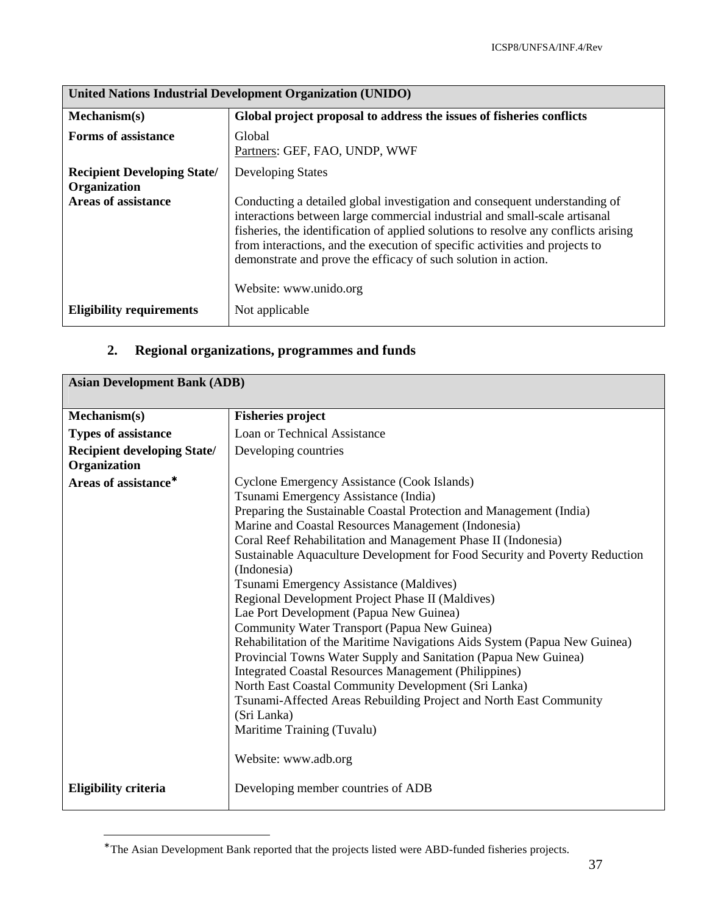| United Nations Industrial Development Organization (UNIDO) |                                                                                                                                                                                                                                                                                                                                                                                                  |
|------------------------------------------------------------|--------------------------------------------------------------------------------------------------------------------------------------------------------------------------------------------------------------------------------------------------------------------------------------------------------------------------------------------------------------------------------------------------|
| Mechanism(s)                                               | Global project proposal to address the issues of fisheries conflicts                                                                                                                                                                                                                                                                                                                             |
| <b>Forms of assistance</b>                                 | Global<br>Partners: GEF, FAO, UNDP, WWF                                                                                                                                                                                                                                                                                                                                                          |
| <b>Recipient Developing State/</b><br>Organization         | <b>Developing States</b>                                                                                                                                                                                                                                                                                                                                                                         |
| <b>Areas of assistance</b>                                 | Conducting a detailed global investigation and consequent understanding of<br>interactions between large commercial industrial and small-scale artisanal<br>fisheries, the identification of applied solutions to resolve any conflicts arising<br>from interactions, and the execution of specific activities and projects to<br>demonstrate and prove the efficacy of such solution in action. |
| <b>Eligibility requirements</b>                            | Website: www.unido.org<br>Not applicable                                                                                                                                                                                                                                                                                                                                                         |

# **2. Regional organizations, programmes and funds**

| <b>Asian Development Bank (ADB)</b>                |                                                                                                                                                                                                                                                                                                                                                                                                                                                                                                                                                                                                                                                                                                                                                                                                                                                                                                                                                                                               |  |
|----------------------------------------------------|-----------------------------------------------------------------------------------------------------------------------------------------------------------------------------------------------------------------------------------------------------------------------------------------------------------------------------------------------------------------------------------------------------------------------------------------------------------------------------------------------------------------------------------------------------------------------------------------------------------------------------------------------------------------------------------------------------------------------------------------------------------------------------------------------------------------------------------------------------------------------------------------------------------------------------------------------------------------------------------------------|--|
| Mechanism(s)                                       | <b>Fisheries project</b>                                                                                                                                                                                                                                                                                                                                                                                                                                                                                                                                                                                                                                                                                                                                                                                                                                                                                                                                                                      |  |
| <b>Types of assistance</b>                         | Loan or Technical Assistance                                                                                                                                                                                                                                                                                                                                                                                                                                                                                                                                                                                                                                                                                                                                                                                                                                                                                                                                                                  |  |
| <b>Recipient developing State/</b><br>Organization | Developing countries                                                                                                                                                                                                                                                                                                                                                                                                                                                                                                                                                                                                                                                                                                                                                                                                                                                                                                                                                                          |  |
| Areas of assistance <sup>*</sup>                   | Cyclone Emergency Assistance (Cook Islands)<br>Tsunami Emergency Assistance (India)<br>Preparing the Sustainable Coastal Protection and Management (India)<br>Marine and Coastal Resources Management (Indonesia)<br>Coral Reef Rehabilitation and Management Phase II (Indonesia)<br>Sustainable Aquaculture Development for Food Security and Poverty Reduction<br>(Indonesia)<br>Tsunami Emergency Assistance (Maldives)<br>Regional Development Project Phase II (Maldives)<br>Lae Port Development (Papua New Guinea)<br>Community Water Transport (Papua New Guinea)<br>Rehabilitation of the Maritime Navigations Aids System (Papua New Guinea)<br>Provincial Towns Water Supply and Sanitation (Papua New Guinea)<br><b>Integrated Coastal Resources Management (Philippines)</b><br>North East Coastal Community Development (Sri Lanka)<br>Tsunami-Affected Areas Rebuilding Project and North East Community<br>(Sri Lanka)<br>Maritime Training (Tuvalu)<br>Website: www.adb.org |  |
| Eligibility criteria                               | Developing member countries of ADB                                                                                                                                                                                                                                                                                                                                                                                                                                                                                                                                                                                                                                                                                                                                                                                                                                                                                                                                                            |  |

<sup>∗</sup> The Asian Development Bank reported that the projects listed were ABD-funded fisheries projects.

-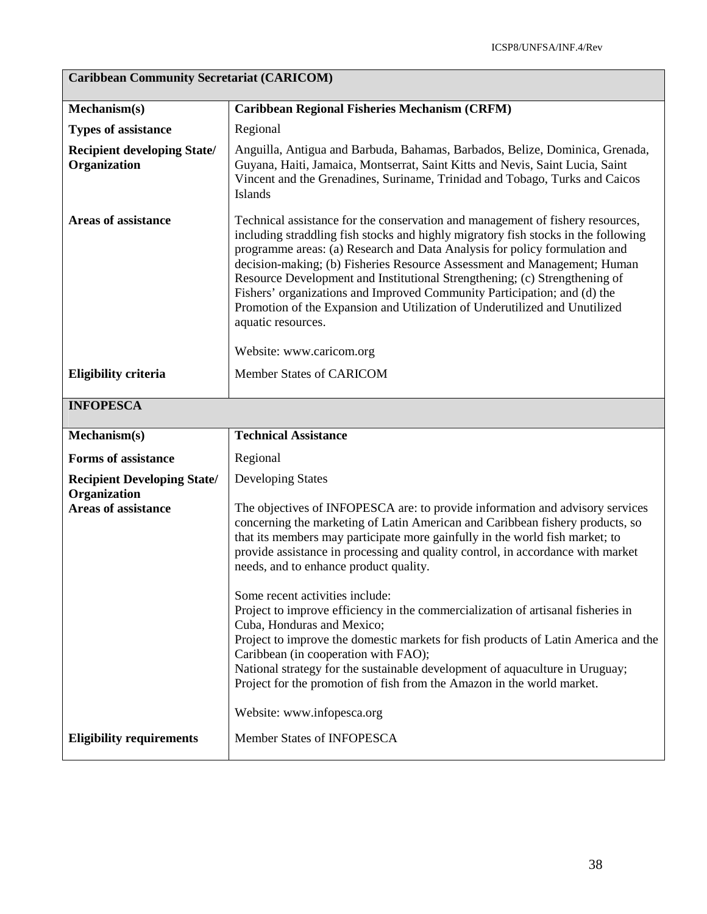# **Caribbean Community Secretariat (CARICOM)**

| Mechanism(s)                                                                     | <b>Caribbean Regional Fisheries Mechanism (CRFM)</b>                                                                                                                                                                                                                                                                                                                                                                                                                                                                                                                                                                                                                                                                                                                                                                                                                               |
|----------------------------------------------------------------------------------|------------------------------------------------------------------------------------------------------------------------------------------------------------------------------------------------------------------------------------------------------------------------------------------------------------------------------------------------------------------------------------------------------------------------------------------------------------------------------------------------------------------------------------------------------------------------------------------------------------------------------------------------------------------------------------------------------------------------------------------------------------------------------------------------------------------------------------------------------------------------------------|
| <b>Types of assistance</b>                                                       | Regional                                                                                                                                                                                                                                                                                                                                                                                                                                                                                                                                                                                                                                                                                                                                                                                                                                                                           |
| <b>Recipient developing State/</b><br>Organization                               | Anguilla, Antigua and Barbuda, Bahamas, Barbados, Belize, Dominica, Grenada,<br>Guyana, Haiti, Jamaica, Montserrat, Saint Kitts and Nevis, Saint Lucia, Saint<br>Vincent and the Grenadines, Suriname, Trinidad and Tobago, Turks and Caicos<br>Islands                                                                                                                                                                                                                                                                                                                                                                                                                                                                                                                                                                                                                            |
| <b>Areas of assistance</b>                                                       | Technical assistance for the conservation and management of fishery resources,<br>including straddling fish stocks and highly migratory fish stocks in the following<br>programme areas: (a) Research and Data Analysis for policy formulation and<br>decision-making; (b) Fisheries Resource Assessment and Management; Human<br>Resource Development and Institutional Strengthening; (c) Strengthening of<br>Fishers' organizations and Improved Community Participation; and (d) the<br>Promotion of the Expansion and Utilization of Underutilized and Unutilized<br>aquatic resources.                                                                                                                                                                                                                                                                                       |
|                                                                                  | Website: www.caricom.org                                                                                                                                                                                                                                                                                                                                                                                                                                                                                                                                                                                                                                                                                                                                                                                                                                                           |
| <b>Eligibility criteria</b>                                                      | Member States of CARICOM                                                                                                                                                                                                                                                                                                                                                                                                                                                                                                                                                                                                                                                                                                                                                                                                                                                           |
| <b>INFOPESCA</b>                                                                 |                                                                                                                                                                                                                                                                                                                                                                                                                                                                                                                                                                                                                                                                                                                                                                                                                                                                                    |
| Mechanism(s)                                                                     | <b>Technical Assistance</b>                                                                                                                                                                                                                                                                                                                                                                                                                                                                                                                                                                                                                                                                                                                                                                                                                                                        |
| <b>Forms of assistance</b>                                                       | Regional                                                                                                                                                                                                                                                                                                                                                                                                                                                                                                                                                                                                                                                                                                                                                                                                                                                                           |
| <b>Recipient Developing State/</b><br>Organization<br><b>Areas of assistance</b> | <b>Developing States</b><br>The objectives of INFOPESCA are: to provide information and advisory services<br>concerning the marketing of Latin American and Caribbean fishery products, so<br>that its members may participate more gainfully in the world fish market; to<br>provide assistance in processing and quality control, in accordance with market<br>needs, and to enhance product quality.<br>Some recent activities include:<br>Project to improve efficiency in the commercialization of artisanal fisheries in<br>Cuba, Honduras and Mexico;<br>Project to improve the domestic markets for fish products of Latin America and the<br>Caribbean (in cooperation with FAO);<br>National strategy for the sustainable development of aquaculture in Uruguay;<br>Project for the promotion of fish from the Amazon in the world market.<br>Website: www.infopesca.org |
| <b>Eligibility requirements</b>                                                  | Member States of INFOPESCA                                                                                                                                                                                                                                                                                                                                                                                                                                                                                                                                                                                                                                                                                                                                                                                                                                                         |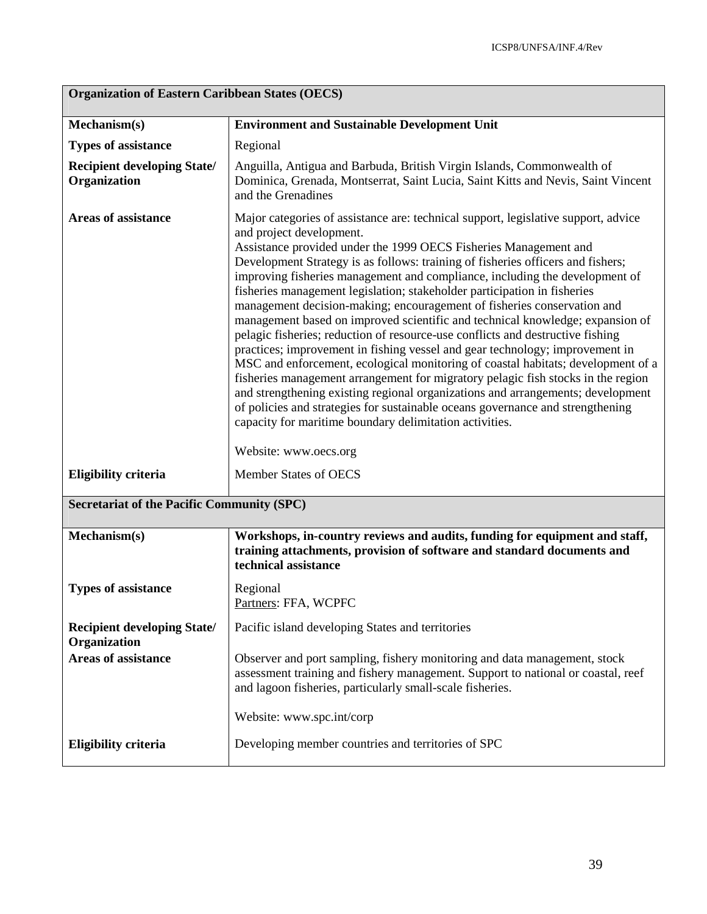| <b>Organization of Eastern Caribbean States (OECS)</b> |                                                                                                                                                                                                                                                                                                                                                                                                                                                                                                                                                                                                                                                                                                                                                                                                                                                                                                                                                                                                                                                                                                                                                                                                 |  |
|--------------------------------------------------------|-------------------------------------------------------------------------------------------------------------------------------------------------------------------------------------------------------------------------------------------------------------------------------------------------------------------------------------------------------------------------------------------------------------------------------------------------------------------------------------------------------------------------------------------------------------------------------------------------------------------------------------------------------------------------------------------------------------------------------------------------------------------------------------------------------------------------------------------------------------------------------------------------------------------------------------------------------------------------------------------------------------------------------------------------------------------------------------------------------------------------------------------------------------------------------------------------|--|
| Mechanism(s)                                           | <b>Environment and Sustainable Development Unit</b>                                                                                                                                                                                                                                                                                                                                                                                                                                                                                                                                                                                                                                                                                                                                                                                                                                                                                                                                                                                                                                                                                                                                             |  |
| <b>Types of assistance</b>                             | Regional                                                                                                                                                                                                                                                                                                                                                                                                                                                                                                                                                                                                                                                                                                                                                                                                                                                                                                                                                                                                                                                                                                                                                                                        |  |
| <b>Recipient developing State/</b><br>Organization     | Anguilla, Antigua and Barbuda, British Virgin Islands, Commonwealth of<br>Dominica, Grenada, Montserrat, Saint Lucia, Saint Kitts and Nevis, Saint Vincent<br>and the Grenadines                                                                                                                                                                                                                                                                                                                                                                                                                                                                                                                                                                                                                                                                                                                                                                                                                                                                                                                                                                                                                |  |
| <b>Areas of assistance</b>                             | Major categories of assistance are: technical support, legislative support, advice<br>and project development.<br>Assistance provided under the 1999 OECS Fisheries Management and<br>Development Strategy is as follows: training of fisheries officers and fishers;<br>improving fisheries management and compliance, including the development of<br>fisheries management legislation; stakeholder participation in fisheries<br>management decision-making; encouragement of fisheries conservation and<br>management based on improved scientific and technical knowledge; expansion of<br>pelagic fisheries; reduction of resource-use conflicts and destructive fishing<br>practices; improvement in fishing vessel and gear technology; improvement in<br>MSC and enforcement, ecological monitoring of coastal habitats; development of a<br>fisheries management arrangement for migratory pelagic fish stocks in the region<br>and strengthening existing regional organizations and arrangements; development<br>of policies and strategies for sustainable oceans governance and strengthening<br>capacity for maritime boundary delimitation activities.<br>Website: www.oecs.org |  |
| <b>Eligibility criteria</b>                            | <b>Member States of OECS</b>                                                                                                                                                                                                                                                                                                                                                                                                                                                                                                                                                                                                                                                                                                                                                                                                                                                                                                                                                                                                                                                                                                                                                                    |  |
| <b>Secretariat of the Pacific Community (SPC)</b>      |                                                                                                                                                                                                                                                                                                                                                                                                                                                                                                                                                                                                                                                                                                                                                                                                                                                                                                                                                                                                                                                                                                                                                                                                 |  |
| Mechanism(s)                                           | Workshops, in-country reviews and audits, funding for equipment and staff,<br>training attachments, provision of software and standard documents and<br>technical assistance                                                                                                                                                                                                                                                                                                                                                                                                                                                                                                                                                                                                                                                                                                                                                                                                                                                                                                                                                                                                                    |  |
| <b>Types of assistance</b>                             | Regional<br>Partners: FFA, WCPFC                                                                                                                                                                                                                                                                                                                                                                                                                                                                                                                                                                                                                                                                                                                                                                                                                                                                                                                                                                                                                                                                                                                                                                |  |
| <b>Recipient developing State/</b><br>Organization     | Pacific island developing States and territories                                                                                                                                                                                                                                                                                                                                                                                                                                                                                                                                                                                                                                                                                                                                                                                                                                                                                                                                                                                                                                                                                                                                                |  |
| <b>Areas of assistance</b>                             | Observer and port sampling, fishery monitoring and data management, stock<br>assessment training and fishery management. Support to national or coastal, reef<br>and lagoon fisheries, particularly small-scale fisheries.                                                                                                                                                                                                                                                                                                                                                                                                                                                                                                                                                                                                                                                                                                                                                                                                                                                                                                                                                                      |  |
|                                                        | Website: www.spc.int/corp                                                                                                                                                                                                                                                                                                                                                                                                                                                                                                                                                                                                                                                                                                                                                                                                                                                                                                                                                                                                                                                                                                                                                                       |  |
| <b>Eligibility criteria</b>                            | Developing member countries and territories of SPC                                                                                                                                                                                                                                                                                                                                                                                                                                                                                                                                                                                                                                                                                                                                                                                                                                                                                                                                                                                                                                                                                                                                              |  |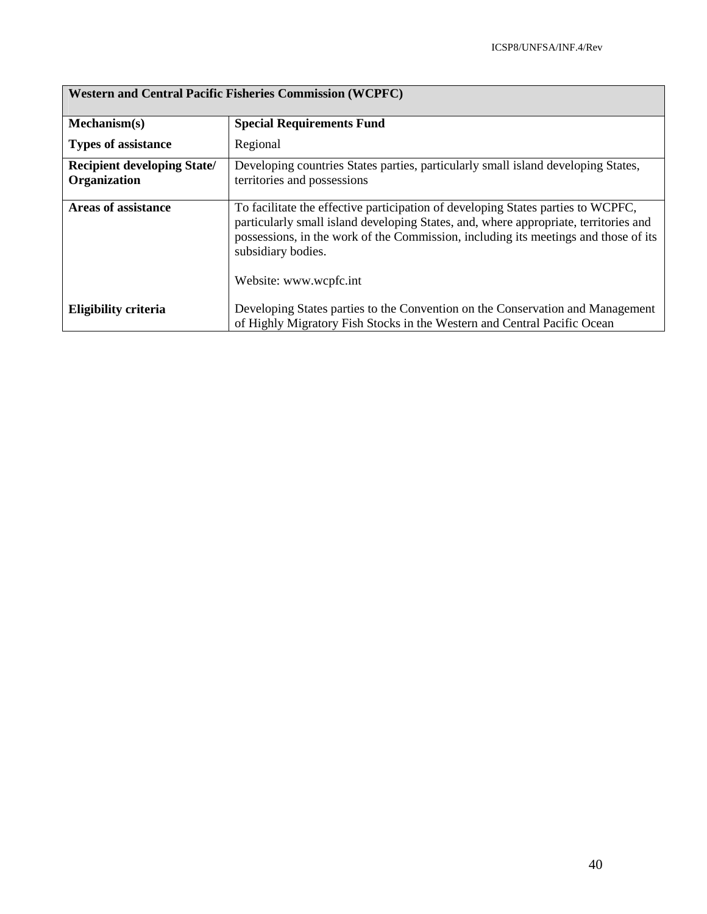| <b>Western and Central Pacific Fisheries Commission (WCPFC)</b> |                                                                                                                                                                                                                                                                                                                 |  |
|-----------------------------------------------------------------|-----------------------------------------------------------------------------------------------------------------------------------------------------------------------------------------------------------------------------------------------------------------------------------------------------------------|--|
| Mechanism(s)                                                    | <b>Special Requirements Fund</b>                                                                                                                                                                                                                                                                                |  |
| <b>Types of assistance</b>                                      | Regional                                                                                                                                                                                                                                                                                                        |  |
| <b>Recipient developing State/</b><br>Organization              | Developing countries States parties, particularly small island developing States,<br>territories and possessions                                                                                                                                                                                                |  |
| <b>Areas of assistance</b>                                      | To facilitate the effective participation of developing States parties to WCPFC,<br>particularly small island developing States, and, where appropriate, territories and<br>possessions, in the work of the Commission, including its meetings and those of its<br>subsidiary bodies.<br>Website: www.wcpfc.int |  |
| Eligibility criteria                                            | Developing States parties to the Convention on the Conservation and Management<br>of Highly Migratory Fish Stocks in the Western and Central Pacific Ocean                                                                                                                                                      |  |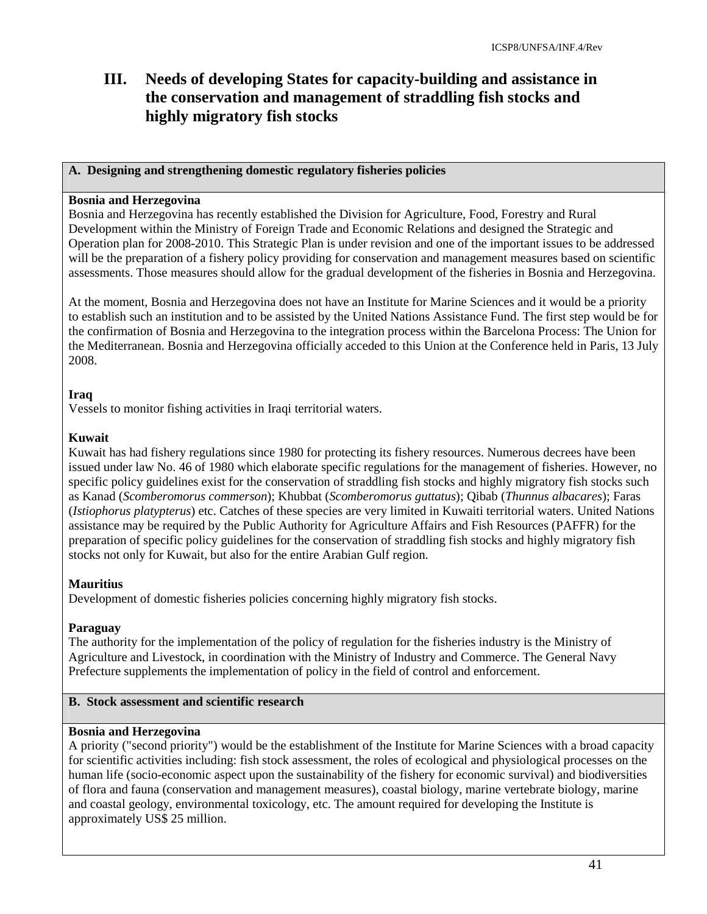# **III. Needs of developing States for capacity-building and assistance in the conservation and management of straddling fish stocks and highly migratory fish stocks**

#### **A. Designing and strengthening domestic regulatory fisheries policies**

#### **Bosnia and Herzegovina**

Bosnia and Herzegovina has recently established the Division for Agriculture, Food, Forestry and Rural Development within the Ministry of Foreign Trade and Economic Relations and designed the Strategic and Operation plan for 2008-2010. This Strategic Plan is under revision and one of the important issues to be addressed will be the preparation of a fishery policy providing for conservation and management measures based on scientific assessments. Those measures should allow for the gradual development of the fisheries in Bosnia and Herzegovina.

At the moment, Bosnia and Herzegovina does not have an Institute for Marine Sciences and it would be a priority to establish such an institution and to be assisted by the United Nations Assistance Fund. The first step would be for the confirmation of Bosnia and Herzegovina to the integration process within the Barcelona Process: The Union for the Mediterranean. Bosnia and Herzegovina officially acceded to this Union at the Conference held in Paris, 13 July 2008.

#### **Iraq**

Vessels to monitor fishing activities in Iraqi territorial waters.

#### **Kuwait**

Kuwait has had fishery regulations since 1980 for protecting its fishery resources. Numerous decrees have been issued under law No. 46 of 1980 which elaborate specific regulations for the management of fisheries. However, no specific policy guidelines exist for the conservation of straddling fish stocks and highly migratory fish stocks such as Kanad (*Scomberomorus commerson*); Khubbat (*Scomberomorus guttatus*); Qibab (*Thunnus albacares*); Faras (*Istiophorus platypterus*) etc. Catches of these species are very limited in Kuwaiti territorial waters. United Nations assistance may be required by the Public Authority for Agriculture Affairs and Fish Resources (PAFFR) for the preparation of specific policy guidelines for the conservation of straddling fish stocks and highly migratory fish stocks not only for Kuwait, but also for the entire Arabian Gulf region.

#### **Mauritius**

Development of domestic fisheries policies concerning highly migratory fish stocks.

#### **Paraguay**

The authority for the implementation of the policy of regulation for the fisheries industry is the Ministry of Agriculture and Livestock, in coordination with the Ministry of Industry and Commerce. The General Navy Prefecture supplements the implementation of policy in the field of control and enforcement.

### **B. Stock assessment and scientific research**

#### **Bosnia and Herzegovina**

A priority ("second priority") would be the establishment of the Institute for Marine Sciences with a broad capacity for scientific activities including: fish stock assessment, the roles of ecological and physiological processes on the human life (socio-economic aspect upon the sustainability of the fishery for economic survival) and biodiversities of flora and fauna (conservation and management measures), coastal biology, marine vertebrate biology, marine and coastal geology, environmental toxicology, etc. The amount required for developing the Institute is approximately US\$ 25 million.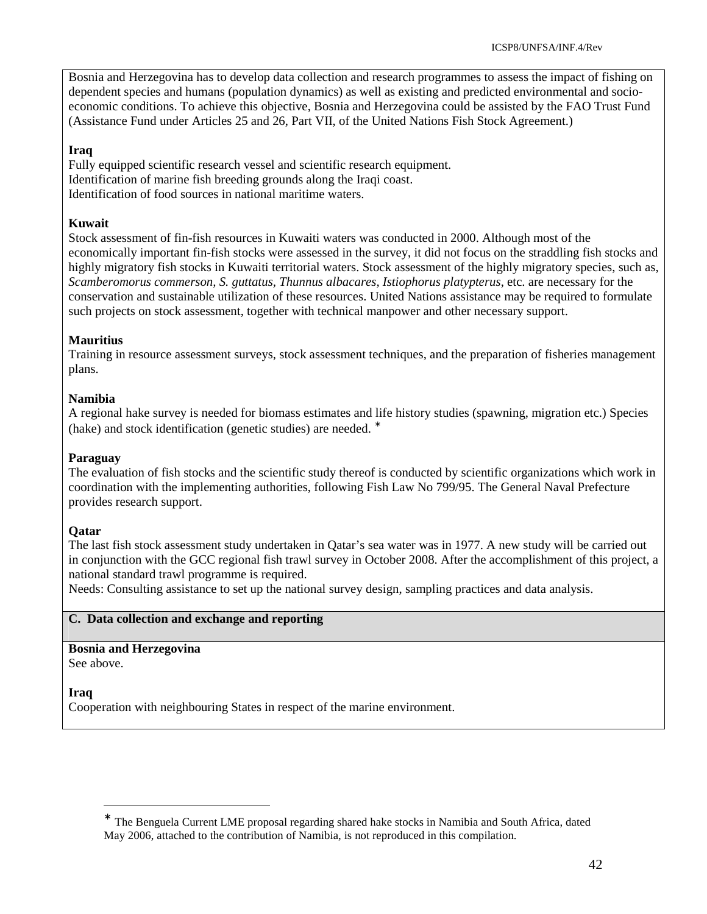Bosnia and Herzegovina has to develop data collection and research programmes to assess the impact of fishing on dependent species and humans (population dynamics) as well as existing and predicted environmental and socioeconomic conditions. To achieve this objective, Bosnia and Herzegovina could be assisted by the FAO Trust Fund (Assistance Fund under Articles 25 and 26, Part VII, of the United Nations Fish Stock Agreement.)

# **Iraq**

Fully equipped scientific research vessel and scientific research equipment. Identification of marine fish breeding grounds along the Iraqi coast. Identification of food sources in national maritime waters.

#### **Kuwait**

Stock assessment of fin-fish resources in Kuwaiti waters was conducted in 2000. Although most of the economically important fin-fish stocks were assessed in the survey, it did not focus on the straddling fish stocks and highly migratory fish stocks in Kuwaiti territorial waters. Stock assessment of the highly migratory species, such as, *Scamberomorus commerson, S. guttatus, Thunnus albacares, Istiophorus platypterus*, etc. are necessary for the conservation and sustainable utilization of these resources. United Nations assistance may be required to formulate such projects on stock assessment, together with technical manpower and other necessary support.

# **Mauritius**

Training in resource assessment surveys, stock assessment techniques, and the preparation of fisheries management plans.

### **Namibia**

A regional hake survey is needed for biomass estimates and life history studies (spawning, migration etc.) Species (hake) and stock identification (genetic studies) are needed. <sup>∗</sup>

#### **Paraguay**

The evaluation of fish stocks and the scientific study thereof is conducted by scientific organizations which work in coordination with the implementing authorities, following Fish Law No 799/95. The General Naval Prefecture provides research support.

# **Qatar**

The last fish stock assessment study undertaken in Qatar's sea water was in 1977. A new study will be carried out in conjunction with the GCC regional fish trawl survey in October 2008. After the accomplishment of this project, a national standard trawl programme is required.

Needs: Consulting assistance to set up the national survey design, sampling practices and data analysis.

#### **C. Data collection and exchange and reporting**

**Bosnia and Herzegovina** See above.

**Iraq** 

<u>.</u>

Cooperation with neighbouring States in respect of the marine environment.

<sup>∗</sup> The Benguela Current LME proposal regarding shared hake stocks in Namibia and South Africa, dated May 2006, attached to the contribution of Namibia, is not reproduced in this compilation.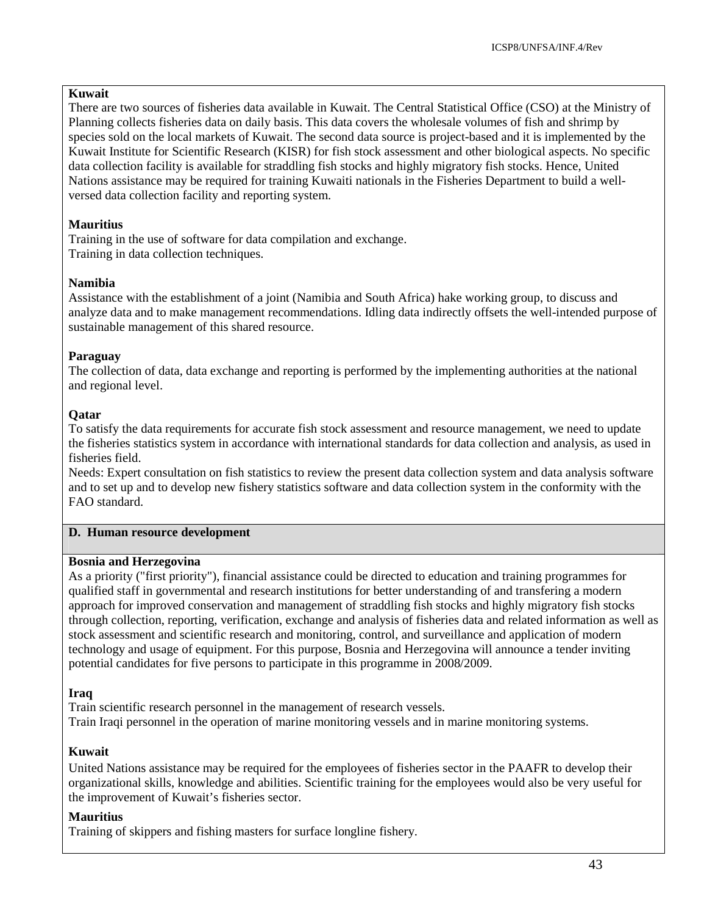#### **Kuwait**

There are two sources of fisheries data available in Kuwait. The Central Statistical Office (CSO) at the Ministry of Planning collects fisheries data on daily basis. This data covers the wholesale volumes of fish and shrimp by species sold on the local markets of Kuwait. The second data source is project-based and it is implemented by the Kuwait Institute for Scientific Research (KISR) for fish stock assessment and other biological aspects. No specific data collection facility is available for straddling fish stocks and highly migratory fish stocks. Hence, United Nations assistance may be required for training Kuwaiti nationals in the Fisheries Department to build a wellversed data collection facility and reporting system.

# **Mauritius**

Training in the use of software for data compilation and exchange. Training in data collection techniques.

# **Namibia**

Assistance with the establishment of a joint (Namibia and South Africa) hake working group, to discuss and analyze data and to make management recommendations. Idling data indirectly offsets the well-intended purpose of sustainable management of this shared resource.

# **Paraguay**

The collection of data, data exchange and reporting is performed by the implementing authorities at the national and regional level.

# **Qatar**

To satisfy the data requirements for accurate fish stock assessment and resource management, we need to update the fisheries statistics system in accordance with international standards for data collection and analysis, as used in fisheries field.

Needs: Expert consultation on fish statistics to review the present data collection system and data analysis software and to set up and to develop new fishery statistics software and data collection system in the conformity with the FAO standard.

# **D. Human resource development**

# **Bosnia and Herzegovina**

As a priority ("first priority"), financial assistance could be directed to education and training programmes for qualified staff in governmental and research institutions for better understanding of and transfering a modern approach for improved conservation and management of straddling fish stocks and highly migratory fish stocks through collection, reporting, verification, exchange and analysis of fisheries data and related information as well as stock assessment and scientific research and monitoring, control, and surveillance and application of modern technology and usage of equipment. For this purpose, Bosnia and Herzegovina will announce a tender inviting potential candidates for five persons to participate in this programme in 2008/2009.

# **Iraq**

Train scientific research personnel in the management of research vessels. Train Iraqi personnel in the operation of marine monitoring vessels and in marine monitoring systems.

# **Kuwait**

United Nations assistance may be required for the employees of fisheries sector in the PAAFR to develop their organizational skills, knowledge and abilities. Scientific training for the employees would also be very useful for the improvement of Kuwait's fisheries sector.

# **Mauritius**

Training of skippers and fishing masters for surface longline fishery.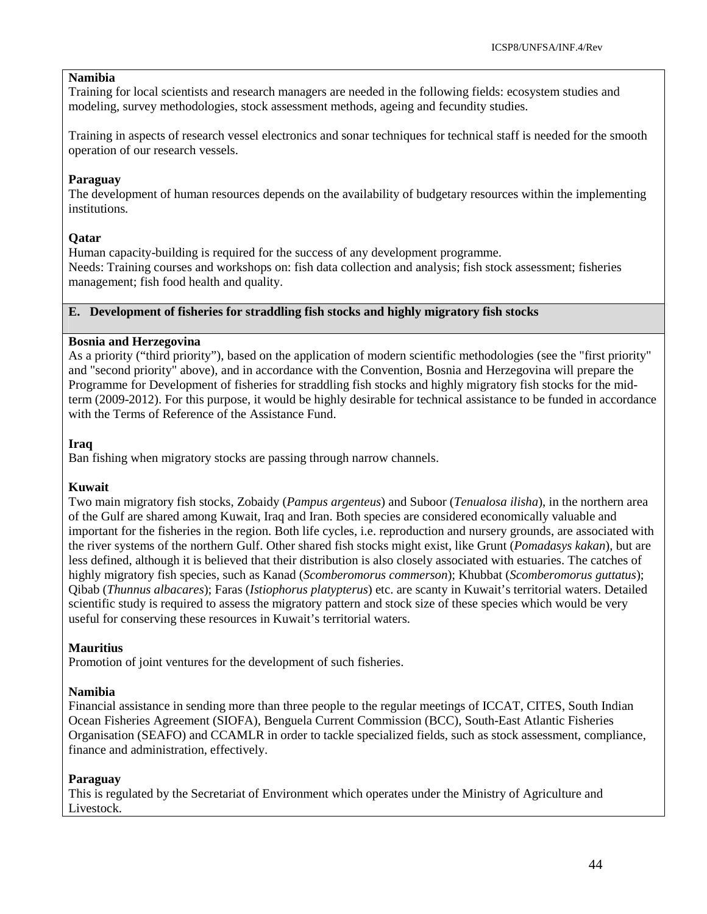#### **Namibia**

Training for local scientists and research managers are needed in the following fields: ecosystem studies and modeling, survey methodologies, stock assessment methods, ageing and fecundity studies.

Training in aspects of research vessel electronics and sonar techniques for technical staff is needed for the smooth operation of our research vessels.

#### **Paraguay**

The development of human resources depends on the availability of budgetary resources within the implementing institutions.

#### **Qatar**

Human capacity-building is required for the success of any development programme. Needs: Training courses and workshops on: fish data collection and analysis; fish stock assessment; fisheries management; fish food health and quality.

#### **E. Development of fisheries for straddling fish stocks and highly migratory fish stocks**

#### **Bosnia and Herzegovina**

As a priority ("third priority"), based on the application of modern scientific methodologies (see the "first priority" and "second priority" above), and in accordance with the Convention, Bosnia and Herzegovina will prepare the Programme for Development of fisheries for straddling fish stocks and highly migratory fish stocks for the midterm (2009-2012). For this purpose, it would be highly desirable for technical assistance to be funded in accordance with the Terms of Reference of the Assistance Fund.

#### **Iraq**

Ban fishing when migratory stocks are passing through narrow channels.

#### **Kuwait**

Two main migratory fish stocks, Zobaidy (*Pampus argenteus*) and Suboor (*Tenualosa ilisha*), in the northern area of the Gulf are shared among Kuwait, Iraq and Iran. Both species are considered economically valuable and important for the fisheries in the region. Both life cycles, i.e. reproduction and nursery grounds, are associated with the river systems of the northern Gulf. Other shared fish stocks might exist, like Grunt (*Pomadasys kakan*), but are less defined, although it is believed that their distribution is also closely associated with estuaries. The catches of highly migratory fish species, such as Kanad (*Scomberomorus commerson*); Khubbat (*Scomberomorus guttatus*); Qibab (*Thunnus albacares*); Faras (*Istiophorus platypterus*) etc. are scanty in Kuwait's territorial waters. Detailed scientific study is required to assess the migratory pattern and stock size of these species which would be very useful for conserving these resources in Kuwait's territorial waters.

#### **Mauritius**

Promotion of joint ventures for the development of such fisheries.

#### **Namibia**

Financial assistance in sending more than three people to the regular meetings of ICCAT, CITES, South Indian Ocean Fisheries Agreement (SIOFA), Benguela Current Commission (BCC), South-East Atlantic Fisheries Organisation (SEAFO) and CCAMLR in order to tackle specialized fields, such as stock assessment, compliance, finance and administration, effectively.

#### **Paraguay**

This is regulated by the Secretariat of Environment which operates under the Ministry of Agriculture and Livestock.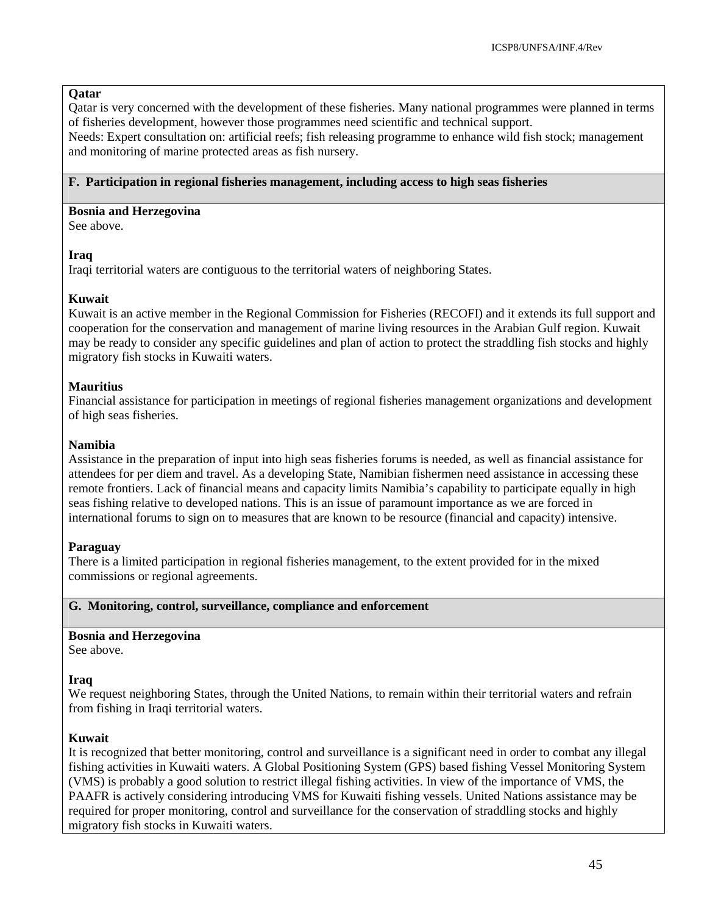#### **Qatar**

Qatar is very concerned with the development of these fisheries. Many national programmes were planned in terms of fisheries development, however those programmes need scientific and technical support. Needs: Expert consultation on: artificial reefs; fish releasing programme to enhance wild fish stock; management and monitoring of marine protected areas as fish nursery.

#### **F. Participation in regional fisheries management, including access to high seas fisheries**

#### **Bosnia and Herzegovina**

See above.

#### **Iraq**

Iraqi territorial waters are contiguous to the territorial waters of neighboring States.

#### **Kuwait**

Kuwait is an active member in the Regional Commission for Fisheries (RECOFI) and it extends its full support and cooperation for the conservation and management of marine living resources in the Arabian Gulf region. Kuwait may be ready to consider any specific guidelines and plan of action to protect the straddling fish stocks and highly migratory fish stocks in Kuwaiti waters.

#### **Mauritius**

Financial assistance for participation in meetings of regional fisheries management organizations and development of high seas fisheries.

#### **Namibia**

Assistance in the preparation of input into high seas fisheries forums is needed, as well as financial assistance for attendees for per diem and travel. As a developing State, Namibian fishermen need assistance in accessing these remote frontiers. Lack of financial means and capacity limits Namibia's capability to participate equally in high seas fishing relative to developed nations. This is an issue of paramount importance as we are forced in international forums to sign on to measures that are known to be resource (financial and capacity) intensive.

#### **Paraguay**

There is a limited participation in regional fisheries management, to the extent provided for in the mixed commissions or regional agreements.

#### **G. Monitoring, control, surveillance, compliance and enforcement**

# **Bosnia and Herzegovina**

See above.

#### **Iraq**

We request neighboring States, through the United Nations, to remain within their territorial waters and refrain from fishing in Iraqi territorial waters.

#### **Kuwait**

It is recognized that better monitoring, control and surveillance is a significant need in order to combat any illegal fishing activities in Kuwaiti waters. A Global Positioning System (GPS) based fishing Vessel Monitoring System (VMS) is probably a good solution to restrict illegal fishing activities. In view of the importance of VMS, the PAAFR is actively considering introducing VMS for Kuwaiti fishing vessels. United Nations assistance may be required for proper monitoring, control and surveillance for the conservation of straddling stocks and highly migratory fish stocks in Kuwaiti waters.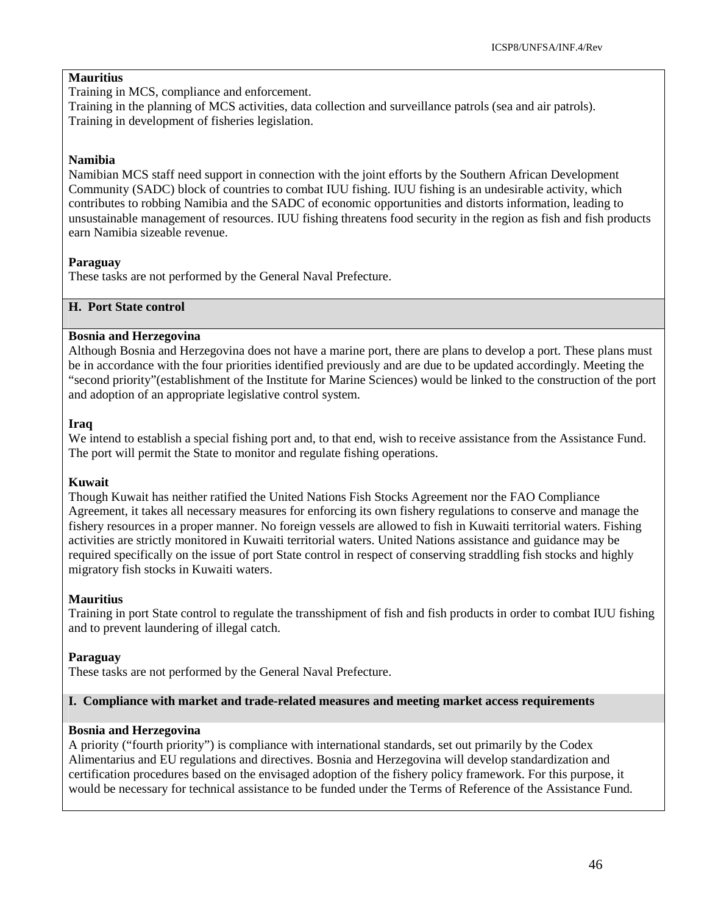#### **Mauritius**

Training in MCS, compliance and enforcement.

Training in the planning of MCS activities, data collection and surveillance patrols (sea and air patrols). Training in development of fisheries legislation.

#### **Namibia**

Namibian MCS staff need support in connection with the joint efforts by the Southern African Development Community (SADC) block of countries to combat IUU fishing. IUU fishing is an undesirable activity, which contributes to robbing Namibia and the SADC of economic opportunities and distorts information, leading to unsustainable management of resources. IUU fishing threatens food security in the region as fish and fish products earn Namibia sizeable revenue.

#### **Paraguay**

These tasks are not performed by the General Naval Prefecture.

### **H. Port State control**

#### **Bosnia and Herzegovina**

Although Bosnia and Herzegovina does not have a marine port, there are plans to develop a port. These plans must be in accordance with the four priorities identified previously and are due to be updated accordingly. Meeting the "second priority"(establishment of the Institute for Marine Sciences) would be linked to the construction of the port and adoption of an appropriate legislative control system.

#### **Iraq**

We intend to establish a special fishing port and, to that end, wish to receive assistance from the Assistance Fund. The port will permit the State to monitor and regulate fishing operations.

#### **Kuwait**

Though Kuwait has neither ratified the United Nations Fish Stocks Agreement nor the FAO Compliance Agreement, it takes all necessary measures for enforcing its own fishery regulations to conserve and manage the fishery resources in a proper manner. No foreign vessels are allowed to fish in Kuwaiti territorial waters. Fishing activities are strictly monitored in Kuwaiti territorial waters. United Nations assistance and guidance may be required specifically on the issue of port State control in respect of conserving straddling fish stocks and highly migratory fish stocks in Kuwaiti waters.

#### **Mauritius**

Training in port State control to regulate the transshipment of fish and fish products in order to combat IUU fishing and to prevent laundering of illegal catch.

#### **Paraguay**

These tasks are not performed by the General Naval Prefecture.

#### **I. Compliance with market and trade-related measures and meeting market access requirements**

#### **Bosnia and Herzegovina**

A priority ("fourth priority") is compliance with international standards, set out primarily by the Codex Alimentarius and EU regulations and directives. Bosnia and Herzegovina will develop standardization and certification procedures based on the envisaged adoption of the fishery policy framework. For this purpose, it would be necessary for technical assistance to be funded under the Terms of Reference of the Assistance Fund.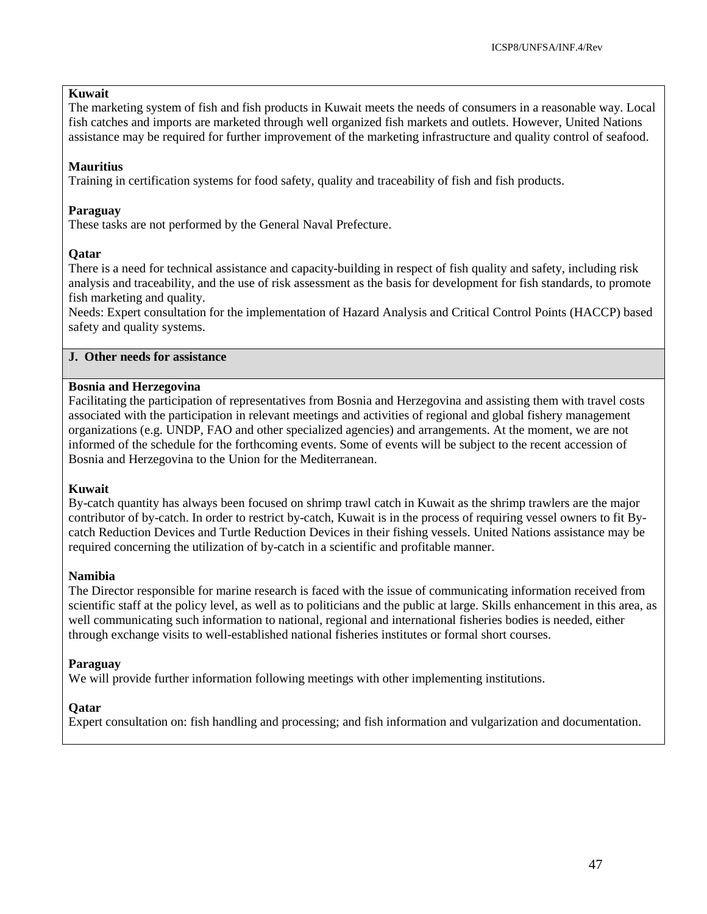#### **Kuwait**

The marketing system of fish and fish products in Kuwait meets the needs of consumers in a reasonable way. Local fish catches and imports are marketed through well organized fish markets and outlets. However, United Nations assistance may be required for further improvement of the marketing infrastructure and quality control of seafood.

#### **Mauritius**

Training in certification systems for food safety, quality and traceability of fish and fish products.

#### **Paraguay**

These tasks are not performed by the General Naval Prefecture.

#### **Qatar**

There is a need for technical assistance and capacity-building in respect of fish quality and safety, including risk analysis and traceability, and the use of risk assessment as the basis for development for fish standards, to promote fish marketing and quality.

Needs: Expert consultation for the implementation of Hazard Analysis and Critical Control Points (HACCP) based safety and quality systems.

#### **J. Other needs for assistance**

#### **Bosnia and Herzegovina**

Facilitating the participation of representatives from Bosnia and Herzegovina and assisting them with travel costs associated with the participation in relevant meetings and activities of regional and global fishery management organizations (e.g. UNDP, FAO and other specialized agencies) and arrangements. At the moment, we are not informed of the schedule for the forthcoming events. Some of events will be subject to the recent accession of Bosnia and Herzegovina to the Union for the Mediterranean.

#### **Kuwait**

By-catch quantity has always been focused on shrimp trawl catch in Kuwait as the shrimp trawlers are the major contributor of by-catch. In order to restrict by-catch, Kuwait is in the process of requiring vessel owners to fit Bycatch Reduction Devices and Turtle Reduction Devices in their fishing vessels. United Nations assistance may be required concerning the utilization of by-catch in a scientific and profitable manner.

#### **Namibia**

The Director responsible for marine research is faced with the issue of communicating information received from scientific staff at the policy level, as well as to politicians and the public at large. Skills enhancement in this area, as well communicating such information to national, regional and international fisheries bodies is needed, either through exchange visits to well-established national fisheries institutes or formal short courses.

#### **Paraguay**

We will provide further information following meetings with other implementing institutions.

#### **Qatar**

Expert consultation on: fish handling and processing; and fish information and vulgarization and documentation.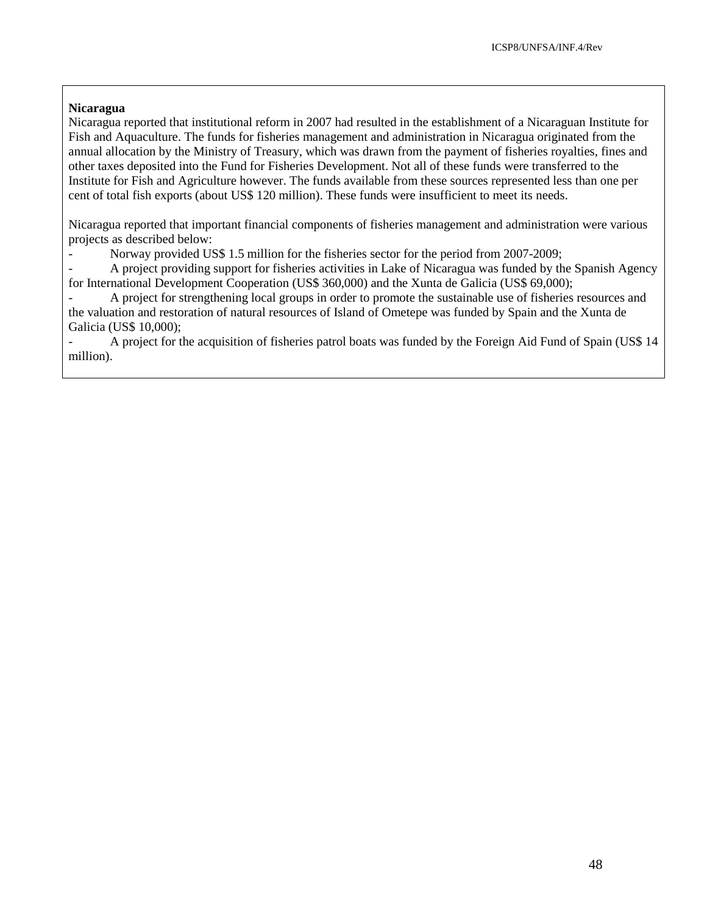#### **Nicaragua**

Nicaragua reported that institutional reform in 2007 had resulted in the establishment of a Nicaraguan Institute for Fish and Aquaculture. The funds for fisheries management and administration in Nicaragua originated from the annual allocation by the Ministry of Treasury, which was drawn from the payment of fisheries royalties, fines and other taxes deposited into the Fund for Fisheries Development. Not all of these funds were transferred to the Institute for Fish and Agriculture however. The funds available from these sources represented less than one per cent of total fish exports (about US\$ 120 million). These funds were insufficient to meet its needs.

Nicaragua reported that important financial components of fisheries management and administration were various projects as described below:

Norway provided US\$ 1.5 million for the fisheries sector for the period from 2007-2009;

- A project providing support for fisheries activities in Lake of Nicaragua was funded by the Spanish Agency for International Development Cooperation (US\$ 360,000) and the Xunta de Galicia (US\$ 69,000);

- A project for strengthening local groups in order to promote the sustainable use of fisheries resources and the valuation and restoration of natural resources of Island of Ometepe was funded by Spain and the Xunta de Galicia (US\$ 10,000);

- A project for the acquisition of fisheries patrol boats was funded by the Foreign Aid Fund of Spain (US\$ 14 million).